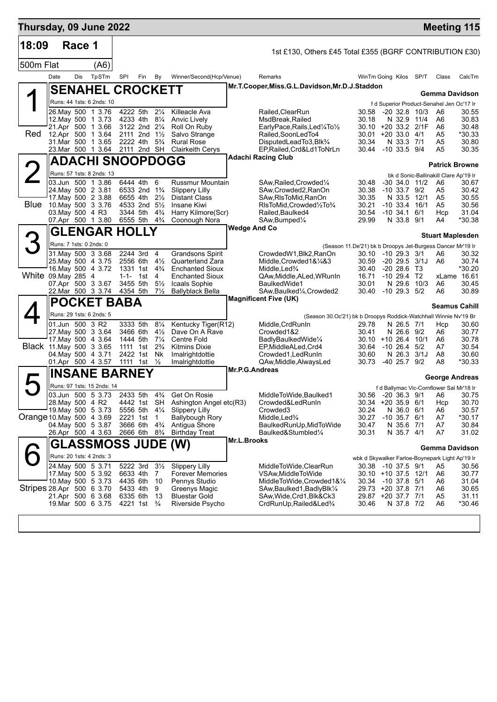| Thursday, 09 June 2022    |                  |        |                                                 |           |                                        |                                  |                                                   |                       |                                                                                      |                                                            |                                   |                  | <b>Meeting 115</b>                              |                 |
|---------------------------|------------------|--------|-------------------------------------------------|-----------|----------------------------------------|----------------------------------|---------------------------------------------------|-----------------------|--------------------------------------------------------------------------------------|------------------------------------------------------------|-----------------------------------|------------------|-------------------------------------------------|-----------------|
| 18:09                     |                  | Race 1 |                                                 |           |                                        |                                  |                                                   |                       | 1st £130, Others £45 Total £355 (BGRF CONTRIBUTION £30)                              |                                                            |                                   |                  |                                                 |                 |
| 500m Flat                 |                  |        | (A6)                                            |           |                                        |                                  |                                                   |                       |                                                                                      |                                                            |                                   |                  |                                                 |                 |
|                           | Date             | Dis    | TpSTm                                           | SPI       | Fin                                    | By                               | Winner/Second(Hcp/Venue)                          |                       | Remarks                                                                              | WinTm Going Kilos                                          |                                   | SP/T             | Class                                           | CalcTm          |
|                           |                  |        | <b>SENAHEL CROCKETT</b>                         |           |                                        |                                  |                                                   |                       | Mr.T.Cooper, Miss.G.L.Davidson, Mr.D.J.Staddon                                       |                                                            |                                   |                  |                                                 |                 |
|                           |                  |        |                                                 |           |                                        |                                  |                                                   |                       |                                                                                      |                                                            |                                   |                  | Gemma Davidson                                  |                 |
|                           |                  |        | Runs: 44 1sts: 6 2nds: 10<br>26. May 500 1 3.76 |           | 4222 5th                               | $2\frac{1}{4}$                   | Killeacle Ava                                     |                       | Railed, Clear Run                                                                    | 30.58                                                      | $-20$ 32.8 10/3                   |                  | f d Superior Product-Senahel Jen Oc'17 Ir<br>A6 | 30.55           |
|                           |                  |        | 12. May 500 1 3.73                              |           | 4233 4th 81/4                          |                                  | Anvic Lively                                      |                       | MsdBreak.Railed                                                                      | 30.18                                                      | N 32.9 11/4                       |                  | A6                                              | 30.83           |
|                           |                  |        | 21.Apr 500 1 3.66                               |           | 3122 2nd 21/4                          |                                  | Roll On Ruby                                      |                       | EarlyPace,Rails,Led¼To½                                                              | 30.10 +20 33.2 2/1F                                        |                                   |                  | A6                                              | 30.48           |
| Red                       |                  |        | 12.Apr 500 1 3.64<br>31.Mar 500 1 3.65          |           | 2111 2nd $1\frac{1}{2}$<br>2222 4th    | $5\frac{3}{4}$                   | Salvo Strange<br><b>Rural Rose</b>                |                       | Railed, SoonLedTo4<br>DisputedLeadTo3,Blk <sup>3</sup> /4                            | 30.01 +20 33.0 4/1<br>30.34                                | N 33.3 7/1                        |                  | A <sub>5</sub><br>A <sub>5</sub>                | *30.33<br>30.80 |
|                           |                  |        | 23.Mar 500 1 3.64                               |           | 2111 2nd SH                            |                                  | <b>Clairkeith Cerys</b>                           |                       | EP, Railed, Crd&Ld1ToNrLn                                                            | 30.44                                                      | $-10, 33.5, 9/4$                  |                  | A <sub>5</sub>                                  | 30.35           |
|                           |                  |        | <b>ADACHI SNOOPDOGG</b>                         |           |                                        |                                  |                                                   |                       | <b>Adachi Racing Club</b>                                                            |                                                            |                                   |                  | <b>Patrick Browne</b>                           |                 |
|                           |                  |        | Runs: 57 1sts: 8 2nds: 13                       |           |                                        |                                  |                                                   |                       |                                                                                      |                                                            |                                   |                  | bk d Sonic-Ballinakill Clare Ap'19 Ir           |                 |
|                           |                  |        | 03.Jun 500 1 3.86                               |           | 6444 4th                               | 6                                | <b>Russmur Mountain</b>                           |                       | SAw, Railed, Crowded 1/4                                                             | 30.48                                                      |                                   | -30 34.0 11/2 A6 |                                                 | 30.67           |
|                           |                  |        | 24. May 500 2 3.81                              |           | 6533 2nd 1 <sup>3</sup> / <sub>4</sub> |                                  | <b>Slippery Lilly</b>                             |                       | SAw,Crowded2,RanOn                                                                   | 30.38                                                      | $-10, 33.7, 9/2$                  |                  | A5                                              | 30.42           |
| <b>Blue</b>               |                  |        | 17. May 500 2 3.88<br>10.May 500 3 3.76         |           | 6655 4th<br>4533 2nd 51/2              | $2\frac{1}{2}$                   | <b>Distant Class</b><br>Insane Kiwi               |                       | SAw, RIsToMid, RanOn<br>RIsToMid, Crowded1/2To3/4                                    | 30.35<br>30.21                                             | N 33.5 12/1<br>$-10$ 33.4 $16/1$  |                  | A5<br>A5                                        | 30.55<br>30.56  |
|                           | 03. May 500 4 R3 |        |                                                 |           | 3344 5th                               | $4\frac{3}{4}$                   | Harry Kilmore(Scr)                                |                       | Railed, Baulked4                                                                     | 30.54                                                      | $-10, 34.1$                       | 6/1              | Hcp                                             | 31.04           |
|                           |                  |        | 07.Apr 500 1 3.80                               |           | 6555 5th                               | $4\frac{3}{4}$                   | Coonough Nora                                     | <b>Wedge And Co</b>   | SAw, Bumped <sup>1</sup> / <sub>4</sub>                                              | 29.99                                                      | N 33.8 9/1                        |                  | A4                                              | *30.38          |
|                           |                  |        | <b>GLENGAR HOLLY</b>                            |           |                                        |                                  |                                                   |                       |                                                                                      |                                                            |                                   |                  | <b>Stuart Maplesden</b>                         |                 |
| З                         |                  |        | Runs: 7 1sts: 0 2nds: 0                         |           |                                        |                                  |                                                   |                       |                                                                                      | (Season 11.De'21) bk b Droopys Jet-Burgess Dancer Mr'19 Ir |                                   |                  |                                                 |                 |
|                           |                  |        | 31 May 500 3 3.68                               |           | 2244 3rd<br>2556 6th 41/2              | 4                                | <b>Grandsons Spirit</b>                           |                       | CrowdedW1,Blk2,RanOn                                                                 | 30.10 -10 29.3 3/1                                         |                                   |                  | A6                                              | 30.32<br>30.74  |
|                           |                  |        | 25. May 500 4 3.75<br>16. May 500 4 3.72        |           | 1331 1st 4 <sup>3</sup> / <sub>4</sub> |                                  | <b>Quarterland Zara</b><br><b>Enchanted Sioux</b> |                       | Middle,Crowded1&¼&3<br>Middle,Led%                                                   | 30.59<br>30.40                                             | $-20$ 29.5 $3/1$<br>$-20$ 28.6 T3 |                  | A6                                              | *30.20          |
| White 09. May 285 4       |                  |        |                                                 | $1 - 1 -$ | 1st                                    | -4                               | Enchanted Sioux                                   |                       | QAw,Middle,ALed,WRunIn                                                               | 16.71                                                      | $-10$ 29.4 T2                     |                  |                                                 | xLame 16.61     |
|                           |                  |        | 07.Apr 500 3 3.67<br>22.Mar 500 3 3.74          | 4354 5th  | 3455 5th                               | $5\frac{1}{2}$<br>$7\frac{1}{2}$ | Icaals Sophie<br><b>Ballyblack Bella</b>          |                       | BaulkedWide1<br>SAw, Baulked <sup>1</sup> / <sub>4</sub> , Crowded2                  | 30.01<br>30.40                                             | N 29.6 10/3<br>$-10$ 29.3 $5/2$   |                  | A6<br>A6                                        | 30.45<br>30.89  |
|                           |                  |        | <b>POCKET BABA</b>                              |           |                                        |                                  |                                                   |                       | <b>Magnificent Five (UK)</b>                                                         |                                                            |                                   |                  |                                                 |                 |
|                           |                  |        | Runs: 29 1sts: 6 2nds: 5                        |           |                                        |                                  |                                                   |                       |                                                                                      |                                                            |                                   |                  | <b>Seamus Cahill</b>                            |                 |
|                           | 01.Jun 500 3 R2  |        |                                                 |           | 3333 5th                               | $8\frac{1}{4}$                   | Kentucky Tiger(R12)                               |                       | (Season 30.Oc'21) bk b Droopys Roddick-Watchhall Winnie Nv'19 Br<br>Middle, CrdRunIn | 29.78                                                      | N 26.5 7/1                        |                  | Hcp                                             | 30.60           |
|                           |                  |        | 27. May 500 3 3.64                              |           | 3466 6th                               | $4\frac{1}{2}$                   | Dave On A Rave                                    |                       | Crowded1&2                                                                           | 30.41                                                      | N 26.6 9/2                        |                  | A6                                              | 30.77           |
|                           |                  |        | 17 May 500 4 3.64                               |           | 1444 5th                               | $7\frac{1}{4}$                   | Centre Fold                                       |                       | BadlyBaulkedWide1/4                                                                  | 30.10 +10 26.4 10/1                                        |                                   |                  | A6                                              | 30.78           |
| Black 11 May 500 3 3.65   |                  |        | 04 May 500 4 3.71                               |           | 1111 1st<br>2422 1st Nk                | $2\frac{3}{4}$                   | <b>Kitmins Dixie</b><br>Imalrightdottie           |                       | EP,MiddleALed,Crd4<br>Crowded1, Led Run In                                           | 30.64<br>30.60                                             | $-1026.4$<br>N 26.3 3/1J          | 5/2              | A7<br>A8                                        | 30.54<br>30.60  |
|                           |                  |        | 01.Apr 500 4 3.57                               |           | 1111 1st                               | $\frac{1}{2}$                    | Imalrightdottie                                   |                       | QAw, Middle, Always Led                                                              | 30.73                                                      | $-40$ 25.7 $9/2$                  |                  | A8                                              | *30.33          |
|                           |                  |        | <b>INSANE BARNEY</b>                            |           |                                        |                                  |                                                   | <b>Mr.P.G.Andreas</b> |                                                                                      |                                                            |                                   |                  | George Andreas                                  |                 |
|                           |                  |        | Runs: 97 1sts: 15 2nds: 14                      |           |                                        |                                  |                                                   |                       |                                                                                      |                                                            |                                   |                  | f d Ballymac Vic-Cornflower Sal Mr'18 Ir        |                 |
|                           |                  |        | 03.Jun 500 5 3.73                               |           | 2433 5th                               | $4\frac{3}{4}$                   | Get On Rosie                                      |                       | MiddleToWide, Baulked1                                                               |                                                            |                                   |                  | 30.56    -20  36.3   9/1       A6               | 30.75           |
|                           | 28. May 500 4 R2 |        | 19. May 500 5 3.73                              |           | 4442 1st SH<br>5556 5th                |                                  | Ashington Angel etc(R3)                           |                       | Crowded&LedRunIn                                                                     | 30.34 +20 35.9 6/1<br>30.24                                |                                   |                  | Hcp                                             | 30.70<br>30.57  |
| Orange 10 May 500 4 3.69  |                  |        |                                                 | 2221 1st  |                                        | $4\frac{1}{4}$<br>$\overline{1}$ | <b>Slippery Lilly</b><br><b>Ballybough Rory</b>   |                       | Crowded3<br>Middle, Led <sup>3</sup> / <sub>4</sub>                                  | 30.27                                                      | N 36.0 6/1<br>$-10$ 35.7 $6/1$    |                  | A6<br>A7                                        | *30.17          |
|                           |                  |        | 04. May 500 5 3.87                              |           | 3666 6th 4 <sup>3</sup> / <sub>4</sub> |                                  | Antigua Shore                                     |                       | BaulkedRunUp, MidToWide                                                              | 30.47                                                      | N 35.6 7/1                        |                  | A7                                              | 30.84           |
|                           |                  |        | 26.Apr 500 4 3.63                               |           | 2666 6th                               | $8\frac{3}{4}$                   | <b>Birthday Treat</b>                             | <b>Mr.L.Brooks</b>    | Baulked&Stumbled1/4                                                                  | 30.31                                                      | N 35.7 4/1                        |                  | A7                                              | 31.02           |
|                           | Gl               |        | <b>ASSMOSS JUDE (W)</b>                         |           |                                        |                                  |                                                   |                       |                                                                                      |                                                            |                                   |                  | Gemma Davidson                                  |                 |
|                           |                  |        | Runs: 20 1sts: 4 2nds: 3                        |           |                                        |                                  |                                                   |                       |                                                                                      | wbk d Skywalker Farloe-Boynepark Light Ap'19 Ir            |                                   |                  |                                                 |                 |
|                           |                  |        | 24. May 500 5 3.71<br>17. May 500 5 3.92        | 6633 4th  | 5222 3rd                               | $3\frac{1}{2}$<br>7              | Slippery Lilly<br>Forever Memories                |                       | MiddleToWide,ClearRun<br>VSAw,MiddleToWide                                           | 30.38 -10 37.5 9/1<br>30.10 +10 37.5 12/1                  |                                   |                  | A5<br>A6                                        | 30.56<br>30.77  |
|                           |                  |        | 10. May 500 5 3.73                              | 4435 6th  |                                        | 10                               | Pennys Studio                                     |                       | MiddleToWide,Crowded1&1/4                                                            | 30.34 -10 37.8 5/1                                         |                                   |                  | A6                                              | 31.04           |
| Stripes 28.Apr 500 6 3.70 |                  |        |                                                 |           | 5433 4th                               | 9                                | Greenys Magic                                     |                       | SAw,Baulked1,BadlyBlk1/4                                                             | 29.73 +20 37.8 7/1                                         |                                   |                  | A6                                              | 30.65           |
|                           |                  |        | 21.Apr 500 6 3.68<br>19.Mar 500 6 3.75          | 6335 6th  | 4221 1st <sup>3</sup> / <sub>4</sub>   | 13                               | <b>Bluestar Gold</b><br>Riverside Psycho          |                       | SAw, Wide, Crd1, Blk&Ck3<br>CrdRunUp, Railed&Led%                                    | 29.87 +20 37.7 7/1<br>30.46                                | N 37.8 7/2                        |                  | A <sub>5</sub><br>A <sub>6</sub>                | 31.11<br>*30.46 |
|                           |                  |        |                                                 |           |                                        |                                  |                                                   |                       |                                                                                      |                                                            |                                   |                  |                                                 |                 |
|                           |                  |        |                                                 |           |                                        |                                  |                                                   |                       |                                                                                      |                                                            |                                   |                  |                                                 |                 |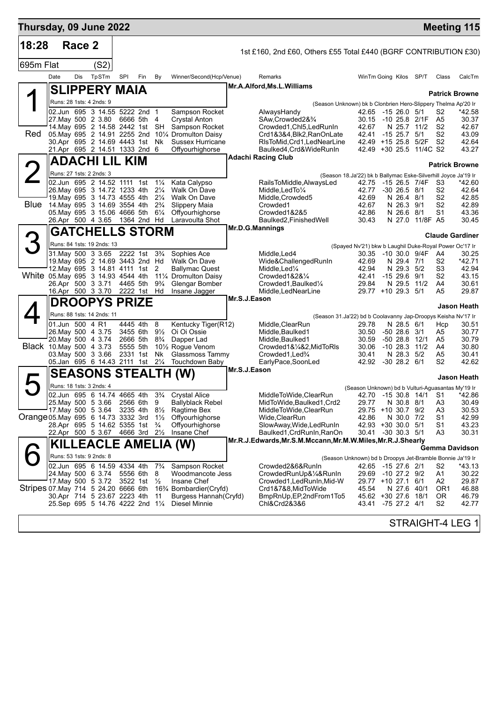| Thursday, 09 June 2022                |                 |        |                                                                 |     |                        |                                  |                                                         |              |                                                                                          |                                                                         |                                 |                 |                                  | <b>Meeting 115</b>     |
|---------------------------------------|-----------------|--------|-----------------------------------------------------------------|-----|------------------------|----------------------------------|---------------------------------------------------------|--------------|------------------------------------------------------------------------------------------|-------------------------------------------------------------------------|---------------------------------|-----------------|----------------------------------|------------------------|
| 18:28                                 |                 | Race 2 |                                                                 |     |                        |                                  |                                                         |              | 1st £160, 2nd £60, Others £55 Total £440 (BGRF CONTRIBUTION £30)                         |                                                                         |                                 |                 |                                  |                        |
| 695m Flat                             |                 |        | (S2)                                                            |     |                        |                                  |                                                         |              |                                                                                          |                                                                         |                                 |                 |                                  |                        |
|                                       | Date            | Dis    | TpSTm                                                           | SPI | Fin                    | By                               | Winner/Second(Hcp/Venue)                                |              | Remarks                                                                                  | WinTm Going Kilos SP/T                                                  |                                 |                 | Class                            | CalcTm                 |
|                                       |                 |        | <b>SLIPPERY MAIA</b>                                            |     |                        |                                  |                                                         |              | Mr.A.Alford, Ms.L.Williams                                                               |                                                                         |                                 |                 |                                  | <b>Patrick Browne</b>  |
|                                       |                 |        | Runs: 28 1sts: 4 2nds: 9                                        |     |                        |                                  |                                                         |              | (Season Unknown) bk b Clonbrien Hero-Slippery Thelma Ap'20 Ir                            |                                                                         |                                 |                 |                                  |                        |
|                                       |                 |        | 02.Jun 695 3 14.55 5222 2nd 1                                   |     |                        |                                  | Sampson Rocket                                          |              | AlwaysHandy                                                                              | 42.65 -15 26.0 5/1                                                      |                                 |                 | S <sub>2</sub>                   | *42.58                 |
|                                       |                 |        | 27. May 500 2 3.80<br>14. May 695 2 14.58 2442 1st SH           |     | 6666 5th 4             |                                  | <b>Crystal Anton</b><br>Sampson Rocket                  |              | SAw, Crowded 2& 3/4<br>Crowded1, Chl5, Led RunIn                                         | 30.15 -10 25.8 2/1F<br>42.67                                            |                                 | N 25.7 11/2     | A5<br>S <sub>2</sub>             | 30.37<br>42.67         |
| Red                                   |                 |        |                                                                 |     |                        |                                  | 05. May 695 2 14.91 2255 2nd 101/4 Dromulton Daisy      |              | Crd1&3&4,Blk2,RanOnLate                                                                  | 42.41                                                                   | $-15$ 25.7 $5/1$                |                 | S <sub>2</sub>                   | 43.09                  |
|                                       |                 |        | 30.Apr 695 2 14.69 4443 1st                                     |     |                        | Nk                               | <b>Sussex Hurricane</b>                                 |              | RIsToMid, Crd1, LedNearLine                                                              | 42.49 +15 25.8 5/2F                                                     |                                 |                 | S <sub>2</sub>                   | 42.64<br>43.27         |
|                                       |                 |        | 21.Apr 695 2 14.51 1333 2nd 6<br><b>ADACHI LIL KIM</b>          |     |                        |                                  | Offyourhighorse                                         |              | Baulked4, Crd& WideRunIn<br><b>Adachi Racing Club</b>                                    | 42.49 +30 25.5 11/4C S2                                                 |                                 |                 |                                  |                        |
|                                       |                 |        |                                                                 |     |                        |                                  |                                                         |              |                                                                                          |                                                                         |                                 |                 |                                  | <b>Patrick Browne</b>  |
|                                       |                 |        | Runs: 27 1sts: 2 2nds: 3<br>02.Jun 695 2 14.52 1111 1st         |     |                        | $1\frac{1}{4}$                   | Kata Calypso                                            |              | RailsToMiddle, AlwaysLed                                                                 | (Season 18.Ja'22) bk b Ballymac Eske-Silverhill Joyce Ja'19 Ir<br>42.75 |                                 | -15 26.5 7/4F   | - S3                             | *42.60                 |
|                                       |                 |        | 26. May 695 3 14.72 1233 4th                                    |     |                        | $2\frac{1}{4}$                   | Walk On Dave                                            |              | Middle, Led To 1/4                                                                       | 42.77                                                                   | $-30$ 26.5 $8/1$                |                 | S <sub>2</sub>                   | 42.64                  |
| Blue                                  |                 |        | 19. May 695 3 14.73 4555 4th                                    |     |                        | $2\frac{1}{4}$                   | Walk On Dave                                            |              | Middle, Crowded5                                                                         | 42.69                                                                   | N 26.4 8/1                      |                 | S <sub>2</sub>                   | 42.85                  |
|                                       |                 |        | 14. May 695 3 14.69 3554 4th<br>05. May 695 3 15.06 4666 5th    |     |                        | $2\frac{3}{4}$<br>$6\frac{1}{4}$ | Slippery Maia<br>Offyourhighorse                        |              | Crowded1<br>Crowded1&2&5                                                                 | 42.67<br>42.86                                                          | N 26.3 9/1<br>N 26.6 8/1        |                 | S <sub>2</sub><br>S <sub>1</sub> | 42.89<br>43.36         |
|                                       |                 |        | 26.Apr 500 4 3.65 1364 2nd Hd                                   |     |                        |                                  | Laravoulta Shot                                         |              | Baulked2, Finished Well                                                                  | 30.43                                                                   |                                 | N 27.0 11/8F A5 |                                  | 30.45                  |
|                                       |                 |        | <b>GATCHELLS STORM</b>                                          |     |                        |                                  |                                                         |              | Mr.D.G.Mannings                                                                          |                                                                         |                                 |                 |                                  | <b>Claude Gardiner</b> |
| З                                     |                 |        | Runs: 84 1sts: 19 2nds: 13                                      |     |                        |                                  |                                                         |              |                                                                                          | (Spayed Nv'21) bkw b Laughil Duke-Royal Power Oc'17 Ir                  |                                 |                 |                                  |                        |
|                                       |                 |        | 31. May 500 3 3.65 2222 1st                                     |     |                        | $3\frac{3}{4}$                   | Sophies Ace                                             |              | Middle, Led4                                                                             | 30.35 -10 30.0 9/4F                                                     |                                 |                 | A4                               | 30.25                  |
|                                       |                 |        | 19. May 695 2 14.69 3443 2nd Hd<br>12. May 695 3 14.81 4111 1st |     |                        | 2                                | Walk On Dave<br><b>Ballymac Quest</b>                   |              | Wide&ChallengedRunIn<br>Middle,Led¼                                                      | 42.69<br>42.94                                                          | N 29.4 7/1<br>N 29.3 5/2        |                 | S <sub>2</sub><br>S3             | $*42.71$<br>42.94      |
| White 05. May 695 3 14.93 4544 4th    |                 |        |                                                                 |     |                        |                                  | 111⁄4 Dromulton Daisy                                   |              | Crowded $1828\%$                                                                         | 42.41                                                                   | $-1529.69/1$                    |                 | S <sub>2</sub>                   | 43.15                  |
|                                       |                 |        | 26.Apr 500 3 3.71                                               |     | 4465 5th               | $9\frac{3}{4}$                   | Glengar Bomber                                          |              | Crowded1, Baulked <sup>1</sup> / <sub>4</sub>                                            | 29.84<br>29.77 +10 29.3 5/1                                             | N 29.5 11/2                     |                 | A4<br>A5                         | 30.61<br>29.87         |
|                                       |                 |        | 16.Apr 500 3 3.70                                               |     | 2222 1st Hd            |                                  | Insane Jagger                                           | Mr.S.J.Eason | Middle,LedNearLine                                                                       |                                                                         |                                 |                 |                                  |                        |
|                                       |                 |        | DROOPYS PRIZE                                                   |     |                        |                                  |                                                         |              |                                                                                          |                                                                         |                                 |                 |                                  | Jason Heath            |
|                                       | 01.Jun 500 4 R1 |        | Runs: 88 1sts: 14 2nds: 11                                      |     | 4445 4th               | 8                                | Kentucky Tiger(R12)                                     |              | (Season 31.Ja'22) bd b Coolavanny Jap-Droopys Keisha Nv'17 Ir<br>Middle, ClearRun        | 29.78                                                                   | N 28.5 6/1                      |                 | Hcp                              | 30.51                  |
|                                       |                 |        | 26. May 500 4 3.75                                              |     | 3455 6th 91/2          |                                  | Oi Oi Ossie                                             |              | Middle, Baulked1                                                                         | 30.50                                                                   | $-5028.63/1$                    |                 | A5                               | 30.77                  |
|                                       |                 |        | 20. May 500 4 3.74                                              |     | 2666 5th               | $8\frac{3}{4}$                   | Dapper Lad                                              |              | Middle, Baulked1                                                                         | 30.59                                                                   | $-5028.812/1$                   |                 | A5                               | 30.79                  |
| Black 10. May 500 4 3.73              |                 |        | 03. May 500 3 3.66                                              |     | 5555 5th<br>2331 1st   | Nk                               | 101/ <sub>2</sub> Rogue Venom<br><b>Glassmoss Tammy</b> |              | Crowded1&1/4&2, MidToRIs<br>Crowded1, Led <sup>3</sup> / <sub>4</sub>                    | 30.06<br>30.41                                                          | $-10$ 28.3 $11/2$<br>N 28.3 5/2 |                 | A4<br>A5                         | 30.80<br>30.41         |
|                                       |                 |        | 05.Jan 695 6 14.43 2111 1st 21/4                                |     |                        |                                  | <b>Touchdown Baby</b>                                   |              | EarlyPace,SoonLed                                                                        | 42.92                                                                   | $-30$ 28.2 $6/1$                |                 | S <sub>2</sub>                   | 42.62                  |
|                                       |                 |        |                                                                 |     |                        |                                  | SEASONS STEALTH (W)                                     | Mr.S.J.Eason |                                                                                          |                                                                         |                                 |                 |                                  | <b>Jason Heath</b>     |
| $\blacktriangleright$                 |                 |        | Runs: 18 1sts: 3 2nds: 4                                        |     |                        |                                  |                                                         |              |                                                                                          | (Season Unknown) bd b Vulturi-Aguasantas My'19 Ir                       |                                 |                 |                                  |                        |
|                                       |                 |        |                                                                 |     |                        |                                  | 02.Jun 695 6 14.74 4665 4th 33⁄4 Crystal Alice          |              | MiddleToWide,ClearRun                                                                    | 42.70 -15 30.8 14/1 S1                                                  |                                 |                 |                                  | *42.86                 |
|                                       |                 |        | 25. May 500 5 3.66<br>17 May 500 5 3.64                         |     | 2566 6th 9<br>3235 4th | $8\frac{1}{2}$                   | <b>Ballyblack Rebel</b><br>Ragtime Bex                  |              | MidToWide, Baulked1, Crd2<br>MiddleToWide, ClearRun                                      | 29.77<br>29.75                                                          | N 30.8 8/1<br>+10 30.7 9/2      |                 | A <sub>3</sub><br>A <sub>3</sub> | 30.49<br>30.53         |
| Orange 05 May 695 6 14.73 3332 3rd    |                 |        |                                                                 |     |                        | $1\frac{1}{2}$                   | Offyourhighorse                                         |              | Wide,ClearRun                                                                            | 42.86                                                                   | N 30.0 7/2                      |                 | S1                               | 42.99                  |
|                                       |                 |        | 28.Apr 695 5 14.62 5355 1st 3/4                                 |     |                        |                                  | Offyourhighorse                                         |              | SlowAway, Wide, Led Run In                                                               | 42.93 +30 30.0 5/1                                                      | $-30$ 30.3 $5/1$                |                 | S <sub>1</sub>                   | 43.23                  |
|                                       |                 |        | 22.Apr 500 5 3.67 4666 3rd 21/2                                 |     |                        |                                  | Insane Chef                                             |              | Baulked1, CrdRunIn, RanOn<br>Mr.R.J.Edwards, Mr.S.M.Mccann, Mr.M.W.Miles, Mr.R.J.Shearly | 30.41                                                                   |                                 |                 | A3                               | 30.31                  |
|                                       |                 |        |                                                                 |     |                        |                                  | KILLEACLE AMELIA (W)                                    |              |                                                                                          |                                                                         |                                 |                 |                                  | <b>Gemma Davidson</b>  |
|                                       |                 |        | Runs: 53 1sts: 9 2nds: 8                                        |     |                        |                                  |                                                         |              |                                                                                          | (Season Unknown) bd b Droopys Jet-Bramble Bonnie Ja'19 Ir               |                                 |                 |                                  |                        |
|                                       |                 |        | 02.Jun 695 6 14.59 4334 4th 73/4<br>24. May 500 6 3.74          |     | 5556 6th               | 8                                | Sampson Rocket<br>Woodmancote Jess                      |              | Crowded2&6&RunIn<br>CrowdedRunUp&1/4&RunIn                                               | 42.65 -15 27.6 2/1<br>29.69                                             | $-10$ 27.2 $9/2$                |                 | S <sub>2</sub><br>A1             | *43.13<br>30.22        |
|                                       |                 |        | 17. May 500 5 3.72                                              |     | 3522 1st 1/2           |                                  | Insane Chef                                             |              | Crowded1, Led Run In, Mid-W                                                              | 29.77 +10 27.1                                                          |                                 | 6/1             | A2                               | 29.87                  |
| Stripes 07. May 714 5 24. 20 6666 6th |                 |        | 30.Apr 714 5 23.67 2223 4th                                     |     |                        |                                  | 16 <sup>3</sup> / <sub>4</sub> Bombardier(Cryfd)        |              | Crd1&7&8,MidToWide                                                                       | 45.54<br>45.62 +30 27.6 18/1                                            | N 27.6 40/1                     |                 | OR1<br>0R                        | 46.88<br>46.79         |
|                                       |                 |        | 25.Sep 695 5 14.76 4222 2nd 11/4                                |     |                        | 11                               | Burgess Hannah (Cryfd)<br>Diesel Minnie                 |              | BmpRnUp, EP, 2nd From 1To 5<br>Chl&Crd2&3&6                                              | 43.41                                                                   | $-75$ 27.2 $4/1$                |                 | S <sub>2</sub>                   | 42.77                  |
|                                       |                 |        |                                                                 |     |                        |                                  |                                                         |              |                                                                                          |                                                                         |                                 |                 |                                  |                        |
|                                       |                 |        |                                                                 |     |                        |                                  |                                                         |              |                                                                                          |                                                                         |                                 |                 |                                  | STRAIGHT-4 LEG 1       |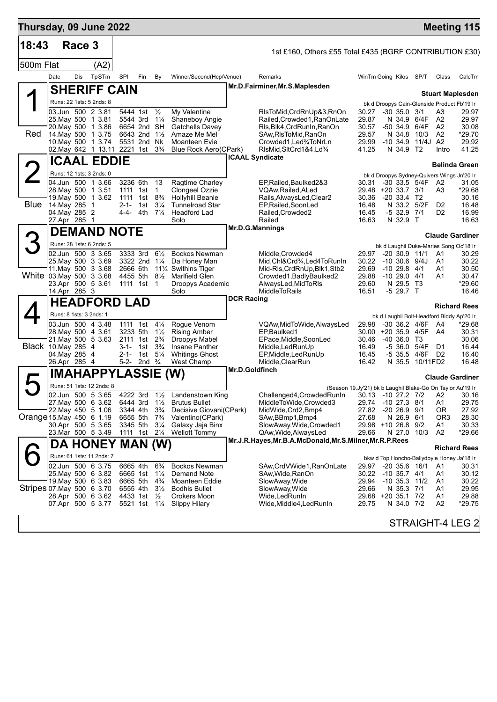| Thursday, 09 June 2022    |                                                                                                                                          |        |                           |                                                                      |                                                                                                    |                                                                                                         |                                                                                                                                                   |                                                                                                                                                                  |                                                    |                                                                            |                          |                                             |                                                                 | <b>Meeting 115</b>                                    |
|---------------------------|------------------------------------------------------------------------------------------------------------------------------------------|--------|---------------------------|----------------------------------------------------------------------|----------------------------------------------------------------------------------------------------|---------------------------------------------------------------------------------------------------------|---------------------------------------------------------------------------------------------------------------------------------------------------|------------------------------------------------------------------------------------------------------------------------------------------------------------------|----------------------------------------------------|----------------------------------------------------------------------------|--------------------------|---------------------------------------------|-----------------------------------------------------------------|-------------------------------------------------------|
| 18:43                     |                                                                                                                                          | Race 3 |                           |                                                                      |                                                                                                    |                                                                                                         |                                                                                                                                                   | 1st £160, Others £55 Total £435 (BGRF CONTRIBUTION £30)                                                                                                          |                                                    |                                                                            |                          |                                             |                                                                 |                                                       |
| 500m Flat                 |                                                                                                                                          |        | (A2)                      |                                                                      |                                                                                                    |                                                                                                         |                                                                                                                                                   |                                                                                                                                                                  |                                                    |                                                                            |                          |                                             |                                                                 |                                                       |
|                           | Date                                                                                                                                     | Dis    | TpSTm                     | <b>SPI</b>                                                           | Fin                                                                                                | By                                                                                                      | Winner/Second(Hcp/Venue)                                                                                                                          | Remarks                                                                                                                                                          | WinTm Going Kilos SP/T                             |                                                                            |                          |                                             | Class                                                           | CalcTm                                                |
|                           |                                                                                                                                          |        | <b>SHERIFF CAIN</b>       |                                                                      |                                                                                                    |                                                                                                         |                                                                                                                                                   | Mr.D.Fairminer, Mr.S.Maplesden                                                                                                                                   |                                                    |                                                                            |                          |                                             |                                                                 | <b>Stuart Maplesden</b>                               |
|                           | Runs: 22 1sts: 5 2nds: 8                                                                                                                 |        |                           |                                                                      |                                                                                                    |                                                                                                         |                                                                                                                                                   |                                                                                                                                                                  |                                                    |                                                                            |                          |                                             |                                                                 | bk d Droopys Cain-Glenside Product Fb'19 Ir           |
| Red                       | 03.Jun 500 2 3.81<br>25. May 500 1 3.81<br>20. May 500 1 3.86<br>14. May 500 1 3.75<br>10. May 500 1 3.74<br>02.May 642 1 13.11 2221 1st |        |                           | 5544 3rd                                                             | 5444 1st 1/2<br>6654 2nd SH<br>6643 2nd 1 <sup>1</sup> / <sub>2</sub><br>5531 2nd Nk               | $1\frac{1}{4}$<br>$3\frac{3}{4}$                                                                        | My Valentine<br>Shaneboy Angie<br>Gatchells Davey<br>Amaze Me Mel<br>Moanteen Evie<br>Blue Rock Aero(CPark)                                       | RIsToMid, CrdRnUp&3, RnOn<br>Railed, Crowded1, RanOnLate<br>RIs, Blk4, CrdRunIn, RanOn<br>SAw, RIsToMid, RanOn<br>Crowded1, Led%ToNrLn<br>RIsMid, SItCrd1&4, Ld% | 30.27<br>29.87<br>30.57<br>29.57<br>29.99<br>41.25 | $-30$ 35.0 $3/1$<br>$-50, 34.9$<br>$-10, 34.9$                             | N 34.8<br>N 34.9 T2      | N 34.9 6/4F<br>6/4F<br>10/3<br>11/4J A2     | A3<br>A2<br>A <sub>2</sub><br>A <sub>2</sub><br>Intro           | 29.97<br>29.97<br>30.08<br>*29.70<br>29.92<br>41.25   |
|                           |                                                                                                                                          |        | <b>ICAAL EDDIE</b>        |                                                                      |                                                                                                    |                                                                                                         |                                                                                                                                                   | <b>ICAAL Syndicate</b>                                                                                                                                           |                                                    |                                                                            |                          |                                             |                                                                 | <b>Belinda Green</b>                                  |
|                           | Runs: 12 1sts: 3 2nds: 0                                                                                                                 |        |                           |                                                                      |                                                                                                    |                                                                                                         |                                                                                                                                                   |                                                                                                                                                                  |                                                    |                                                                            |                          |                                             |                                                                 | bk d Droopys Sydney-Quivers Wings Jn'20 Ir            |
| <b>Blue</b>               | 04.Jun 500 1 3.66<br>28. May 500 1 3.51<br>19. May 500 1 3.62<br>14.May 285<br>04. May 285 2<br>27.Apr 285 1                             |        | $\overline{1}$            | 3236 6th<br>1111 1st<br>1111 1st<br>$2 - 1 - 1$ st<br>4-4-           | 4th                                                                                                | 13<br>$\mathbf{1}$<br>$8\frac{3}{4}$<br>$3\frac{1}{4}$<br>$7\frac{1}{4}$                                | Ragtime Charley<br>Clongeel Ozzie<br><b>Hollyhill Beanie</b><br><b>Tunnelroad Star</b><br>Headford Lad<br>Solo                                    | EP, Railed, Baulked 2& 3<br>VQAw, Railed, ALed<br>Rails, Always Led, Clear2<br>EP, Railed, SoonLed<br>Railed, Crowded2<br>Railed                                 | 30.31<br>30.36<br>16.48<br>16.45<br>16.63          | 29.48 +20 33.7 3/1<br>$-20$ 33.4 T <sub>2</sub>                            | $-532.97/1$<br>N 32.9 T  | -30 33.5 5/4F<br>N 33.2 5/2F                | A2<br>A3<br>D <sub>2</sub><br>D <sub>2</sub>                    | 31.05<br>*29.68<br>30.16<br>16.48<br>16.99<br>16.63   |
|                           |                                                                                                                                          |        | <b>DEMAND NOTE</b>        |                                                                      |                                                                                                    |                                                                                                         |                                                                                                                                                   | Mr.D.G.Mannings                                                                                                                                                  |                                                    |                                                                            |                          |                                             |                                                                 | <b>Claude Gardiner</b>                                |
| 3                         | Runs: 28 1sts: 6 2nds: 5                                                                                                                 |        |                           |                                                                      |                                                                                                    |                                                                                                         |                                                                                                                                                   |                                                                                                                                                                  |                                                    |                                                                            |                          |                                             |                                                                 | bk d Laughil Duke-Maries Song Oc'18 Ir                |
| White 03 May 500 3 3.68   | 02.Jun 500 3 3.65<br>25. May 500 3 3.69<br>11 May 500 3 3.68<br>23.Apr 500 5 3.61<br>14.Apr 285 3                                        |        |                           | 3333 3rd<br>2666 6th<br>4455 5th                                     | 3322 2nd 11/4<br>1111 1st                                                                          | $6\frac{1}{2}$<br>$8\frac{1}{2}$<br>$\mathbf 1$                                                         | <b>Bockos Newman</b><br>Da Honey Man<br>11 <sup>1</sup> / <sub>4</sub> Swithins Tiger<br>Marlfield Glen<br>Droopys Academic<br>Solo               | Middle, Crowded4<br>Mid,Chl&Crd¾,Led4ToRunIn<br>Mid-RIs, CrdRnUp, Blk1, Stb2<br>Crowded1, Badly Baulked2<br>AlwaysLed, MidToRIs<br><b>MiddleToRails</b>          | 29.97<br>30.22<br>29.69<br>29.88<br>29.60<br>16.51 | $-20$ 30.9 11/1<br>$-10,30.6,9/4J$<br>$-10$ 29.8 $4/1$<br>$-1029.04/1$     | N 29.5 T3<br>$-529.7$ T  |                                             | A1<br>A1<br>A1<br>A1                                            | 30.29<br>30.22<br>30.50<br>30.47<br>$*29.60$<br>16.46 |
|                           |                                                                                                                                          |        | <b>HEADFORD LAD</b>       |                                                                      |                                                                                                    |                                                                                                         |                                                                                                                                                   | <b>DCR Racing</b>                                                                                                                                                |                                                    |                                                                            |                          |                                             |                                                                 | <b>Richard Rees</b>                                   |
|                           | Runs: 8 1sts: 3 2nds: 1                                                                                                                  |        |                           |                                                                      |                                                                                                    |                                                                                                         |                                                                                                                                                   |                                                                                                                                                                  |                                                    |                                                                            |                          |                                             |                                                                 | bk d Laughil Bolt-Headford Biddy Ap'20 Ir             |
| Black 10. May 285 4       | 03.Jun 500 4 3.48<br>28. May 500 4 3.61<br>21. May 500 5 3.63<br>04.May 285 4<br>26.Apr 285 4                                            |        |                           | 1111 1st<br>3233 5th<br>3-1-                                         | 2111 1st 2 <sup>3</sup> / <sub>4</sub><br>1st<br>2-1- 1st $5\frac{1}{4}$<br>5-2- 2nd $\frac{3}{4}$ | $4\frac{1}{4}$<br>$1\frac{1}{2}$<br>$3\frac{3}{4}$                                                      | Rogue Venom<br><b>Rising Amber</b><br>Droopys Mabel<br>Insane Panther<br><b>Whitings Ghost</b><br>West Champ                                      | VQAw, MidToWide, AlwaysLed<br>EP, Baulked1<br>EPace, Middle, SoonLed<br>Middle, Led Run Up<br>EP, Middle, Led Run Up<br>Middle, ClearRun                         | 29.98<br>30.46<br>16.49<br>16.45<br>16.42          | -30 36.2 4/6F<br>30.00 +20 35.9 4/5F A4<br>$-40,36.0$ T <sub>3</sub>       | N 35.5                   | -5 36.0 5/4F<br>-5 35.5 4/6F D2<br>10/11FD2 | A4<br>D1                                                        | *29.68<br>30.31<br>30.06<br>16.44<br>16.40<br>16.48   |
|                           |                                                                                                                                          |        | <b>IMAHAPPYLASSIE</b>     |                                                                      |                                                                                                    |                                                                                                         | (W)                                                                                                                                               | Mr.D.Goldfinch                                                                                                                                                   |                                                    |                                                                            |                          |                                             |                                                                 | <b>Claude Gardiner</b>                                |
|                           |                                                                                                                                          |        | Runs: 51 1sts: 12 2nds: 8 |                                                                      |                                                                                                    |                                                                                                         |                                                                                                                                                   | (Season 19.Jy'21) bk b Laughil Blake-Go On Taylor Au'19 Ir                                                                                                       |                                                    |                                                                            |                          |                                             |                                                                 |                                                       |
| Orange 15. May 450 6 1.19 | 02.Jun 500 5 3.65<br>27. May 500 6 3.62<br>22. May 450 5 1.06<br>30.Apr 500 5 3.65<br>23. Mar 500 5 3.49                                 |        |                           | 6444 3rd<br>3344 4th<br>6655 5th<br>3345 5th<br>1111 1st             |                                                                                                    | $1\frac{1}{2}$<br>$3\frac{3}{4}$<br>$7\frac{3}{4}$<br>$3\frac{1}{4}$<br>$2\frac{1}{4}$                  | 4222 3rd 11/2 Landenstown King<br><b>Brutus Bullet</b><br>Decisive Giovani(CPark)<br>Valentino(CPark)<br>Galaxy Jaja Binx<br><b>Wellott Tommy</b> | Challenged4, Crowded RunIn<br>MiddleToWide,Crowded3<br>MidWide, Crd2, Bmp4<br>SAw, BBmp1, Bmp4<br>SlowAway, Wide, Crowded1<br>QAw, Wide, Always Led              | 30.13 -10 27.2 7/2 A2<br>27.82<br>27.68<br>29.66   | 29.74 -10 27.3<br>$-2026.9$<br>29.98 +10 26.8 9/2                          | N 26.9<br>N 27.0         | 8/1<br>9/1<br>6/1<br>10/3                   | A <sub>1</sub><br>0R<br>OR <sub>3</sub><br>А1<br>A <sub>2</sub> | 30.16<br>29.75<br>27.92<br>28.30<br>30.33<br>*29.66   |
|                           |                                                                                                                                          |        | DA HONEY MAN (W)          |                                                                      |                                                                                                    |                                                                                                         |                                                                                                                                                   | Mr.J.R.Hayes, Mr.B.A.McDonald, Mr.S.Milner, Mr.R.P.Rees                                                                                                          |                                                    |                                                                            |                          |                                             |                                                                 | <b>Richard Rees</b>                                   |
|                           | Runs: 61 1sts: 11 2nds: 7                                                                                                                |        |                           |                                                                      |                                                                                                    |                                                                                                         |                                                                                                                                                   |                                                                                                                                                                  |                                                    |                                                                            |                          |                                             |                                                                 | bkw d Top Honcho-Ballydoyle Honey Ja'18 Ir            |
| Stripes 07 May 500 6 3.70 | 02.Jun 500 6 3.75<br>25. May 500 6 3.82<br>19 May 500 6 3.83<br>28.Apr 500 6 3.62<br>07.Apr 500 5 3.77                                   |        |                           | 6665 4th<br>6665 1st<br>6665 5th<br>6555 4th<br>4433 1st<br>5521 1st |                                                                                                    | $6\frac{3}{4}$<br>$1\frac{1}{4}$<br>$4\frac{3}{4}$<br>$3\frac{1}{2}$<br>$\frac{1}{2}$<br>$1\frac{1}{4}$ | Bockos Newman<br>Demand Note<br><b>Moanteen Eddie</b><br><b>Bodhis Bullet</b><br>Crokers Moon<br><b>Slippy Hilary</b>                             | SAw,CrdVWide1,RanOnLate<br>SAw,Wide,RanOn<br>SlowAway, Wide<br>SlowAway, Wide<br>Wide,LedRunIn<br>Wide,Middle4,LedRunIn                                          | 29.97<br>30.22<br>29.94<br>29.66<br>29.68<br>29.75 | $-20$ 35.6 16/1<br>$-10$ 35.7 $4/1$<br>$-10$ 35.3 $11/2$<br>$+20$ 35.1 7/2 | N 35.3 7/1<br>N 34.0 7/2 |                                             | A1<br>A1<br>A1<br>A1<br>A <sub>1</sub><br>A <sub>2</sub>        | 30.31<br>30.12<br>30.22<br>29.95<br>29.88<br>*29.75   |
|                           |                                                                                                                                          |        |                           |                                                                      |                                                                                                    |                                                                                                         |                                                                                                                                                   |                                                                                                                                                                  |                                                    |                                                                            |                          |                                             |                                                                 | STRAIGHT-4 LEG 2                                      |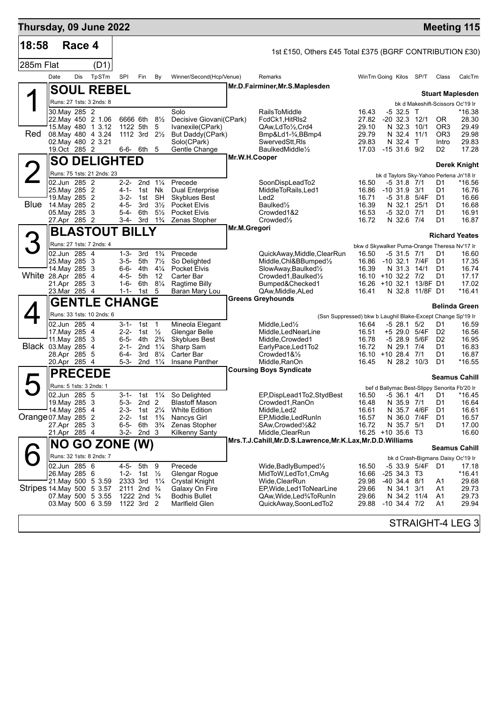| Thursday, 09 June 2022    |           |                                                                                  |                                                                                           |                                                                            |                                                                                                          |                                                                                       |                                                                                                                                                |              |                                                                                                                                                                                                       |                                                                             |                                 |                                                    |                                                         |                                                          | <b>Meeting 115</b>                                                                         |
|---------------------------|-----------|----------------------------------------------------------------------------------|-------------------------------------------------------------------------------------------|----------------------------------------------------------------------------|----------------------------------------------------------------------------------------------------------|---------------------------------------------------------------------------------------|------------------------------------------------------------------------------------------------------------------------------------------------|--------------|-------------------------------------------------------------------------------------------------------------------------------------------------------------------------------------------------------|-----------------------------------------------------------------------------|---------------------------------|----------------------------------------------------|---------------------------------------------------------|----------------------------------------------------------|--------------------------------------------------------------------------------------------|
| 18:58                     |           | Race 4                                                                           |                                                                                           |                                                                            |                                                                                                          |                                                                                       |                                                                                                                                                |              | 1st £150, Others £45 Total £375 (BGRF CONTRIBUTION £30)                                                                                                                                               |                                                                             |                                 |                                                    |                                                         |                                                          |                                                                                            |
| 285m Flat                 |           |                                                                                  | (D1)                                                                                      |                                                                            |                                                                                                          |                                                                                       |                                                                                                                                                |              |                                                                                                                                                                                                       |                                                                             |                                 |                                                    |                                                         |                                                          |                                                                                            |
|                           | Date      | Dis                                                                              | TpSTm                                                                                     | <b>SPI</b>                                                                 | Fin                                                                                                      | By                                                                                    | Winner/Second(Hcp/Venue)                                                                                                                       |              | Remarks                                                                                                                                                                                               | WinTm Going Kilos SP/T                                                      |                                 |                                                    |                                                         | Class                                                    | CalcTm                                                                                     |
|                           |           |                                                                                  | <b>SOUL REBEL</b>                                                                         |                                                                            |                                                                                                          |                                                                                       |                                                                                                                                                |              | Mr.D.Fairminer, Mr.S.Maplesden                                                                                                                                                                        |                                                                             |                                 |                                                    |                                                         |                                                          | <b>Stuart Maplesden</b>                                                                    |
|                           |           |                                                                                  | Runs: 27 1sts: 3 2nds: 8                                                                  |                                                                            |                                                                                                          |                                                                                       |                                                                                                                                                |              |                                                                                                                                                                                                       |                                                                             |                                 |                                                    |                                                         |                                                          | bk d Makeshift-Scissors Oc'19 Ir                                                           |
| Red                       |           | 30. May 285 2                                                                    | 22. May 450 2 1.06<br>15. May 480 1 3.12<br>08. May 480 4 3.24<br>02. May 480 2 3.21      |                                                                            | 6666 6th 81/2<br>1122 5th<br>1112 3rd $2\frac{1}{2}$                                                     | 5                                                                                     | Solo<br>Decisive Giovani(CPark)<br>Ivanexile(CPark)<br>But Daddy(CPark)<br>Solo(CPark)                                                         |              | <b>RailsToMiddle</b><br>FcdCk1, HitRIs2<br>QAw,LdTo1/2,Crd4<br>Bmp&Ld1-34,BBmp4<br>SwervedStt, RIs                                                                                                    | 16.43<br>27.82<br>29.10<br>29.79<br>29.83                                   |                                 | $-532.5$<br>N 32.4 T                               | $\top$<br>$-20$ 32.3 12/1<br>N 32.3 10/1<br>N 32.4 11/1 | OR.<br>OR <sub>3</sub><br>OR <sub>3</sub><br>Intro       | *16.38<br>28.30<br>29.49<br>29.98<br>29.83                                                 |
|                           |           | 19.0ct 285 2                                                                     |                                                                                           |                                                                            | 6-6- 6th                                                                                                 | 5                                                                                     | Gentle Change                                                                                                                                  |              | BaulkedMiddle1/2<br>Mr.W.H.Cooper                                                                                                                                                                     | 17.03 -15 31.6 9/2                                                          |                                 |                                                    |                                                         | D <sub>2</sub>                                           | 17.28                                                                                      |
|                           | <b>SO</b> |                                                                                  | <b>DELIGHTED</b>                                                                          |                                                                            |                                                                                                          |                                                                                       |                                                                                                                                                |              |                                                                                                                                                                                                       |                                                                             |                                 |                                                    |                                                         |                                                          | <b>Derek Knight</b>                                                                        |
|                           |           | 02.Jun 285 2                                                                     | Runs: 75 1sts: 21 2nds: 23                                                                |                                                                            | 2nd $1\frac{1}{4}$                                                                                       |                                                                                       |                                                                                                                                                |              |                                                                                                                                                                                                       |                                                                             |                                 |                                                    |                                                         |                                                          | bk d Taylors Sky-Yahoo Perlena Jn'18 Ir                                                    |
| Blue                      |           | 25. May 285 2<br>19. May 285 2<br>14. May 285 2<br>05. May 285 3<br>27.Apr 285 2 |                                                                                           | 2-2-<br>4-1-<br>3-2-<br>4-5-<br>$5 - 4 -$<br>3-4-                          | 1st Nk<br>1st<br>- 3rd<br>6th<br>3rd                                                                     | <b>SH</b><br>$3\frac{1}{2}$<br>$5\frac{1}{2}$<br>$1\frac{3}{4}$                       | Precede<br>Dual Enterprise<br><b>Skyblues Best</b><br><b>Pocket Elvis</b><br><b>Pocket Elvis</b><br>Zenas Stopher                              |              | SoonDispLeadTo2<br>MiddleToRails, Led1<br>Led2<br>Baulked <sup>1/2</sup><br>Crowded1&2<br>Crowded <sup>1/2</sup>                                                                                      | 16.50<br>16.86<br>16.71<br>16.39<br>16.53<br>16.72                          | $-10$ 31.9 3/1                  | $-531.87/1$<br>$-531.8$<br>$-5,32.0$<br>N 32.6 7/4 | 5/4F<br>N 32.1 25/1<br>7/1                              | D1<br>D1<br>D1<br>D1<br>D1<br>D <sub>1</sub>             | *16.56<br>16.76<br>16.66<br>16.68<br>16.91<br>16.87                                        |
|                           |           |                                                                                  | <b>BLASTOUT BILLY</b>                                                                     |                                                                            |                                                                                                          |                                                                                       |                                                                                                                                                | Mr.M.Gregori |                                                                                                                                                                                                       |                                                                             |                                 |                                                    |                                                         |                                                          |                                                                                            |
| З                         |           |                                                                                  | Runs: 27 1sts: 7 2nds: 4                                                                  |                                                                            |                                                                                                          |                                                                                       |                                                                                                                                                |              |                                                                                                                                                                                                       | bkw d Skywalker Puma-Orange Theresa Nv'17 Ir                                |                                 |                                                    |                                                         |                                                          | <b>Richard Yeates</b>                                                                      |
| White 28.Apr 285 4        |           | 02.Jun 285 4<br>25. May 285 3<br>14. May 285 3<br>21.Apr 285 3<br>23.Mar 285 4   |                                                                                           | $1 - 3 -$<br>3-5-<br>6-6-<br>$4 - 5 -$<br>1-6-<br>$1 - 1 -$                | 3rd<br>5th<br>4th<br>5th<br>6th<br>1st                                                                   | $1\frac{3}{4}$<br>$7\frac{1}{2}$<br>$4\frac{1}{4}$<br>12<br>$8\frac{1}{4}$<br>5       | Precede<br>So Delighted<br>Pocket Elvis<br>Carter Bar<br>Ragtime Billy<br>Baran Mary Lou                                                       |              | QuickAway, Middle, ClearRun<br>Middle, Chl&BBumped1/2<br>SlowAway,Baulked1/2<br>Crowded1, Baulked1/2<br>Bumped&Checked1<br>QAw, Middle, ALed                                                          | 16.50<br>16.86<br>16.39<br>16.10 +10 32.2 7/2<br>$16.26 + 10.32.1$<br>16.41 |                                 | $-5$ 31.5 7/1<br>N 32.8                            | -10 32.1 7/4F<br>N 31.3 14/1<br>13/8F D1<br>11/8F D1    | D1<br>D1<br>D <sub>1</sub><br>D1                         | 16.60<br>17.35<br>16.74<br>17.17<br>17.02<br>$*16.41$                                      |
|                           |           |                                                                                  | <b>GENTLE CHANGE</b>                                                                      |                                                                            |                                                                                                          |                                                                                       |                                                                                                                                                |              | <b>Greens Greyhounds</b>                                                                                                                                                                              |                                                                             |                                 |                                                    |                                                         |                                                          | <b>Belinda Green</b>                                                                       |
|                           |           |                                                                                  | Runs: 33 1sts: 10 2nds: 6                                                                 |                                                                            |                                                                                                          |                                                                                       |                                                                                                                                                |              | (Ssn Suppressed) bkw b Laughil Blake-Except Change Sp'19 Ir                                                                                                                                           |                                                                             |                                 |                                                    |                                                         |                                                          |                                                                                            |
| Black 03. May 285 4       |           | 02.Jun 285 4<br>17. May 285 4<br>11. May 285 3<br>28.Apr 285 5<br>20.Apr 285 4   |                                                                                           | $2 - 2 -$<br>2-1-<br>6-4-<br>$5 - 3 -$                                     | 3-1- 1st 1<br>1st<br>6-5- 4th<br>2nd<br>3rd<br>2nd                                                       | $\frac{1}{2}$<br>$2\frac{3}{4}$<br>$1\frac{1}{4}$<br>$8\frac{1}{4}$<br>$1\frac{1}{4}$ | Mineola Elegant<br>Glengar Belle<br><b>Skyblues Best</b><br>Sharp Sam<br>Carter Bar<br>Insane Panther                                          |              | Middle, Led <sup>1</sup> / <sub>2</sub><br>Middle, LedNearLine<br>Middle, Crowded1<br>EarlyPace, Led1To2<br>Crowded1&1/2<br>Middle, RanOn                                                             | 16.64<br>16.51<br>16.78<br>16.72<br>16.10 +10 28.4 7/1<br>16.45             |                                 | $-5$ 28.1 $5/2$<br>N 29.1 7/4                      | +5 29.0 5/4F<br>-5 28.9 5/6F<br>N 28.2 10/3             | D1<br>D <sub>2</sub><br>D <sub>2</sub><br>D1<br>D1<br>D1 | 16.59<br>16.56<br>16.95<br>16.83<br>16.87<br>*16.55                                        |
|                           |           |                                                                                  | <b>PRECEDE</b>                                                                            |                                                                            |                                                                                                          |                                                                                       |                                                                                                                                                |              | <b>Coursing Boys Syndicate</b>                                                                                                                                                                        |                                                                             |                                 |                                                    |                                                         |                                                          | <b>Seamus Cahill</b>                                                                       |
|                           |           |                                                                                  | Runs: 5 1sts: 3 2nds: 1                                                                   |                                                                            |                                                                                                          |                                                                                       |                                                                                                                                                |              |                                                                                                                                                                                                       |                                                                             |                                 |                                                    |                                                         |                                                          | bef d Ballymac Best-Slippy Senorita Fb'20 Ir                                               |
| Orange 07 May 285 2       |           | 02.Jun 285 5<br>19. May 285 3<br>14. May 285 4<br>27.Apr 285 3<br>21.Apr 285 4   |                                                                                           | $3 - 1 -$<br>$5 - 3 -$<br>$2 - 3 -$<br>$2 - 2 -$<br>$6 - 5 -$<br>$3 - 2 -$ | 1st<br>2nd <sub>2</sub><br>1st<br>6th<br>2nd <sub>3</sub>                                                | 1st $2\frac{1}{4}$<br>$1\frac{3}{4}$<br>$3\frac{3}{4}$                                | 11/ <sub>4</sub> So Delighted<br><b>Blastoff Mason</b><br><b>White Edition</b><br><b>Nancys Girl</b><br>Zenas Stopher<br><b>Kilkenny Santy</b> |              | EP, DispLead1To2, StydBest<br>Crowded1, RanOn<br>Middle, Led <sub>2</sub><br>EP, Middle, Led Run In<br>SAw,Crowded1/2&2<br>Middle, ClearRun                                                           | 16.50<br>16.48<br>16.61<br>16.57<br>16.72<br>16.25 +10 35.6 T3              |                                 | N 35.9 7/1<br>N 36.0<br>N 35.7 5/1                 | $-536.14/1$ D1<br>N 35.7 4/6F<br>7/4F                   | D1<br>D1<br>D1<br>D1                                     | *16.45<br>16.64<br>16.61<br>16.57<br>17.00<br>16.60                                        |
|                           | <b>NO</b> |                                                                                  | GO ZONE (W)                                                                               |                                                                            |                                                                                                          |                                                                                       |                                                                                                                                                |              | Mrs.T.J.Cahill,Mr.D.S.Lawrence,Mr.K.Lax,Mr.D.D.Williams                                                                                                                                               |                                                                             |                                 |                                                    |                                                         |                                                          | <b>Seamus Cahill</b>                                                                       |
| Stripes 14 May 500 5 3.57 |           | 02.Jun 285 6<br>26. May 285 6                                                    | Runs: 32 1sts: 8 2nds: 7<br>21. May 500 5 3.59<br>07 May 500 5 3.55<br>03. May 500 6 3.59 | 4-5-<br>$1 - 2 -$<br>2333 3rd                                              | 5th<br>1st<br>2111 2nd <sup>3</sup> / <sub>4</sub><br>1222 2nd <sup>3</sup> / <sub>4</sub><br>1122 3rd 2 | 9<br>$\frac{1}{2}$<br>$1\frac{1}{4}$                                                  | Precede<br>Glengar Rogue<br><b>Crystal Knight</b><br>Galaxy On Fire<br><b>Bodhis Bullet</b><br>Marlfield Glen                                  |              | Wide, Badly Bumped <sup>1</sup> / <sub>2</sub><br>MidToW,LedTo1,CmAg<br>Wide,ClearRun<br>EP, Wide, Led 1 To Near Line<br>QAw, Wide, Led <sup>3</sup> / <sub>4</sub> To Run In<br>QuickAway,SoonLedTo2 | 16.50<br>16.66<br>29.98<br>29.66<br>29.66<br>29.88                          | -25 34.3 T3<br>$-10$ 34.4 $7/2$ | $-40$ 34.4 $8/1$<br>N 34.1                         | -5 33.9 5/4F D1<br>3/1<br>N 34.2 11/4                   | A1<br>A1<br>A1<br>A1                                     | bk d Crash-Bigmans Daisy Oc'19 Ir<br>17.18<br>$*16.41$<br>29.68<br>29.73<br>29.73<br>29.94 |
|                           |           |                                                                                  |                                                                                           |                                                                            |                                                                                                          |                                                                                       |                                                                                                                                                |              |                                                                                                                                                                                                       |                                                                             |                                 |                                                    |                                                         |                                                          | STRAIGHT-4 LEG 3                                                                           |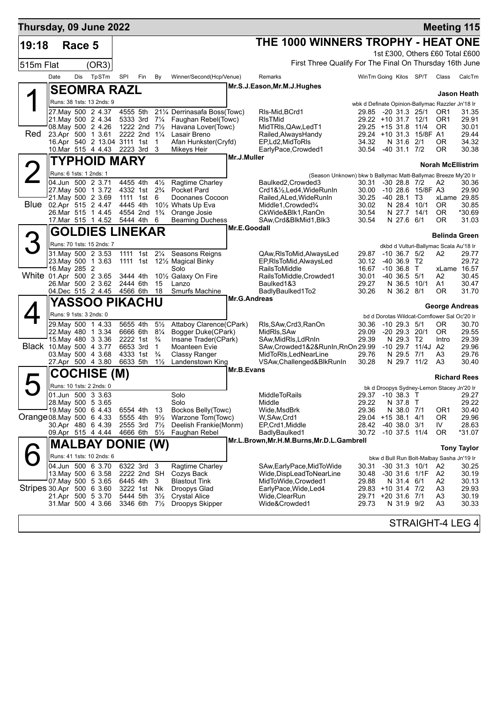| Thursday, 09 June 2022    |                         |        |                                          |                      |                                        |                    |                                           |             |                                                                                     |                                            |                            |                         | <b>Meeting 115</b>                               |                    |
|---------------------------|-------------------------|--------|------------------------------------------|----------------------|----------------------------------------|--------------------|-------------------------------------------|-------------|-------------------------------------------------------------------------------------|--------------------------------------------|----------------------------|-------------------------|--------------------------------------------------|--------------------|
| 19:18                     |                         | Race 5 |                                          |                      |                                        |                    |                                           |             | THE 1000 WINNERS TROPHY - HEAT ONE                                                  |                                            |                            |                         |                                                  |                    |
|                           |                         |        |                                          |                      |                                        |                    |                                           |             |                                                                                     |                                            |                            |                         | 1st £300, Others £60 Total £600                  |                    |
| 515m Flat                 |                         |        | (OR3)                                    |                      |                                        |                    |                                           |             | First Three Qualify For The Final On Thursday 16th June                             |                                            |                            |                         |                                                  |                    |
|                           | Date                    | Dis    | TpSTm                                    | <b>SPI</b>           | Fin                                    | By                 | Winner/Second(Hcp/Venue)                  |             | Remarks                                                                             | WinTm Going Kilos SP/T                     |                            |                         | Class                                            | CalcTm             |
|                           |                         |        | <b>SEOMRA RAZL</b>                       |                      |                                        |                    |                                           |             | Mr.S.J.Eason, Mr.M.J.Hughes                                                         |                                            |                            |                         |                                                  | Jason Heath        |
|                           |                         |        | Runs: 38 1sts: 13 2nds: 9                |                      |                                        |                    |                                           |             |                                                                                     |                                            |                            |                         | wbk d Definate Opinion-Ballymac Razzler Jn'18 Ir |                    |
|                           |                         |        | 27 May 500 2 4.37                        | 4555 5th             |                                        |                    | 211/4 Derrinasafa Boss(Towc)              |             | RIs-Mid, BCrd1                                                                      | 29.85                                      | -20 31.3 25/1              |                         | OR <sub>1</sub>                                  | 31.35              |
|                           |                         |        | 21.May 500 2 4.34<br>08.May 500 2 4.26   |                      | 5333 3rd<br>1222 2nd $7\frac{1}{2}$    | $7\frac{1}{4}$     | Faughan Rebel(Towc)<br>Havana Lover(Towc) |             | <b>RIsTMid</b><br>MidTRIs, QAw, LedT1                                               | 29.22 +10 31.7 12/1<br>29.25 +15 31.8 11/4 |                            |                         | OR <sub>1</sub><br>0R                            | 29.91<br>30.01     |
| Red                       |                         |        | 23.Apr 500 1 3.61                        |                      | 2222 2nd 11/4                          |                    | Lasair Breno                              |             | Railed, Always Handy                                                                |                                            |                            | 29.24 +10 31.3 15/8F A1 |                                                  | 29.44              |
|                           |                         |        | 16.Apr 540 2 13.04 3111 1st              |                      |                                        | $\mathbf 1$        | Afan Hunkster(Cryfd)                      |             | EP,Ld2,MidToRIs                                                                     | 34.32                                      | N 31.6 2/1                 |                         | 0 <sub>R</sub>                                   | 34.32              |
|                           |                         |        | 10. Mar 515 4 4.43 2223 3rd 3            |                      |                                        |                    | Mikeys Heir                               | Mr.J.Muller | EarlyPace, Crowded1                                                                 | 30.54                                      | $-40$ 31.1 $7/2$           |                         | 0R                                               | 30.38              |
|                           |                         |        | TYPHOID MARY                             |                      |                                        |                    |                                           |             |                                                                                     |                                            |                            |                         | <b>Norah McEllistrim</b>                         |                    |
|                           | Runs: 6 1sts: 1 2nds: 1 |        | 04.Jun 500 2 3.71                        | 4455 4th             |                                        | $4\frac{1}{2}$     | Ragtime Charley                           |             | (Season Unknown) bkw b Ballymac Matt-Ballymac Breeze My'20 Ir<br>Baulked2, Crowded3 | 30.31                                      | $-30$ 28.8 $7/2$           |                         | A2                                               | 30.36              |
|                           |                         |        | 27. May 500 1 3.72                       |                      | 4332 1st 2 <sup>3</sup> / <sub>4</sub> |                    | Pocket Pard                               |             | Crd1&1/ <sub>2</sub> , Led4, WideRunIn                                              | 30.00                                      |                            | -10 28.6 15/8F A3       |                                                  | 29.90              |
|                           |                         |        | 21. May 500 2 3.69                       |                      | 1111 1st                               | 6                  | Doonanes Cocoon                           |             | Railed, ALed, WideRunIn                                                             | 30.25                                      | $-40, 28.1$ T <sub>3</sub> |                         | xLame 29.85                                      |                    |
| <b>Blue</b>               |                         |        | 02.Apr 515 2 4.47<br>26. Mar 515 1 4.45  | 4445 4th             | 4554 2nd 1 <sup>3</sup> / <sub>4</sub> |                    | 101/2 Whats Up Eva                        |             | Middle1, Crowded%                                                                   | 30.02                                      | N 28.4                     | 10/1                    | <b>OR</b>                                        | 30.85              |
|                           |                         |        | 17.Mar 515 1 4.52                        |                      | 5444 4th                               | 6                  | Orange Josie<br><b>Beaming Duchess</b>    |             | CkWide&Blk1, RanOn<br>SAw, Crd&BlkMid1, Blk3                                        | 30.54<br>30.54                             | N 27.7<br>N 27.6 6/1       | 14/1                    | <b>OR</b><br>0R                                  | *30.69<br>31.03    |
|                           |                         |        | <b>GOLDIES LINEKAR</b>                   |                      |                                        |                    |                                           |             | Mr.E.Goodall                                                                        |                                            |                            |                         |                                                  |                    |
|                           |                         |        | Runs: 70 1sts: 15 2nds: 7                |                      |                                        |                    |                                           |             |                                                                                     |                                            |                            |                         | <b>Belinda Green</b>                             |                    |
|                           |                         |        | 31. May 500 2 3.53                       |                      |                                        | 1111 1st 21/4      | Seasons Reigns                            |             | QAw,RIsToMid,AlwaysLed                                                              | 29.87                                      | $-10$ 36.7 $5/2$           |                         | dkbd d Vulturi-Ballymac Scala Au'18 Ir<br>A2     | 29.77              |
|                           |                         |        | 23. May 500 1 3.63                       |                      |                                        |                    | 1111 1st 121/2 Magical Binky              |             | EP, RIsToMid, AlwaysLed                                                             | 30.12                                      | $-40,36.9$ T <sub>2</sub>  |                         |                                                  | 29.72              |
|                           | 16. May 285 2           |        |                                          |                      |                                        |                    | Solo                                      |             | <b>RailsToMiddle</b>                                                                | 16.67                                      | $-10,36.8$ T               |                         | xLame 16.57                                      |                    |
| White 01.Apr 500 2 3.65   |                         |        | 26.Mar 500 2 3.62                        | 3444 4th<br>2444 6th |                                        | 15                 | 101/ <sub>2</sub> Galaxy On Fire<br>Lanzo |             | RailsToMiddle, Crowded1<br>Baulked1&3                                               | 30.01<br>29.27                             | -40 36.5                   | 5/1<br>N 36.5 10/1      | A2<br>A1                                         | 30.45<br>30.47     |
|                           |                         |        | 04.Dec 515 2 4.45 4566 6th               |                      |                                        | 18                 | Smurfs Machine                            |             | BadlyBaulked1To2                                                                    | 30.26                                      | N 36.2 8/1                 |                         | 0R                                               | 31.70              |
|                           |                         |        | YASSOO PIKACHU                           |                      |                                        |                    |                                           |             | Mr.G.Andreas                                                                        |                                            |                            |                         | <b>George Andreas</b>                            |                    |
|                           |                         |        | Runs: 9 1sts: 3 2nds: 0                  |                      |                                        |                    |                                           |             |                                                                                     |                                            |                            |                         | bd d Dorotas Wildcat-Cornflower Sal Oc'20 Ir     |                    |
|                           |                         |        | 29. May 500 1 4.33                       | 5655 4th             |                                        | $5\frac{1}{2}$     | Attaboy Clarence(CPark)                   |             | Rls, SAw, Crd3, RanOn                                                               | 30.36                                      | $-10$ 29.3 $5/1$           |                         | 0R                                               | 30.70              |
|                           |                         |        | 22. May 480 1 3.34                       |                      | 6666 6th                               | $8\frac{1}{4}$     | Bogger Duke(CPark)                        |             | MidRIs, SAw                                                                         | 29.09                                      | $-20$ 29.3 20/1            |                         | 0R                                               | 29.55              |
| Black 10. May 500 4 3.77  |                         |        | 15. May 480 3 3.36                       | 6653 3rd             | 2222 1st                               | $\frac{3}{4}$<br>1 | Insane Trader(CPark)<br>Moanteen Evie     |             | SAw, MidRIs, LdRnIn<br>SAw, Crowded 1&2& RunIn, RnOn 29.99                          | 29.39                                      | N 29.3 T2<br>$-10, 29.7$   | 11/4J A2                | Intro                                            | 29.39<br>29.96     |
|                           |                         |        | 03. May 500 4 3.68                       |                      | 4333 1st                               | $\frac{3}{4}$      | Classy Ranger                             |             | MidToRIs, LedNearLine                                                               | 29.76                                      | N 29.5 7/1                 |                         | A3                                               | 29.76              |
|                           |                         |        | 27.Apr 500 4 3.80                        | 6633 5th             |                                        | $1\frac{1}{2}$     | Landenstown King                          |             | VSAw, Challenged& BlkRunIn                                                          | 30.28                                      | N 29.7 11/2                |                         | A3                                               | 30.40              |
|                           |                         |        | <b>COCHISE (M)</b>                       |                      |                                        |                    |                                           | Mr.B.Evans  |                                                                                     |                                            |                            |                         | <b>Richard Rees</b>                              |                    |
|                           |                         |        | Runs: 10 1sts: 2 2nds: 0                 |                      |                                        |                    |                                           |             |                                                                                     |                                            |                            |                         | bk d Droopys Sydney-Lemon Stacey Jn'20 Ir        |                    |
|                           |                         |        | 01.Jun 500 3 3.63                        |                      |                                        |                    | Solo                                      |             | MiddleToRails                                                                       |                                            |                            |                         | 29.37 -10 38.3 T 29.27                           |                    |
|                           |                         |        | 28. May 500 5 3.65<br>19. May 500 6 4.43 |                      | 6554 4th                               | 13                 | Solo<br>Bockos Belly(Towc)                |             | Middle<br>Wide,MsdBrk                                                               | 29.22<br>29.36                             | N 37.8 T<br>N 38.0 7/1     |                         | OR <sub>1</sub>                                  | 29.22<br>30.40     |
| Orange 08 May 500 6 4.33  |                         |        |                                          | 5555 4th             |                                        | $9\frac{1}{2}$     | Warzone Tom(Towc)                         |             | W,SAw,Crd1                                                                          | 29.04 +15 38.1 4/1                         |                            |                         | 0R                                               | 29.96              |
|                           |                         |        | 30.Apr 480 6 4.39                        |                      | 2555 3rd                               | $7\frac{1}{2}$     | Deelish Frankie(Monm)                     |             | EP, Crd1, Middle                                                                    | 28.42                                      | $-40, 38.0, 3/1$           |                         | IV                                               | 28.63              |
|                           |                         |        | 09.Apr 515 4 4.44                        |                      | 4666 6th                               | $5\frac{1}{2}$     | Faughan Rebel                             |             | BadlyBaulked1<br>Mr.L.Brown, Mr.H.M.Burns, Mr.D.L.Gambrell                          | 30.72 -10 37.5 11/4                        |                            |                         | 0R                                               | *31.07             |
|                           |                         |        | <b>MALBAY DONIE (W)</b>                  |                      |                                        |                    |                                           |             |                                                                                     |                                            |                            |                         |                                                  | <b>Tony Taylor</b> |
|                           |                         |        | Runs: 41 1sts: 10 2nds: 6                |                      |                                        |                    |                                           |             |                                                                                     |                                            |                            |                         | bkw d Bull Run Bolt-Malbay Sasha Jn'19 Ir        |                    |
|                           |                         |        | 04.Jun 500 6 3.70                        |                      | 6322 3rd 3                             |                    | Ragtime Charley                           |             | SAw, Early Pace, Mid To Wide                                                        | 30.31                                      | $-30$ 31.3 10/1            |                         | A2                                               | 30.25              |
|                           |                         |        | 13. May 500 6 3.58<br>07. May 500 5 3.65 |                      | 2222 2nd SH<br>6445 4th 3              |                    | Cozys Back<br><b>Blastout Tink</b>        |             | Wide, DispLead To Near Line<br>MidToWide, Crowded 1                                 | 30.48<br>29.88                             | N 31.4 6/1                 | -30 31.6 1/1F           | A2<br>A2                                         | 30.19<br>30.13     |
| Stripes 30 Apr 500 6 3.60 |                         |        |                                          |                      | 3222 1st Nk                            |                    | Droopys Glad                              |             | EarlyPace, Wide, Led4                                                               | 29.83 +10 31.4 7/2                         |                            |                         | A3                                               | 29.93              |
|                           |                         |        | 21.Apr 500 5 3.70                        |                      | 5444 5th                               | $3\frac{1}{2}$     | <b>Crystal Alice</b>                      |             | Wide, Clear Run                                                                     | 29.71 +20 31.6 7/1                         |                            |                         | A3                                               | 30.19              |
|                           |                         |        | 31.Mar 500 4 3.66                        |                      | 3346 6th 7 <sup>1</sup> / <sub>2</sub> |                    | Droopys Skipper                           |             | Wide&Crowded1                                                                       | 29.73                                      | N 31.9 9/2                 |                         | A3                                               | 30.33              |
|                           |                         |        |                                          |                      |                                        |                    |                                           |             |                                                                                     |                                            |                            |                         | STRAIGHT-4 LEG 4                                 |                    |
|                           |                         |        |                                          |                      |                                        |                    |                                           |             |                                                                                     |                                            |                            |                         |                                                  |                    |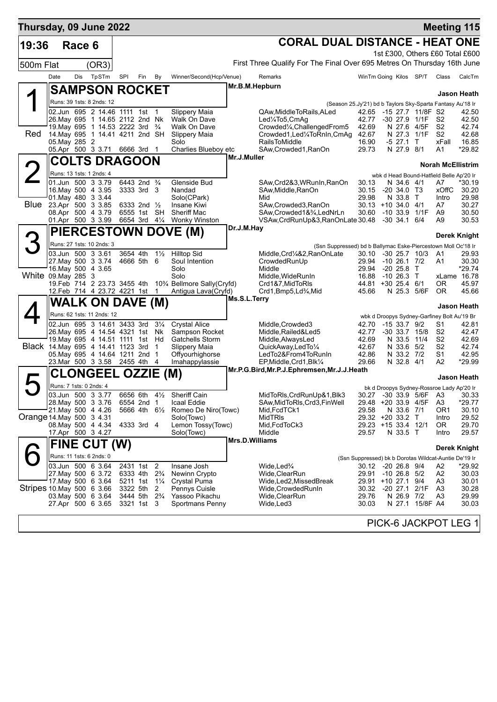| Thursday, 09 June 2022             |      |               |                                                                                             |                      |                                                    |                                  |                                                       |                       |                                                                                              |                |                                                            |                 | <b>Meeting 115</b>       |                       |
|------------------------------------|------|---------------|---------------------------------------------------------------------------------------------|----------------------|----------------------------------------------------|----------------------------------|-------------------------------------------------------|-----------------------|----------------------------------------------------------------------------------------------|----------------|------------------------------------------------------------|-----------------|--------------------------|-----------------------|
| 19:36                              |      | Race 6        |                                                                                             |                      |                                                    |                                  |                                                       |                       | <b>CORAL DUAL DISTANCE - HEAT ONE</b>                                                        |                |                                                            |                 |                          |                       |
|                                    |      |               |                                                                                             |                      |                                                    |                                  |                                                       |                       |                                                                                              |                | 1st £300, Others £60 Total £600                            |                 |                          |                       |
| 500m Flat                          |      |               | (OR3)                                                                                       |                      |                                                    |                                  |                                                       |                       | First Three Qualify For The Final Over 695 Metres On Thursday 16th June                      |                |                                                            |                 |                          |                       |
|                                    | Date | Dis           | TpSTm                                                                                       | SPI                  | Fin                                                | By                               | Winner/Second(Hcp/Venue)                              |                       | Remarks                                                                                      |                | WinTm Going Kilos SP/T                                     |                 | Class                    | CalcTm                |
|                                    |      |               | <b>SAMPSON ROCKET</b>                                                                       |                      |                                                    |                                  |                                                       | Mr.B.M.Hepburn        |                                                                                              |                |                                                            |                 |                          | Jason Heath           |
|                                    |      |               | Runs: 39 1sts: 8 2nds: 12                                                                   |                      |                                                    |                                  |                                                       |                       |                                                                                              |                | (Season 25.Jy'21) bd b Taylors Sky-Sparta Fantasy Au'18 Ir |                 |                          |                       |
|                                    |      |               | 02.Jun 695 2 14.46 1111 1st 1                                                               |                      |                                                    |                                  | Slippery Maia                                         |                       | QAw, Middle To Rails, ALed                                                                   | 42.65          | -15 27.7 11/8F S2                                          |                 |                          | 42.50                 |
|                                    |      |               | 26. May 695 1 14.65 2112 2nd Nk<br>19. May 695 1 14.53 2222 3rd <sup>3</sup> / <sub>4</sub> |                      |                                                    |                                  | Walk On Dave<br>Walk On Dave                          |                       | Led1/4To5,CmAg<br>Crowded1/4, Challenged From 5                                              | 42.77<br>42.69 | -30 27.9 1/1F<br>N 27.6                                    | 4/5F            | S2<br>S <sub>2</sub>     | 42.50<br>42.74        |
| Red                                |      |               | 14. May 695 1 14.41 4211 2nd SH                                                             |                      |                                                    |                                  | Slippery Maia                                         |                       | Crowded1, Led1/4ToRnIn, CmAq                                                                 | 42.67          |                                                            | N 27.3 1/1F     | S <sub>2</sub>           | 42.68                 |
|                                    |      | 05. May 285 2 | 05.Apr 500 3 3.71                                                                           |                      | 6666 3rd 1                                         |                                  | Solo<br>Charlies Blueboy etc                          |                       | <b>RailsToMiddle</b><br>SAw,Crowded1,RanOn                                                   | 16.90<br>29.73 | -5 27.1<br>N 27.9 8/1                                      | $\top$          | xFall<br>A1              | 16.85<br>*29.82       |
|                                    |      |               | <b>COLTS DRAGOON</b>                                                                        |                      |                                                    |                                  |                                                       | Mr.J.Muller           |                                                                                              |                |                                                            |                 |                          |                       |
|                                    |      |               | Runs: 13 1sts: 1 2nds: 4                                                                    |                      |                                                    |                                  |                                                       |                       |                                                                                              |                |                                                            |                 | <b>Norah McEllistrim</b> |                       |
|                                    |      |               | 01.Jun 500 3 3.79                                                                           |                      | 6443 2nd <sup>3</sup> / <sub>4</sub>               |                                  | Glenside Bud                                          |                       | SAw, Crd2&3, WRunIn, RanOn                                                                   | 30.13          | wbk d Head Bound-Hatfield Belle Ap'20 Ir<br>N 34.6 4/1     |                 | A7                       | *30.19                |
|                                    |      |               | 16. May 500 4 3.95                                                                          |                      | 3333 3rd 3                                         |                                  | Nandad                                                |                       | SAw, Middle, RanOn                                                                           | 30.15          | $-20, 34.0, 73$                                            |                 | xOffC                    | 30.20                 |
|                                    |      |               | 01. May 480 3 3.44<br>Blue 23.Apr 500 3 3.85                                                |                      | 6333 2nd 1/2                                       |                                  | Solo(CPark)<br>Insane Kiwi                            |                       | Mid<br>SAw, Crowded 3, RanOn                                                                 | 29.98          | N 33.8 T<br>$30.13 + 10.34.0$ 4/1                          |                 | Intro<br>A7              | 29.98<br>30.27        |
|                                    |      |               | 08.Apr 500 4 3.79                                                                           |                      | 6555 1st SH                                        |                                  | <b>Sheriff Mac</b>                                    |                       | SAw, Crowded 1&3/4, LedNrLn                                                                  |                | 30.60 -10 33.9 1/1F                                        |                 | A9                       | 30.50                 |
|                                    |      |               | 01.Apr 500 3 3.99                                                                           |                      | 6654 3rd 41/4                                      |                                  | Wonky Winston                                         | Dr.J.M.Hay            | VSAw, CrdRunUp&3, RanOnLate 30.48 -30 34.1 6/4                                               |                |                                                            |                 | A9                       | 30.53                 |
| 3                                  |      |               |                                                                                             |                      |                                                    |                                  | <b>PIERCESTOWN DOVE (M)</b>                           |                       |                                                                                              |                |                                                            |                 |                          | Derek Knight          |
|                                    |      |               | Runs: 27 1sts: 10 2nds: 3<br>03.Jun 500 3 3.61                                              | 3654 4th             |                                                    | $1\frac{1}{2}$                   | <b>Hilltop Sid</b>                                    |                       | (Ssn Suppressed) bd b Ballymac Eske-Piercestown Moll Oc'18 Ir<br>Middle, Crd1/4&2, RanOnLate | 30.10          | $-30$ 25.7 $10/3$                                          |                 | A1                       | 29.93                 |
|                                    |      |               | 27. May 500 3 3.74                                                                          |                      | 4666 5th 6                                         |                                  | Soul Intention                                        |                       | CrowdedRunUp                                                                                 |                | 29.94 -10 26.1 7/2                                         |                 | A1                       | 30.30                 |
| White 09. May 285 3                |      |               | 16. May 500 4 3.65                                                                          |                      |                                                    |                                  | Solo<br>Solo                                          |                       | Middle<br>Middle, WideRunIn                                                                  | 29.94<br>16.88 | $-20, 25.8$<br>-10 26.3 T                                  | $\mathsf{T}$    |                          | *29.74<br>xLame 16.78 |
|                                    |      |               | 19.Feb 714 2 23.73 3455 4th                                                                 |                      |                                                    |                                  | 10% Bellmore Sally(Cryfd)                             |                       | Crd1&7,MidToRIs                                                                              |                | 44.81 +30 25.4 6/1                                         |                 | OR.                      | 45.97                 |
|                                    |      |               | 12.Feb 714 4 23.72 4221 1st 1                                                               |                      |                                                    |                                  | Antigua Lava(Cryfd)                                   | Ms.S.L.Terry          | Crd1, Bmp5, Ld <sup>3</sup> / <sub>4</sub> , Mid                                             | 45.66          | N 25.3                                                     | 5/6F            | 0R                       | 45.66                 |
|                                    |      |               | <b>WALK ON DAVE (M)</b>                                                                     |                      |                                                    |                                  |                                                       |                       |                                                                                              |                |                                                            |                 |                          | Jason Heath           |
|                                    |      |               | Runs: 62 1sts: 11 2nds: 12                                                                  |                      |                                                    |                                  |                                                       |                       |                                                                                              |                | wbk d Droopys Sydney-Garfiney Bolt Au'19 Br                |                 |                          |                       |
|                                    |      |               | 02.Jun 695 3 14.61 3433 3rd<br>26. May 695 4 14.54 4321 1st Nk                              |                      |                                                    | $3\frac{1}{4}$                   | <b>Crystal Alice</b><br>Sampson Rocket                |                       | Middle, Crowded 3<br>Middle, Railed&Led5                                                     | 42.70<br>42.77 | $-1533.79/2$<br>$-30$ 33.7 $15/8$                          |                 | S1<br>S <sub>2</sub>     | 42.81<br>42.47        |
|                                    |      |               | 19. May 695 4 14.51 1111 1st Hd                                                             |                      |                                                    |                                  | <b>Gatchells Storm</b>                                |                       | Middle, AlwaysLed                                                                            | 42.69          |                                                            | N 33.5 11/4     | S <sub>2</sub>           | 42.69                 |
| Black 14. May 695 4 14.41 1123 3rd |      |               | 05. May 695 4 14.64 1211 2nd 1                                                              |                      |                                                    | $\overline{1}$                   | Slippery Maia<br>Offyourhighorse                      |                       | QuickAway,LedTo1/4<br>LedTo2&From4ToRunIn                                                    | 42.67<br>42.86 | N 33.2 7/2                                                 | N 33.6 5/2      | S2<br>S1                 | 42.74<br>42.95        |
|                                    |      |               | 23. Mar 500 3 3.58                                                                          | 2455 4th 4           |                                                    |                                  | Imahappylassie                                        |                       | EP, Middle, Crd1, Blk1/4                                                                     | 29.66          | N 32.8 4/1                                                 |                 | A2                       | *29.99                |
|                                    |      |               | <b>CLONGEEL OZZIE (M)</b>                                                                   |                      |                                                    |                                  |                                                       |                       | Mr.P.G.Bird, Mr.P.J.Ephremsen, Mr.J.J.Heath                                                  |                |                                                            |                 |                          | Jason Heath           |
|                                    |      |               | Runs: 7 1sts: 0 2nds: 4                                                                     |                      |                                                    |                                  |                                                       |                       |                                                                                              |                | bk d Droopys Sydney-Rossroe Lady Ap'20 Ir                  |                 |                          |                       |
|                                    |      |               | 03.Jun 500 3 3.77<br>28. May 500 3 3.76                                                     |                      | 6554 2nd 1                                         |                                  | 6656 6th 41/ <sub>2</sub> Sheriff Cain<br>Icaal Eddie |                       | MidToRIs, CrdRunUp&1, Blk3<br>SAw, MidToRIs, Crd3, FinWell                                   |                | 30.27 -30 33.9 5/6F A3 30.33<br>29.48 +20 33.9 4/5F        |                 | A <sub>3</sub>           | $*29.77$              |
|                                    |      |               | 21. May 500 4 4.26                                                                          |                      | 5666 4th 61/2                                      |                                  | Romeo De Niro(Towc)                                   |                       | Mid, FcdTCk1                                                                                 | 29.58          | N 33.6 7/1                                                 |                 | OR <sub>1</sub>          | 30.10                 |
| Orange 14 May 500 3 4 31           |      |               | 08. May 500 4 4.34                                                                          |                      | 4333 3rd 4                                         |                                  | Solo(Towc)<br>Lemon Tossy(Towc)                       |                       | MidTRIs<br>Mid, FcdToCk3                                                                     |                | 29.32 +20 33.2 T<br>29.23 +15 33.4 12/1                    |                 | Intro<br>0R              | 29.52<br>29.70        |
|                                    |      |               | 17.Apr 500 3 4.27                                                                           |                      |                                                    |                                  | Solo(Towc)                                            |                       | Middle                                                                                       | 29.57          | N 33.5 T                                                   |                 | Intro                    | 29.57                 |
|                                    |      |               | FINE CUT (W)                                                                                |                      |                                                    |                                  |                                                       | <b>Mrs.D.Williams</b> |                                                                                              |                |                                                            |                 |                          | <b>Derek Knight</b>   |
|                                    |      |               | Runs: 11 1sts: 6 2nds: 0                                                                    |                      |                                                    |                                  |                                                       |                       |                                                                                              |                | (Ssn Suppressed) bk b Dorotas Wildcat-Auntie De'19 Ir      |                 |                          |                       |
|                                    |      |               | 03.Jun 500 6 3.64                                                                           |                      | 2431 1st                                           | $\overline{2}$                   | Insane Josh                                           |                       | Wide,Led <sup>3</sup> /4                                                                     |                | 30.12 -20 26.8 9/4                                         |                 | A2                       | *29.92                |
|                                    |      |               | 27. May 500 6 3.72<br>17 May 500 6 3.64                                                     | 6333 4th<br>5211 1st |                                                    | $2\frac{3}{4}$<br>$1\frac{1}{4}$ | Newinn Crypto<br><b>Crystal Puma</b>                  |                       | Wide,ClearRun<br>Wide,Led2,MissedBreak                                                       | 29.91          | $-10$ 26.8 $5/2$<br>29.91 +10 27.1                         | 9/4             | A <sub>2</sub><br>A3     | 30.03<br>30.01        |
| Stripes 10 May 500 6 3.66          |      |               |                                                                                             | 3322 5th             |                                                    | 2                                | Pennys Cuisle                                         |                       | Wide,CrowdedRunIn                                                                            | 30.32          | $-20$ 27.1                                                 | 2/1F            | A <sub>3</sub>           | 30.28                 |
|                                    |      |               | 03. May 500 6 3.64<br>27.Apr 500 6 3.65                                                     |                      | 3444 5th 2 <sup>3</sup> / <sub>4</sub><br>3321 1st | 3                                | Yassoo Pikachu<br>Sportmans Penny                     |                       | Wide,ClearRun<br>Wide,Led3                                                                   | 29.76<br>30.03 | N 26.9 7/2                                                 | N 27.1 15/8F A4 | A3                       | 29.99<br>30.03        |
|                                    |      |               |                                                                                             |                      |                                                    |                                  |                                                       |                       |                                                                                              |                |                                                            |                 |                          |                       |
|                                    |      |               |                                                                                             |                      |                                                    |                                  |                                                       |                       |                                                                                              |                | PICK-6 JACKPOT LEG 1                                       |                 |                          |                       |
|                                    |      |               |                                                                                             |                      |                                                    |                                  |                                                       |                       |                                                                                              |                |                                                            |                 |                          |                       |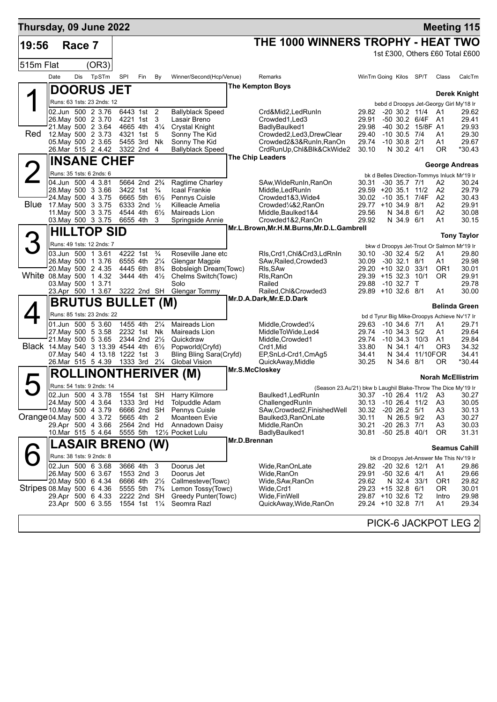| Thursday, 09 June 2022             |                                                      |        |                            |                               |                                                    |                     |                                             |                |                                                                     |                |                                                                |                 |                       | <b>Meeting 115</b>       |
|------------------------------------|------------------------------------------------------|--------|----------------------------|-------------------------------|----------------------------------------------------|---------------------|---------------------------------------------|----------------|---------------------------------------------------------------------|----------------|----------------------------------------------------------------|-----------------|-----------------------|--------------------------|
| 19:56                              |                                                      | Race 7 |                            |                               |                                                    |                     |                                             |                | THE 1000 WINNERS TROPHY - HEAT TWO                                  |                |                                                                |                 |                       |                          |
|                                    |                                                      |        |                            |                               |                                                    |                     |                                             |                |                                                                     |                | 1st £300, Others £60 Total £600                                |                 |                       |                          |
| 515m Flat                          |                                                      |        | (OR3)                      |                               |                                                    |                     |                                             |                |                                                                     |                |                                                                |                 |                       |                          |
|                                    | Date                                                 | Dis    | TpSTm                      | SPI                           | Fin                                                | By                  | Winner/Second(Hcp/Venue)                    |                | Remarks                                                             |                | WinTm Going Kilos SP/T                                         |                 | Class                 | CalcTm                   |
|                                    |                                                      |        |                            | <b>DOORUS JET</b>             |                                                    |                     |                                             |                | <b>The Kempton Boys</b>                                             |                |                                                                |                 |                       |                          |
|                                    | Runs: 63 1sts: 23 2nds: 12                           |        |                            |                               |                                                    |                     |                                             |                |                                                                     |                | bebd d Droopys Jet-Georgy Girl My'18 Ir                        |                 |                       | <b>Derek Knight</b>      |
|                                    | 02.Jun 500 2 3.76                                    |        |                            |                               | 6443 1st 2                                         |                     | <b>Ballyblack Speed</b>                     |                | Crd&Mid2,LedRunIn                                                   | 29.82          | $-20$ 30.2 11/4                                                |                 | A1                    | 29.62                    |
|                                    | 26. May 500 2 3.70                                   |        |                            |                               | 4221 1st                                           | 3                   | Lasair Breno                                |                | Crowded1, Led 3                                                     | 29.91          | -50 30.2 6/4F                                                  |                 | - A1                  | 29.41                    |
| Red                                | 21. May 500 2 3.64<br>12. May 500 2 3.73             |        |                            |                               | 4665 4th<br>4321 1st                               | $4\frac{1}{4}$<br>5 | <b>Crystal Knight</b><br>Sonny The Kid      |                | BadlyBaulked1<br>Crowded2,Led3,DrewClear                            | 29.98<br>29.40 | -40 30.2 15/8F A1<br>$-10$ 30.5 $7/4$                          |                 | A1                    | 29.93<br>29.30           |
|                                    | 05. May 500 2 3.65                                   |        |                            |                               | 5455 3rd                                           | Nk                  | Sonny The Kid                               |                | Crowded2&3&RunIn,RanOn                                              | 29.74          | $-10$ 30.8 $2/1$                                               |                 | A1                    | 29.67                    |
|                                    | 26.Mar 515 2 4.42                                    |        |                            |                               | 3322 2nd                                           | -4                  | <b>Ballyblack Speed</b>                     |                | CrdRunUp, Chl&Blk&CkWide2                                           | 30.10          | N 30.2 4/1                                                     |                 | ΟR                    | *30.43                   |
|                                    |                                                      |        |                            | <b>INSANE CHEF</b>            |                                                    |                     |                                             |                | <b>The Chip Leaders</b>                                             |                |                                                                |                 |                       | George Andreas           |
|                                    | Runs: 35 1sts: 6 2nds: 6                             |        |                            |                               |                                                    |                     |                                             |                |                                                                     |                | bk d Belles Direction-Tommys Inluck Mr'19 Ir                   |                 |                       |                          |
|                                    | 04.Jun 500 4 3.81<br>28. May 500 3 3.66              |        |                            |                               | 5664 2nd 2 <sup>3</sup> / <sub>4</sub><br>3422 1st | $\frac{3}{4}$       | Ragtime Charley<br><b>Icaal Frankie</b>     |                | SAw, WideRunIn, RanOn                                               | 30.31          | $-30$ 35.7 $7/1$<br>29.59 +20 35.1 11/2                        |                 | A2<br>A <sub>2</sub>  | 30.24<br>29.79           |
|                                    | 24. May 500 4 3.75                                   |        |                            |                               | 6665 5th 61/2                                      |                     | Pennys Cuisle                               |                | Middle, Led Run In<br>Crowded1&3, Wide4                             |                | 30.02 -10 35.1 7/4F                                            |                 | A <sub>2</sub>        | 30.43                    |
| <b>Blue</b>                        | 17. May 500 3 3.75                                   |        |                            |                               | 6333 2nd $\frac{1}{2}$                             |                     | Killeacle Amelia                            |                | Crowded1/4&2,RanOn                                                  |                | 29.77 +10 34.9 8/1                                             |                 | A2                    | 29.91                    |
|                                    | 11 May 500 3 3 75<br>03. May 500 3 3.75              |        |                            |                               | 4544 4th<br>6655 4th                               | $6\frac{1}{2}$<br>3 | Maireads Lion<br>Springside Annie           |                | Middle, Baulked 1&4<br>Crowded1&2, RanOn                            | 29.56<br>29.92 | N 34.8<br>N 34.9 6/1                                           | 6/1             | A2<br>A1              | 30.08<br>30.15           |
|                                    |                                                      |        | <b>HILLTOP SID</b>         |                               |                                                    |                     |                                             |                | Mr.L.Brown, Mr.H.M.Burns, Mr.D.L.Gambrell                           |                |                                                                |                 |                       |                          |
|                                    |                                                      |        |                            |                               |                                                    |                     |                                             |                |                                                                     |                |                                                                |                 |                       | <b>Tony Taylor</b>       |
|                                    | Runs: 49 1sts: 12 2nds: 7<br>03.Jun 500 1 3.61       |        |                            |                               | 4222 1st                                           | $\frac{3}{4}$       | Roseville Jane etc                          |                | RIs, Crd1, Chl&Crd3, LdRnIn                                         | 30.10          | bkw d Droopys Jet-Trout Or Salmon Mr'19 Ir<br>$-30$ 32.4 $5/2$ |                 | Α1                    | 29.80                    |
|                                    | 26. May 500 1 3.76                                   |        |                            |                               | 6555 4th                                           | $2\frac{1}{4}$      | <b>Glengar Magpie</b>                       |                | SAw, Railed, Crowded3                                               | 30.09          | $-30, 32.1$                                                    | 8/1             | Α1                    | 29.98                    |
|                                    | 20. May 500 2 4.35                                   |        |                            |                               | 4445 6th                                           | $8\frac{3}{4}$      | Bobsleigh Dream(Towc)                       |                | RIs, SAw                                                            |                | 29.20 +10 32.0                                                 | 33/1            | OR <sub>1</sub>       | 30.01                    |
| White 08.May 500 1 4.32            | 03. May 500 1 3.71                                   |        |                            |                               | 3444 4th                                           | $4\frac{1}{2}$      | Chelms Switch(Towc)<br>Solo                 |                | Rls, RanOn<br>Railed                                                |                | 29.39 +15 32.3<br>29.88 -10 32.7 T                             | 10/1            | 0R                    | 29.91<br>29.78           |
|                                    |                                                      |        |                            | 23.Apr 500 1 3.67 3222 2nd SH |                                                    |                     | Glengar Tommy                               |                | Railed, Chl&Crowded3                                                |                | 29.89 +10 32.6 8/1                                             |                 | A1                    | 30.00                    |
|                                    |                                                      |        |                            | <b>BRUTUS BULLET (M)</b>      |                                                    |                     |                                             |                | Mr.D.A.Dark, Mr.E.D.Dark                                            |                |                                                                |                 |                       | <b>Belinda Green</b>     |
|                                    |                                                      |        | Runs: 85 1sts: 23 2nds: 22 |                               |                                                    |                     |                                             |                |                                                                     |                | bd d Tyrur Big Mike-Droopys Achieve Nv'17 Ir                   |                 |                       |                          |
|                                    | 01.Jun 500 5 3.60                                    |        |                            |                               | 1455 4th                                           | $2\frac{1}{4}$      | Maireads Lion                               |                | Middle, Crowded <sup>1/4</sup>                                      |                | 29.63 -10 34.6 7/1                                             |                 | A1                    | 29.71                    |
|                                    | 27 May 500 5 3.58                                    |        |                            |                               | 2232 1st Nk                                        |                     | Maireads Lion                               |                | MiddleToWide,Led4                                                   |                | 29.74 -10 34.3 5/2                                             |                 | A1                    | 29.64                    |
| Black 14. May 540 3 13.39 4544 4th | 21. May 500 5 3.65                                   |        |                            |                               | 2344 2nd 21/2                                      | $6\frac{1}{2}$      | Quickdraw<br>Popworld(Cryfd)                |                | Middle, Crowded1<br>Crd1,Mid                                        | 29.74<br>33.80 | $-10$ 34.3 $10/3$<br>N 34.1                                    | 4/1             | A1<br>OR <sub>3</sub> | 29.84<br>34.32           |
|                                    |                                                      |        |                            | 07. May 540 4 13.18 1222 1st  |                                                    | 3                   | Bling Bling Sara(Cryfd)                     |                | EP, SnLd-Crd1, CmAg5                                                | 34.41          |                                                                | N 34.4 11/10FOR |                       | 34.41                    |
|                                    | 26.Mar 515 5 4.39                                    |        |                            |                               | 1333 3rd                                           | $2\frac{1}{4}$      | <b>Global Vision</b>                        | Mr.S.McCloskey | QuickAway, Middle                                                   | 30.25          | N 34.6 8/1                                                     |                 | ΟR                    | $*30.44$                 |
|                                    |                                                      |        |                            |                               |                                                    |                     | <b>ROLLINONTHERIVER (M)</b>                 |                |                                                                     |                |                                                                |                 |                       | <b>Norah McEllistrim</b> |
|                                    | Runs: 54 1sts: 9 2nds: 14                            |        |                            |                               |                                                    |                     |                                             |                | (Season 23.Au'21) bkw b Laughil Blake-Throw The Dice My'19 Ir       |                |                                                                |                 |                       |                          |
|                                    | $\overline{02.$ Jun 500 4 3.78<br>24. May 500 4 3.64 |        |                            |                               | 1333 3rd Hd                                        |                     | 1554 1st SH Harry Kilmore<br>Tolpuddle Adam |                | Baulked1, Led RunIn 30.37 -10 26.4 11/2 A3 30.27<br>ChallengedRunIn | 30.13          | -10 26.4 11/2                                                  |                 | A3                    | 30.05                    |
|                                    | 10. May 500 4 3.79                                   |        |                            |                               | 6666 2nd SH                                        |                     | Pennys Cuisle                               |                | SAw,Crowded2,FinishedWell                                           | 30.32          | $-20$ 26.2 $5/1$                                               |                 | A3                    | 30.13                    |
| Orange 04. May 500 4 3.72          |                                                      |        |                            |                               | 5665 4th                                           | 2                   | Moanteen Evie                               |                | Baulked3, RanOnLate                                                 | 30.11          | N 26.5 9/2                                                     |                 | A3                    | 30.27                    |
|                                    | 29.Apr 500 4 3.66<br>10.Mar 515 5 4.64               |        |                            |                               | 2564 2nd Hd<br>5555 5th                            |                     | Annadown Daisy<br>12½ Pocket Lulu           |                | Middle, RanOn<br>BadlyBaulked1                                      | 30.21<br>30.81 | $-20$ 26.3 $7/1$<br>$-50$ 25.8 40/1                            |                 | A3<br>0R              | 30.03<br>31.31           |
|                                    |                                                      |        |                            | <b>LASAIR BRENO (W)</b>       |                                                    |                     |                                             | Mr.D.Brennan   |                                                                     |                |                                                                |                 |                       |                          |
|                                    | Runs: 38 1sts: 9 2nds: 8                             |        |                            |                               |                                                    |                     |                                             |                |                                                                     |                |                                                                |                 |                       | <b>Seamus Cahill</b>     |
|                                    | 02.Jun 500 6 3.68                                    |        |                            |                               | 3666 4th 3                                         |                     | Doorus Jet                                  |                | Wide, RanOnLate                                                     | 29.82          | bk d Droopys Jet-Answer Me This Nv'19 Ir<br>-20 32.6 12/1      |                 | A1                    | 29.86                    |
|                                    | 26.May 500 6 3.67                                    |        |                            |                               | 1553 2nd 3                                         |                     | Doorus Jet                                  |                | Wide,RanOn                                                          | 29.91          | $-50$ 32.6 4/1                                                 |                 | А1                    | 29.66                    |
|                                    | 20. May 500 6 4.34                                   |        |                            |                               | 6666 4th                                           | $2\frac{1}{2}$      | Callmesteve(Towc)                           |                | Wide, SAw, RanOn                                                    | 29.62          | N 32.4 33/1                                                    |                 | OR1                   | 29.82                    |
| Stripes 08.May 500 6 4.36          | 29.Apr 500 6 4.33                                    |        |                            |                               | 5555 5th<br>2222 2nd SH                            | $7\frac{3}{4}$      | Lemon Tossy(Towc)<br>Greedy Punter(Towc)    |                | Wide,Crd1<br>Wide,FinWell                                           |                | 29.23 +15 32.8 6/1<br>29.87 +10 32.6 T2                        |                 | OR.<br>Intro          | 30.01<br>29.98           |
|                                    | 23.Apr 500 6 3.55                                    |        |                            |                               | 1554 1st 1¼                                        |                     | Seomra Razl                                 |                | QuickAway, Wide, RanOn                                              |                | 29.24 +10 32.8 7/1                                             |                 | А1                    | 29.34                    |
|                                    |                                                      |        |                            |                               |                                                    |                     |                                             |                |                                                                     |                | DICK A INCKDOTIEC OF                                           |                 |                       |                          |

PICK-6 JACKPOT LEG 2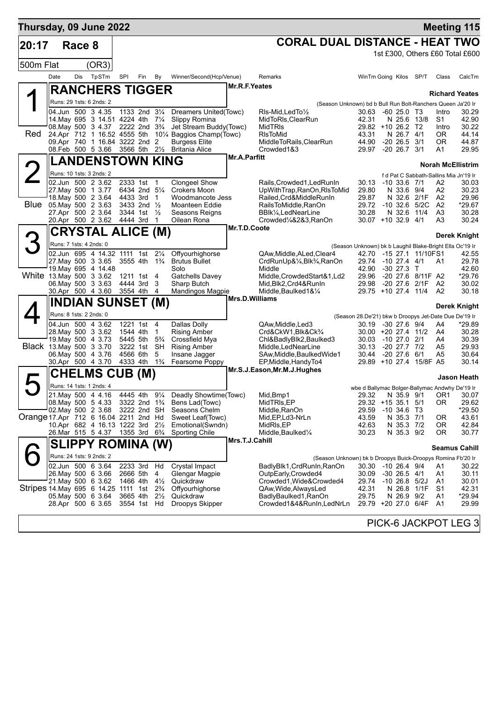| Thursday, 09 June 2022                                            |                                              |        |                                                              |                           |                                    |                      |                                                                            |                       |                                                                                    |                                                          |                                    |             |                 | <b>Meeting 115</b>                              |
|-------------------------------------------------------------------|----------------------------------------------|--------|--------------------------------------------------------------|---------------------------|------------------------------------|----------------------|----------------------------------------------------------------------------|-----------------------|------------------------------------------------------------------------------------|----------------------------------------------------------|------------------------------------|-------------|-----------------|-------------------------------------------------|
| 20:17                                                             |                                              | Race 8 |                                                              |                           |                                    |                      |                                                                            |                       | <b>CORAL DUAL DISTANCE - HEAT TWO</b>                                              |                                                          |                                    |             |                 |                                                 |
|                                                                   |                                              |        |                                                              |                           |                                    |                      |                                                                            |                       |                                                                                    |                                                          |                                    |             |                 | 1st £300, Others £60 Total £600                 |
| 500m Flat                                                         |                                              |        | (OR3)                                                        |                           |                                    |                      |                                                                            |                       |                                                                                    |                                                          |                                    |             |                 |                                                 |
|                                                                   | Date                                         | Dis    | TpSTm                                                        | SPI                       | Fin                                | By                   | Winner/Second(Hcp/Venue)                                                   |                       | Remarks                                                                            |                                                          | WinTm Going Kilos SP/T             |             | Class           | CalcTm                                          |
|                                                                   |                                              |        | <b>RANCHERS TIGGER</b>                                       |                           |                                    |                      |                                                                            | Mr.R.F.Yeates         |                                                                                    |                                                          |                                    |             |                 |                                                 |
|                                                                   |                                              |        | Runs: 29 1sts: 6 2nds: 2                                     |                           |                                    |                      |                                                                            |                       |                                                                                    |                                                          |                                    |             |                 | <b>Richard Yeates</b>                           |
|                                                                   |                                              |        | 04.Jun 500 3 4.35                                            |                           | 1133 2nd 31/4                      |                      | Dreamers United(Towc)                                                      |                       | (Season Unknown) bd b Bull Run Bolt-Ranchers Queen Ja'20 Ir<br>RIs-Mid, Led To 1/2 | 30.63                                                    | $-6025.0$ T <sub>3</sub>           |             | Intro           | 30.29                                           |
|                                                                   |                                              |        | 14. May 695 3 14.51 4224 4th 71/4                            |                           |                                    |                      | Slippy Romina                                                              |                       | MidToRIs, ClearRun                                                                 | 42.31                                                    | N 25.6                             | 13/8        | S <sub>1</sub>  | 42.90                                           |
|                                                                   |                                              |        | 08. May 500 3 4.37 2222 2nd 3 <sup>3</sup> / <sub>4</sub>    |                           |                                    |                      | Jet Stream Buddy(Towc)                                                     |                       | <b>MidTRIs</b>                                                                     |                                                          | 29.82 +10 26.2 T2                  |             | Intro           | 30.22                                           |
| Red                                                               |                                              |        | 24.Apr 712 1 16.52 4555 5th<br>09.Apr 740 1 16.84 3222 2nd 2 |                           |                                    |                      | 10 <sup>1</sup> / <sub>4</sub> Baggios Champ(Towc)<br><b>Burgess Elite</b> |                       | <b>RIsToMid</b><br>MiddleToRails, ClearRun                                         | 43.31<br>44.90                                           | $-20$ 26.5 $3/1$                   | N 26.7 4/1  | 0R<br><b>OR</b> | 44.14<br>44.87                                  |
|                                                                   |                                              |        | 08.Feb 500 5 3.66                                            | 3566 5th 21/ <sub>2</sub> |                                    |                      | <b>Britania Alice</b>                                                      |                       | Crowded1&3                                                                         | 29.97                                                    | $-20$ 26.7 $3/1$                   |             | Α1              | 29.95                                           |
|                                                                   |                                              |        | <b>LANDENSTOWN KING</b>                                      |                           |                                    |                      |                                                                            | <b>Mr.A.Parfitt</b>   |                                                                                    |                                                          |                                    |             |                 |                                                 |
|                                                                   |                                              |        | Runs: 10 1sts: 3 2nds: 2                                     |                           |                                    |                      |                                                                            |                       |                                                                                    |                                                          |                                    |             |                 | <b>Norah McEllistrim</b>                        |
|                                                                   |                                              |        | 02.Jun 500 2 3.62                                            |                           | 2333 1st 1                         |                      | <b>Clongeel Show</b>                                                       |                       | Rails, Crowded 1, Led Run In                                                       | 30.13                                                    | -10 33.6 7/1                       |             | A2              | f d Pat C Sabbath-Sallins Mia Jn'19 Ir<br>30.03 |
|                                                                   |                                              |        | 27. May 500 1 3.77                                           |                           | 6434 2nd 51/4                      |                      | Crokers Moon                                                               |                       | UpWithTrap,RanOn,RIsToMid                                                          | 29.80                                                    |                                    | N 33.6 9/4  | А2              | 30.23                                           |
|                                                                   |                                              |        | 18. May 500 2 3.64                                           |                           | 4433 3rd 1                         |                      | Woodmancote Jess                                                           |                       | Railed.Crd&MiddleRunIn                                                             | 29.87                                                    |                                    | N 32.6 2/1F | A <sub>2</sub>  | 29.96                                           |
|                                                                   |                                              |        | Blue 05 May 500 2 3.63<br>27.Apr 500 2 3.64                  |                           | 3433 2nd $\frac{1}{2}$<br>3344 1st | $\frac{1}{2}$        | Moanteen Eddie<br>Seasons Reigns                                           |                       | RailsToMiddle, RanOn<br>BBlk1/ <sub>4</sub> , LedNearLine                          | 30.28                                                    | 29.72 -10 32.6 5/2C                | N 32.6 11/4 | A2<br>A3        | *29.67<br>30.28                                 |
|                                                                   |                                              |        | 20.Apr 500 2 3.62                                            | 4444 3rd                  |                                    | -1                   | Oilean Rona                                                                |                       | Crowded1/4&2&3,RanOn                                                               |                                                          | $30.07 + 10.32.9$ 4/1              |             | A3              | 30.24                                           |
|                                                                   |                                              |        |                                                              |                           |                                    |                      |                                                                            | Mr.T.D.Coote          |                                                                                    |                                                          |                                    |             |                 |                                                 |
|                                                                   | CRYSTAL ALICE (M)<br>Runs: 7 1sts: 4 2nds: 0 |        |                                                              |                           |                                    |                      |                                                                            |                       |                                                                                    | (Season Unknown) bk b Laughil Blake-Bright Ella Oc'19 Ir |                                    |             |                 | Derek Knight                                    |
|                                                                   |                                              |        | 02.Jun 695 4 14.32 1111 1st 21/4                             |                           |                                    |                      | Offyourhighorse                                                            |                       | QAw, Middle, ALed, Clear4                                                          |                                                          | 42.70 -15 27.1 11/10FS1            |             |                 | 42.55                                           |
|                                                                   |                                              |        | 27. May 500 3 3.65                                           |                           | 3555 4th                           | $1\frac{3}{4}$       | <b>Brutus Bullet</b>                                                       |                       | CrdRunUp&1/ <sub>4</sub> , Blk <sup>3</sup> / <sub>4</sub> , RanOn                 |                                                          | 29.74 -10 27.4 4/1                 |             | A1              | 29.78                                           |
|                                                                   |                                              |        | 19. May 695 4 14.48                                          |                           |                                    |                      | Solo                                                                       |                       | Middle                                                                             | 42.90                                                    | $-30$ 27.3 T                       |             |                 | 42.60                                           |
| White 13. May 500 3 3.62                                          |                                              |        | 06. May 500 3 3.63                                           |                           | 1211 1st<br>4444 3rd               | 4<br>3               | <b>Gatchells Davey</b><br>Sharp Butch                                      |                       | Middle, Crowded Start&1, Ld2<br>Mid.Blk2.Crd4&RunIn                                | 29.96<br>29.98                                           | -20 27.6 8/11F A2<br>-20 27.6 2/1F |             | A2              | *29.76<br>30.02                                 |
|                                                                   |                                              |        | 30.Apr 500 4 3.60                                            | 3554 4th                  |                                    | 4                    | Mandingos Magpie                                                           |                       | Middle, Baulked 1& 1/4                                                             |                                                          | 29.75 +10 27.4 11/4                |             | A <sub>2</sub>  | 30.18                                           |
|                                                                   |                                              |        | <b>INDIAN SUNSET (M)</b>                                     |                           |                                    |                      |                                                                            | <b>Mrs.D.Williams</b> |                                                                                    |                                                          |                                    |             |                 |                                                 |
|                                                                   | Runs: 8 1sts: 2 2nds: 0                      |        |                                                              |                           |                                    |                      |                                                                            |                       |                                                                                    | (Season 28.De'21) bkw b Droopys Jet-Date Due De'19 Ir    |                                    |             |                 | Derek Knight                                    |
|                                                                   |                                              |        | 04.Jun 500 4 3.62                                            |                           | 1221 1st                           | 4                    | Dallas Dolly                                                               |                       | QAw, Middle, Led 3                                                                 |                                                          | 30.19 -30 27.6 9/4                 |             | A4              | *29.89                                          |
|                                                                   |                                              |        | 28. May 500 3 3.62                                           |                           | 1544 4th                           | $\mathbf{1}$         | <b>Rising Amber</b>                                                        |                       | Crd&CkW1,Blk&Ck <sup>3</sup> /4                                                    |                                                          | 30.00 +20 27.4 11/2                |             | A4              | 30.28                                           |
| Black 13. May 500 3 3.70                                          |                                              |        | 19. May 500 4 3.73                                           |                           | 5445 5th<br>3222 1st               | $5\frac{3}{4}$<br>SH | Crossfield Mya<br><b>Rising Amber</b>                                      |                       | Chl&BadlyBlk2,Baulked3<br>Middle, LedNearLine                                      | 30.03<br>30.13                                           | -10 27.0<br>$-20$ 27.7 $7/2$       | 2/1         | A4<br>A5        | 30.39<br>29.93                                  |
|                                                                   |                                              |        | 06. May 500 4 3.76                                           |                           | 4566 6th                           | 5                    | Insane Jagger                                                              |                       | SAw, Middle, Baulked Wide1                                                         | 30.44                                                    | $-20$ 27.6 6/1                     |             | A5              | 30.64                                           |
|                                                                   |                                              |        | 30.Apr 500 4 3.70                                            | 4333 4th                  |                                    | $1\frac{3}{4}$       | Fearsome Poppy                                                             |                       | EP, Middle, Handy To4                                                              |                                                          | 29.89 +10 27.4 15/8F A5            |             |                 | 30.14                                           |
|                                                                   |                                              |        | <b>CHELMS CUB (M)</b>                                        |                           |                                    |                      |                                                                            |                       | Mr.S.J.Eason, Mr.M.J.Hughes                                                        |                                                          |                                    |             |                 | <b>Jason Heath</b>                              |
|                                                                   |                                              |        | Runs: 14 1sts: 1 2nds: 4                                     |                           |                                    |                      |                                                                            |                       |                                                                                    | wbe d Ballymac Bolger-Ballymac Andwhy De'19 Ir           |                                    |             |                 |                                                 |
|                                                                   |                                              |        | 21. May 500 4 4.16                                           |                           |                                    |                      | 4445 4th 91/4 Deadly Showtime(Towc)                                        |                       | Mid, Bmp1                                                                          |                                                          |                                    |             |                 | 29.32 N 35.9 9/1 OR1 30.07                      |
|                                                                   |                                              |        | 08. May 500 5 4.33                                           |                           |                                    |                      | 3322 2nd $1\frac{3}{4}$ Bens Lad(Towc)                                     |                       | MidTRIs, EP                                                                        |                                                          | 29.32 +15 35.1 5/1                 |             | 0R              | 29.62                                           |
| Orange 17.Apr 712 6 16.04 2211 2nd Hd                             |                                              |        | $02$ .May 500 2 3.68                                         |                           | 3222 2nd SH                        |                      | Seasons Chelm<br>Sweet Leaf(Towc)                                          |                       | Middle, RanOn<br>Mid, EP, Ld 3-NrLn                                                | 29.59<br>43.59                                           | $-10,34.6$ T3                      | N 35.3 7/1  | 0R              | *29.50<br>43.61                                 |
|                                                                   |                                              |        | 10.Apr 682 4 16.13 1222 3rd 21/2                             |                           |                                    |                      | Emotional(Swndn)                                                           |                       | MidRIs, EP                                                                         | 42.63                                                    |                                    | N 35.3 7/2  | 0R              | 42.84                                           |
|                                                                   |                                              |        | 26.Mar 515 5 4.37 1355 3rd 6 <sup>3</sup> / <sub>4</sub>     |                           |                                    |                      | <b>Sporting Chile</b>                                                      |                       | Middle, Baulked <sup>1</sup> / <sub>4</sub>                                        | 30.23                                                    |                                    | N 35.3 9/2  | 0R              | 30.77                                           |
|                                                                   |                                              |        | SLIPPY ROMINA (W)                                            |                           |                                    |                      |                                                                            | Mrs.T.J.Cahill        |                                                                                    |                                                          |                                    |             |                 | <b>Seamus Cahill</b>                            |
|                                                                   |                                              |        | Runs: 24 1sts: 9 2nds: 2                                     |                           |                                    |                      |                                                                            |                       | (Season Unknown) bk b Droopys Buick-Droopys Romina Fb'20 Ir                        |                                                          |                                    |             |                 |                                                 |
|                                                                   |                                              |        | 02.Jun 500 6 3.64                                            |                           | 2233 3rd Hd                        |                      | Crystal Impact                                                             |                       | BadlyBlk1, CrdRunIn, RanOn                                                         |                                                          | 30.30 -10 26.4 9/4                 |             | A1              | 30.22                                           |
|                                                                   |                                              |        | 26. May 500 6 3.66                                           |                           | 2666 5th                           | 4                    | Glengar Magpie                                                             |                       | OutpEarly, Crowded4                                                                | 30.09                                                    | $-30$ 26.5 4/1                     |             | A1              | 30.11                                           |
| Stripes 14 May 695 6 14.25 1111 1st 2 <sup>3</sup> / <sub>4</sub> |                                              |        | 21. May 500 6 3.62                                           |                           | 1466 4th                           | $4\frac{1}{2}$       | Quickdraw<br>Offyourhighorse                                               |                       | Crowded1, Wide&Crowded4<br>QAw, Wide, Always Led                                   | 42.31                                                    | 29.74 -10 26.8 5/2J                | N 26.8 1/1F | A1<br>S1        | 30.01<br>42.31                                  |
|                                                                   |                                              |        | 05. May 500 6 3.64                                           |                           | 3665 4th                           | $2\frac{1}{2}$       | Quickdraw                                                                  |                       | BadlyBaulked1, RanOn                                                               | 29.75                                                    |                                    | N 26.9 9/2  | Α1              | $*29.94$                                        |
|                                                                   |                                              |        | 28.Apr 500 6 3.65                                            |                           | 3554 1st Hd                        |                      | Droopys Skipper                                                            |                       | Crowded1&4&RunIn,LedNrLn                                                           |                                                          | 29.79 +20 27.0 6/4F                |             | A1              | 29.99                                           |
|                                                                   |                                              |        |                                                              |                           |                                    |                      |                                                                            |                       |                                                                                    |                                                          | <b>DIAIZA IA AIZDATI</b>           |             |                 | $\Gamma \cap \Gamma$                            |

PICK-6 JACKPOT LEG 3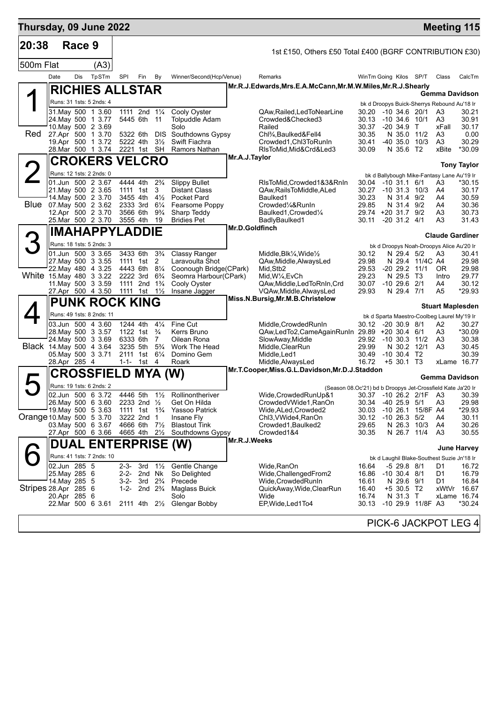| Thursday, 09 June 2022   |               |            |                                               |                                                                  |                                                  |                                  |                                          |                |                                                                        |                        |                               |                   | <b>Meeting 115</b>                                |                    |
|--------------------------|---------------|------------|-----------------------------------------------|------------------------------------------------------------------|--------------------------------------------------|----------------------------------|------------------------------------------|----------------|------------------------------------------------------------------------|------------------------|-------------------------------|-------------------|---------------------------------------------------|--------------------|
| 20:38                    |               | Race 9     |                                               |                                                                  |                                                  |                                  |                                          |                | 1st £150, Others £50 Total £400 (BGRF CONTRIBUTION £30)                |                        |                               |                   |                                                   |                    |
| 500m Flat                |               |            | (A3)                                          |                                                                  |                                                  |                                  |                                          |                |                                                                        |                        |                               |                   |                                                   |                    |
|                          | Date          | <b>Dis</b> | TpSTm                                         | SPI                                                              | Fin                                              | By                               | Winner/Second(Hcp/Venue)                 |                | Remarks                                                                | WinTm Going Kilos SP/T |                               |                   | Class                                             | CalcTm             |
|                          |               |            | <b>RICHIES ALLSTAR</b>                        |                                                                  |                                                  |                                  |                                          |                | Mr.R.J.Edwards, Mrs.E.A.McCann, Mr.M.W.Miles, Mr.R.J.Shearly           |                        |                               |                   |                                                   |                    |
|                          |               |            | Runs: 31 1sts: 5 2nds: 4                      |                                                                  |                                                  |                                  |                                          |                |                                                                        |                        |                               |                   | Gemma Davidson                                    |                    |
|                          |               |            | 31. May 500 1 3.60                            | 1111 2nd 11/4                                                    |                                                  |                                  | Cooly Oyster                             |                | QAw,Railed,LedToNearLine                                               | 30.20 -10 34.6 20/1    |                               |                   | bk d Droopys Buick-Sherrys Rebound Au'18 Ir<br>A3 | 30.21              |
|                          |               |            | 24. May 500 1 3.77                            |                                                                  | 5445 6th 11                                      |                                  | <b>Tolpuddle Adam</b>                    |                | Crowded&Checked3                                                       | 30.13                  | $-10, 34.6, 10/1$             |                   | A3                                                | 30.91              |
| Red                      |               |            | 10. May 500 2 3.69<br>27.Apr 500 1 3.70       | 5322 6th                                                         |                                                  | <b>DIS</b>                       | Solo<br>Southdowns Gypsy                 |                | Railed<br>Chl <sup>3</sup> / <sub>4</sub> , Baulked&Fell4              | 30.37<br>30.35         | $-20, 34.9$ T<br>N 35.0 11/2  |                   | xFall<br>A3                                       | 30.17<br>0.00      |
|                          |               |            | 19.Apr 500 1 3.72                             | 5222 4th                                                         | 2221 1st SH                                      | $3\frac{1}{2}$                   | Swift Fiachra                            |                | Crowded1, Chl3ToRunIn                                                  | 30.41                  |                               | -40 35.0 10/3     | A3                                                | 30.29<br>*30.09    |
|                          |               |            | 28. Mar 500 1 3.74                            |                                                                  |                                                  |                                  | Ramors Nathan                            | Mr.A.J.Taylor  | RIsToMid, Mid&Crd&Led3                                                 | 30.09                  | N 35.6 T2                     |                   | xBite                                             |                    |
| 2                        |               |            | <b>CROKERS VELCRO</b>                         |                                                                  |                                                  |                                  |                                          |                |                                                                        |                        |                               |                   |                                                   | <b>Tony Taylor</b> |
|                          |               |            | Runs: 12 1sts: 2 2nds: 0<br>01.Jun 500 2 3.67 | 4444 4th                                                         |                                                  | $2\frac{3}{4}$                   | <b>Slippy Bullet</b>                     |                | RIsToMid, Crowded 1&3&RnIn                                             | 30.04 -10 31.1 6/1     |                               |                   | bk d Ballybough Mike-Fantasy Lane Au'19 Ir<br>A3  | *30.15             |
|                          |               |            | 21. May 500 2 3.65                            | 1111 1st                                                         |                                                  | 3                                | <b>Distant Class</b>                     |                | QAw, Rails To Middle, ALed                                             | 30.27                  | $-10$ 31.3 $10/3$             |                   | A4                                                | 30.17              |
|                          |               |            | 14. May 500 2 3.70<br>Blue 07 May 500 2 3.62  | 3455 4th<br>2333 3rd                                             |                                                  | $4\frac{1}{2}$<br>$6\frac{1}{4}$ | Pocket Pard<br>Fearsome Poppy            |                | Baulked1<br>Crowded1/4&RunIn                                           | 30.23<br>29.85         | N 31.4 9/2<br>N 31.4 9/2      |                   | A4<br>A4                                          | 30.59<br>30.36     |
|                          |               |            | 12.Apr 500 2 3.70                             | 3566 6th                                                         |                                                  | $9\frac{3}{4}$                   | Sharp Teddy                              |                | Baulked1, Crowded1/4                                                   | 29.74 +20 31.7 9/2     |                               |                   | A3                                                | 30.73              |
|                          |               |            | 25. Mar 500 2 3.70                            | 3555 4th                                                         |                                                  | 19                               | <b>Bridies Pet</b>                       | Mr.D.Goldfinch | BadlyBaulked1                                                          | 30.11                  | $-20$ 31.2 $4/1$              |                   | A3                                                | 31.43              |
|                          |               |            | <b>IMAHAPPYLADDIE</b>                         |                                                                  |                                                  |                                  |                                          |                |                                                                        |                        |                               |                   | <b>Claude Gardiner</b>                            |                    |
| З                        |               |            | Runs: 18 1sts: 5 2nds: 3                      |                                                                  |                                                  |                                  |                                          |                |                                                                        |                        |                               |                   | bk d Droopys Noah-Droopys Alice Au'20 Ir          |                    |
|                          |               |            | 01.Jun 500 3 3.65<br>27. May 500 3 3.55       | 3433 6th                                                         | 1111 1st                                         | $3\frac{3}{4}$<br>2              | Classy Ranger<br>Laravoulta Shot         |                | Middle, Blk1/4, Wide1/2<br>QAw, Middle, Always Led                     | 30.12<br>29.98         | N 29.4 5/2                    | N 29.4 11/4C A4   | A3                                                | 30.41<br>29.98     |
|                          |               |            | 22. May 480 4 3.25                            | 4443 6th 81/4                                                    |                                                  |                                  | Coonough Bridge(CPark)                   |                | Mid, Stb2                                                              | 29.53                  |                               | $-20$ 29.2 11/1   | OR.                                               | 29.98              |
| White 15 May 480 3 3.22  |               |            | 11. May 500 3 3.59                            | 2222 3rd                                                         | 1111 2nd 1 <sup>3</sup> / <sub>4</sub>           | $6\frac{3}{4}$                   | Seomra Harbour(CPark)<br>Cooly Oyster    |                | Mid, W1/4, EvCh<br>QAw, Middle, Led To RnIn, Crd                       | 29.23<br>30.07         | N 29.5 T3<br>$-10$ 29.6 $2/1$ |                   | Intro<br>A4                                       | 29.77<br>30.12     |
|                          |               |            | 27.Apr 500 4 3.50                             | 1111 1st 11/ <sub>2</sub>                                        |                                                  |                                  | Insane Jagger                            |                | VQAw, Middle, AlwaysLed                                                | 29.93                  | N 29.4 7/1                    |                   | A5                                                | *29.93             |
|                          |               |            | <b>PUNK ROCK KING</b>                         |                                                                  |                                                  |                                  |                                          |                | Miss.N.Bursig, Mr.M.B.Christelow                                       |                        |                               |                   | <b>Stuart Maplesden</b>                           |                    |
|                          |               |            | Runs: 49 1sts: 8 2nds: 11                     |                                                                  |                                                  |                                  |                                          |                |                                                                        |                        |                               |                   | bk d Sparta Maestro-Coolbeg Laurel My'19 Ir       |                    |
|                          |               |            | 03.Jun 500 4 3.60<br>28. May 500 3 3.57       | 1244 4th<br>1122 1st                                             |                                                  | $4\frac{1}{4}$<br>$\frac{3}{4}$  | Fine Cut<br>Kerrs Bruno                  |                | Middle, Crowded Run In<br>QAw,LedTo2,CameAgainRunIn 29.89 +20 30.4 6/1 | 30.12 -20 30.9 8/1     |                               |                   | A2<br>A3                                          | 30.27<br>*30.09    |
|                          |               |            | 24. May 500 3 3.69                            | 6333 6th 7                                                       |                                                  |                                  | Oilean Rona                              |                | SlowAway, Middle                                                       | 29.92 -10 30.3 11/2    |                               |                   | A3                                                | 30.38              |
| Black 14. May 500 4 3.64 |               |            | 05. May 500 3 3.71                            | 3235 5th                                                         | 2111 1st 61/4                                    | $5\frac{3}{4}$                   | Work The Head<br>Domino Gem              |                | Middle, ClearRun<br>Middle, Led1                                       | 29.99<br>30.49         | N 30.2 12/1<br>$-10$ 30.4 T2  |                   | A <sub>3</sub>                                    | 30.45<br>30.39     |
|                          | 28.Apr 285 4  |            |                                               |                                                                  | 1-1- 1st 4                                       |                                  | Roark                                    |                | Middle, AlwaysLed                                                      | 16.72                  | $+5$ 30.1 T3                  |                   | xLame 16.77                                       |                    |
|                          |               |            | CROSSFIELD MYA (W)                            |                                                                  |                                                  |                                  |                                          |                | Mr.T.Cooper, Miss.G.L.Davidson, Mr.D.J.Staddon                         |                        |                               |                   | Gemma Davidson                                    |                    |
|                          |               |            | Runs: 19 1sts: 6 2nds: 2                      |                                                                  |                                                  |                                  |                                          |                | (Season 08.Oc'21) bd b Droopys Jet-Crossfield Kate Ja'20 Ir            |                        |                               |                   |                                                   |                    |
|                          |               |            | 02.Jun 500 6 3.72                             |                                                                  |                                                  |                                  | 4446 5th 11/2 Rollinontheriver           |                | Wide, Crowded RunUp&1                                                  |                        |                               |                   | 30.37 -10 26.2 2/1F A3                            | 30.39              |
|                          |               |            | 26. May 500 6 3.60<br>19. May 500 5 3.63      | 2233 2nd $\frac{1}{2}$<br>1111 1st 1 <sup>3</sup> / <sub>4</sub> |                                                  |                                  | Get On Hilda<br>Yassoo Patrick           |                | CrowdedVWide1, RanOn<br>Wide, ALed, Crowded 2                          | 30.34<br>30.03         | -40 25.9 5/1<br>$-10, 26.1$   | 15/8F A4          | A3                                                | 29.98<br>*29.93    |
| Orange 10 May 500 5 3.70 |               |            |                                               |                                                                  | 3222 2nd                                         | $\overline{1}$                   | Insane Fly                               |                | Chl3, VWide4, RanOn                                                    | 30.12                  | $-10$ 26.3 $5/2$              |                   | A4                                                | 30.11              |
|                          |               |            | 03. May 500 6 3.67<br>27.Apr 500 6 3.66       | 4665 4th                                                         | 4666 6th 7 <sup>1</sup> / <sub>2</sub>           | $2\frac{1}{2}$                   | <b>Blastout Tink</b><br>Southdowns Gypsy |                | Crowded1, Baulked2<br>Crowded1&4                                       | 29.65<br>30.35         | N 26.3 10/3<br>N 26.7 11/4    |                   | A4<br>A3                                          | 30.26<br>30.55     |
|                          |               |            | <b>DUAL ENTERPRISE (W)</b>                    |                                                                  |                                                  |                                  |                                          | Mr.R.J.Weeks   |                                                                        |                        |                               |                   |                                                   |                    |
|                          |               |            | Runs: 41 1sts: 7 2nds: 10                     |                                                                  |                                                  |                                  |                                          |                |                                                                        |                        |                               |                   |                                                   | <b>June Harvey</b> |
|                          | 02.Jun 285 5  |            |                                               | $2 - 3 -$                                                        | 3rd                                              | $1\frac{1}{2}$                   | Gentle Change                            |                | Wide,RanOn                                                             | 16.64                  | $-5$ 29.8 $8/1$               |                   | bk d Laughil Blake-Southest Suzie Jn'18 Ir<br>D1  | 16.72              |
|                          | 25. May 285 6 |            |                                               |                                                                  | 2-2- 2nd Nk                                      |                                  | So Delighted                             |                | Wide, Challenged From 2                                                | 16.86                  | $-10$ 30.4 $8/1$              |                   | D1                                                | 16.79              |
| Stripes 28.Apr 285 6     | 14. May 285 5 |            |                                               | $1 - 2 -$                                                        | $3-2$ - 3rd $2\frac{3}{4}$<br>2nd $2\frac{3}{4}$ |                                  | Precede<br><b>Maglass Buick</b>          |                | Wide,CrowdedRunIn<br>QuickAway, Wide, ClearRun                         | 16.61<br>16.40         | N 29.6 9/1<br>$+5$ 30.5 T2    |                   | D1<br>xWtVr                                       | 16.84<br>16.67     |
|                          | 20.Apr 285 6  |            |                                               |                                                                  |                                                  |                                  | Solo                                     |                | Wide                                                                   | 16.74                  | N 31.3                        | $\mathsf{T}$      | xLame 16.74                                       |                    |
|                          |               |            | 22.Mar 500 6 3.61                             |                                                                  |                                                  |                                  | 2111 4th 21/ <sub>2</sub> Glengar Bobby  |                | EP, Wide, Led 1 To 4                                                   | 30.13                  |                               | -10 29.9 11/8F A3 |                                                   | *30.24             |
|                          |               |            |                                               |                                                                  |                                                  |                                  |                                          |                |                                                                        |                        |                               |                   | PICK-6 JACKPOT LEG 4                              |                    |
|                          |               |            |                                               |                                                                  |                                                  |                                  |                                          |                |                                                                        |                        |                               |                   |                                                   |                    |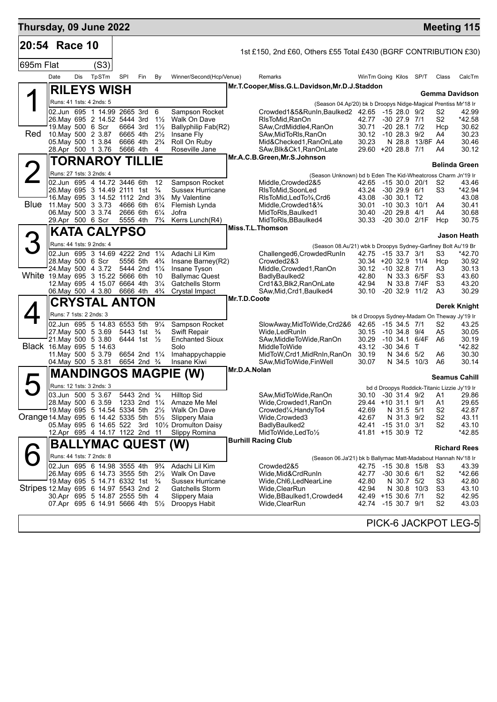| Thursday, 09 June 2022                |                                                                                       |     |                        |     |                                                       |                                  |                                                               |              |                                                                                   |                                              |                                      |                 |                                  | <b>Meeting 115</b>                                                   |
|---------------------------------------|---------------------------------------------------------------------------------------|-----|------------------------|-----|-------------------------------------------------------|----------------------------------|---------------------------------------------------------------|--------------|-----------------------------------------------------------------------------------|----------------------------------------------|--------------------------------------|-----------------|----------------------------------|----------------------------------------------------------------------|
| 20:54 Race 10                         |                                                                                       |     |                        |     |                                                       |                                  |                                                               |              | 1st £150, 2nd £60, Others £55 Total £430 (BGRF CONTRIBUTION £30)                  |                                              |                                      |                 |                                  |                                                                      |
| 695m Flat                             |                                                                                       |     | (S3)                   |     |                                                       |                                  |                                                               |              |                                                                                   |                                              |                                      |                 |                                  |                                                                      |
|                                       | Date                                                                                  | Dis | TpSTm                  | SPI | Fin                                                   | By                               | Winner/Second(Hcp/Venue)                                      |              | Remarks                                                                           | WinTm Going Kilos SP/T                       |                                      |                 | Class                            | CalcTm                                                               |
|                                       |                                                                                       |     | <b>RILEYS WISH</b>     |     |                                                       |                                  |                                                               |              | Mr.T.Cooper, Miss.G.L.Davidson, Mr.D.J.Staddon                                    |                                              |                                      |                 |                                  |                                                                      |
|                                       | Runs: 41 1sts: 4 2nds: 5                                                              |     |                        |     |                                                       |                                  |                                                               |              | (Season 04.Ap'20) bk b Droopys Nidge-Magical Prentiss Mr'18 Ir                    |                                              |                                      |                 |                                  | Gemma Davidson                                                       |
|                                       | 02.Jun 695 1 14.99 2665 3rd 6                                                         |     |                        |     |                                                       |                                  | Sampson Rocket                                                |              | Crowded1&5&RunIn,Baulked2 42.65 -15 28.0 9/2                                      |                                              |                                      |                 | S <sub>2</sub>                   | 42.99                                                                |
|                                       | 26. May 695 2 14.52 5444 3rd<br>19. May 500 6 Scr                                     |     |                        |     | 6664 3rd                                              | $1\frac{1}{2}$<br>$1\frac{1}{2}$ | Walk On Dave<br>Ballyphilip Fab(R2)                           |              | RIsToMid.RanOn<br>SAw, CrdMiddle4, RanOn                                          | 42.77<br>30.71                               | $-30$ 27.9 $7/1$<br>$-20$ 28.1 $7/2$ |                 | S2<br>Hcp                        | *42.58<br>30.62                                                      |
| Red                                   | 10. May 500 2 3.87                                                                    |     |                        |     | 6665 4th                                              | $2\frac{1}{2}$                   | Insane Fly                                                    |              | SAw, Mid To RIs, RanOn                                                            | 30.12 -10 28.3 9/2                           |                                      |                 | A4                               | 30.23                                                                |
|                                       | 05. May 500 1 3.84<br>28.Apr 500 1 3.76                                               |     |                        |     | 6666 4th<br>5666 4th                                  | $2\frac{3}{4}$<br>-4             | Roll On Ruby<br>Roseville Jane                                |              | Mid&Checked1, RanOnLate<br>SAw, Blk&Ck1, RanOnLate                                | 30.23<br>29.60 +20 28.8 7/1                  |                                      | N 28.8 13/8F A4 | A4                               | 30.46<br>30.12                                                       |
|                                       |                                                                                       |     | <b>TORNAROY TILLIE</b> |     |                                                       |                                  |                                                               |              | Mr.A.C.B.Green, Mr.S.Johnson                                                      |                                              |                                      |                 |                                  |                                                                      |
|                                       | Runs: 27 1sts: 3 2nds: 4                                                              |     |                        |     |                                                       |                                  |                                                               |              |                                                                                   |                                              |                                      |                 |                                  | <b>Belinda Green</b>                                                 |
|                                       | 02.Jun 695 4 14.72 3446 6th                                                           |     |                        |     |                                                       | 12                               | Sampson Rocket                                                |              | (Season Unknown) bd b Eden The Kid-Wheatcross Charm Jn'19 Ir<br>Middle,Crowded2&5 | 42.65 -15 30.0 20/1                          |                                      |                 | S2                               | 43.46                                                                |
|                                       | 26. May 695 3 14.49 2111 1st 3/4                                                      |     |                        |     |                                                       |                                  | <b>Sussex Hurricane</b>                                       |              | RIsToMid, SoonLed                                                                 | 43.24                                        | $-3029.96/1$                         |                 | S <sub>3</sub>                   | *42.94                                                               |
|                                       | 16. May 695 3 14.52 1112 2nd 3 <sup>3</sup> / <sub>4</sub><br>Blue 11. May 500 3 3.73 |     |                        |     | 4666 6th                                              | $6\frac{1}{4}$                   | My Valentine<br>Flemish Lynda                                 |              | RIsToMid, LedTo3/4, Crd6<br>Middle,Crowded1&3⁄4                                   | 43.08<br>30.01                               | $-30$ 30.1 T2<br>$-10$ 30.3 $10/1$   |                 | A4                               | 43.08<br>30.41                                                       |
|                                       | 06. May 500 3 3.74                                                                    |     |                        |     | 2666 6th                                              | $6\frac{1}{4}$                   | Jofra                                                         |              | MidToRIs, Baulked1                                                                | 30.40                                        | $-20$ 29.8 $4/1$                     |                 | A4                               | 30.68                                                                |
|                                       | 29.Apr 500 6 Scr                                                                      |     |                        |     | 5555 4th                                              | $7\frac{3}{4}$                   | Kerrs Lunch(R4)                                               |              | MidToRIs, BBaulked4<br>Miss.T.L.Thomson                                           | 30.33 -20 30.0 2/1F                          |                                      |                 | Hcp                              | 30.75                                                                |
|                                       |                                                                                       |     | <b>KATA CALYPSO</b>    |     |                                                       |                                  |                                                               |              |                                                                                   |                                              |                                      |                 |                                  | Jason Heath                                                          |
|                                       | Runs: 44 1sts: 9 2nds: 4                                                              |     |                        |     |                                                       |                                  |                                                               |              | (Season 08.Au'21) wbk b Droopys Sydney-Garfiney Bolt Au'19 Br                     |                                              |                                      |                 |                                  |                                                                      |
|                                       | 02.Jun 695 3 14.69 4222 2nd 11/4<br>28. May 500 6 Scr                                 |     |                        |     | 5556 5th 4 <sup>3</sup> / <sub>4</sub>                |                                  | Adachi Lil Kim<br>Insane Barney(R2)                           |              | Challenged6, Crowded RunIn<br>Crowded2&3                                          | 42.75 -15 33.7 3/1<br>30.34 +20 32.9 11/4    |                                      |                 | S3<br>Hcp                        | *42.70<br>30.92                                                      |
|                                       | 24. May 500 4 3.72                                                                    |     |                        |     | 5444 2nd 11/4                                         |                                  | Insane Tyson                                                  |              | Middle, Crowded1, RanOn                                                           | 30.12 -10 32.8 7/1                           |                                      |                 | A3                               | 30.13                                                                |
|                                       | White 19 May 695 3 15.22 5666 6th<br>12. May 695 4 15.07 6664 4th                     |     |                        |     |                                                       | 10<br>$3\frac{1}{4}$             | <b>Ballymac Quest</b><br>Gatchells Storm                      |              | BadlyBaulked2<br>Crd1&3,Blk2,RanOnLate                                            | 42.80<br>42.94                               | N 33.3 6/5F<br>N 33.8 7/4F           |                 | S3<br>S <sub>3</sub>             | 43.60<br>43.20                                                       |
|                                       | 06.May 500 4 3.80 6666 4th                                                            |     |                        |     |                                                       | $4\frac{3}{4}$                   | Crystal Impact                                                |              | SAw, Mid, Crd1, Baulked4                                                          | 30.10                                        | $-20$ 32.9 11/2                      |                 | A <sub>3</sub>                   | 30.29                                                                |
|                                       |                                                                                       |     | <b>CRYSTAL ANTON</b>   |     |                                                       |                                  |                                                               | Mr.T.D.Coote |                                                                                   |                                              |                                      |                 |                                  | Derek Knight                                                         |
|                                       | Runs: 7 1sts: 2 2nds: 3                                                               |     |                        |     |                                                       |                                  |                                                               |              |                                                                                   | bk d Droopys Sydney-Madam On Theway Jy'19 Ir |                                      |                 |                                  |                                                                      |
|                                       | 02.Jun 695 5 14.83 6553 5th                                                           |     |                        |     |                                                       | $9\frac{1}{4}$                   | Sampson Rocket                                                |              | SlowAway,MidToWide,Crd2&6                                                         | 42.65 -15 34.5 7/1                           |                                      |                 | S2                               | 43.25                                                                |
|                                       | 27. May 500 5 3.69<br>21. May 500 5 3.80                                              |     |                        |     | 5443 1st<br>6444 1st $\frac{1}{2}$                    | $\frac{3}{4}$                    | <b>Swift Repair</b><br><b>Enchanted Sioux</b>                 |              | Wide, Led Run In<br>SAw, Middle To Wide, RanOn                                    | 30.15<br>30.29                               | -10 34.8 9/4                         | -10 34.1 6/4F   | A5<br>A6                         | 30.05<br>30.19                                                       |
|                                       | Black 16. May 695 5 14.63                                                             |     |                        |     |                                                       |                                  | Solo                                                          |              | MiddleToWide                                                                      | 43.12                                        | -30 34.6 T                           |                 |                                  | *42.82                                                               |
|                                       | 11. May 500 5 3.79<br>04. May 500 5 3.81                                              |     |                        |     | 6654 2nd 11/4<br>6654 2nd <sup>3</sup> / <sub>4</sub> |                                  | Imahappychappie<br>Insane Kiwi                                |              | MidToW,Crd1,MidRnIn,RanOn<br>SAw, MidToWide, FinWell                              | 30.19<br>30.07                               | N 34.6 5/2<br>N 34.5                 | 10/3            | A6<br>A6                         | 30.30<br>30.14                                                       |
|                                       | <b>MANDINGOS MAGPIE</b>                                                               |     |                        |     |                                                       |                                  | (W)                                                           | Mr.D.A.Nolan |                                                                                   |                                              |                                      |                 |                                  |                                                                      |
|                                       | Runs: 12 1sts: 3 2nds: 3                                                              |     |                        |     |                                                       |                                  |                                                               |              |                                                                                   |                                              |                                      |                 |                                  | <b>Seamus Cahill</b><br>bd d Droopys Roddick-Titanic Lizzie Jy'19 Ir |
|                                       | 03.Jun 500 5 3.67                                                                     |     |                        |     | 5443 2nd <sup>3</sup> / <sub>4</sub>                  |                                  | <b>Hilltop Sid</b>                                            |              | SAw, MidToWide, RanOn                                                             |                                              |                                      |                 | 30.10 -30 31.4 9/2 A1            | 29.86                                                                |
|                                       | 19. May 695 5 14.54 5334 5th 21/2                                                     |     |                        |     |                                                       |                                  | 28. May 500 6 3.59 1233 2nd 11/4 Amaze Me Mel<br>Walk On Dave |              | Wide, Crowded1, RanOn<br>Crowded1/ <sub>4</sub> , HandyTo4                        | 29.44 +10 31.1 9/1                           |                                      |                 | A1<br>S <sub>2</sub>             | 29.65<br>42.87                                                       |
| Orange 14 May 695 6 14.42 5335 5th    |                                                                                       |     |                        |     |                                                       | $5\frac{1}{2}$                   | Slippery Maia                                                 |              | Wide, Crowded 3                                                                   | 42.69<br>42.67                               | N 31.5 5/1<br>N 31.3 9/2             |                 | S <sub>2</sub>                   | 43.11                                                                |
|                                       |                                                                                       |     |                        |     |                                                       |                                  | 05. May 695 6 14.65 522 3rd 101/2 Dromulton Daisy             |              | BadlyBaulked2                                                                     | 42.41                                        | $-15$ 31.0 3/1                       |                 | S <sub>2</sub>                   | 43.10                                                                |
|                                       | 12.Apr 695 4 14.17 1122 2nd 11                                                        |     |                        |     |                                                       |                                  | Slippy Romina                                                 |              | MidToWide,LedTo1/2<br><b>Burhill Racing Club</b>                                  | 41.81 +15 30.9 T2                            |                                      |                 |                                  | *42.85                                                               |
|                                       |                                                                                       |     | BALLYMAC QUEST (W)     |     |                                                       |                                  |                                                               |              |                                                                                   |                                              |                                      |                 |                                  | <b>Richard Rees</b>                                                  |
|                                       | Runs: 44 1sts: 7 2nds: 8                                                              |     |                        |     |                                                       |                                  |                                                               |              | (Season 06.Ja'21) bk b Ballymac Matt-Madabout Hannah Nv'18 Ir                     |                                              |                                      |                 |                                  |                                                                      |
|                                       | 02.Jun 695 6 14.98 3555 4th<br>26. May 695 6 14.73 3555 5th                           |     |                        |     |                                                       | $9\frac{3}{4}$<br>$2\frac{1}{2}$ | Adachi Lil Kim<br>Walk On Dave                                |              | Crowded2&5<br>Wide,Mid&CrdRunIn                                                   | 42.75<br>42.77                               | -15 30.8 15/8<br>$-30$ 30.6 6/1      |                 | S3<br>S <sub>2</sub>             | 43.39<br>*42.66                                                      |
|                                       | 19. May 695 5 14.71 6332 1st                                                          |     |                        |     |                                                       | $\frac{3}{4}$                    | Sussex Hurricane                                              |              | Wide, Chl6, LedNearLine                                                           | 42.80                                        | N 30.7 5/2                           |                 | S <sub>3</sub>                   | 42.80                                                                |
| Stripes 12.May 695 6 14.97 5543 2nd 2 | 30.Apr 695 5 14.87 2555 5th                                                           |     |                        |     |                                                       | 4                                | Gatchells Storm<br>Slippery Maia                              |              | Wide, Clear Run<br>Wide, BBaulked1, Crowded4                                      | 42.94<br>42.49 +15 30.6 7/1                  | N 30.8 10/3                          |                 | S <sub>3</sub><br>S <sub>2</sub> | 43.10<br>42.95                                                       |
|                                       | 07.Apr 695 6 14.91 5666 4th                                                           |     |                        |     |                                                       | $5\frac{1}{2}$                   | Droopys Habit                                                 |              | Wide, Clear Run                                                                   | 42.74 -15 30.7 9/1                           |                                      |                 | S <sub>2</sub>                   | 43.03                                                                |
|                                       |                                                                                       |     |                        |     |                                                       |                                  |                                                               |              |                                                                                   |                                              |                                      |                 |                                  |                                                                      |
|                                       |                                                                                       |     |                        |     |                                                       |                                  |                                                               |              |                                                                                   |                                              |                                      |                 |                                  | PICK-6 JACKPOT LEG-5                                                 |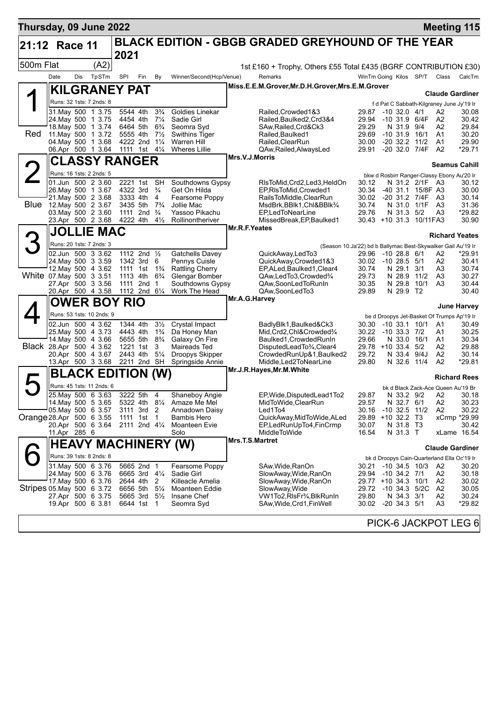| <b>BLACK EDITION - GBGB GRADED GREYHOUND OF THE YEAR</b><br>21:12 Race 11<br>2021<br>(A2)<br>500m Flat<br>TpSTm<br>Remarks<br>WinTm Going Kilos SP/T Class<br>Date<br><b>Dis</b><br>SPI<br>Winner/Second(Hcp/Venue)<br>CalcTm<br>Fin<br>By<br>Miss.E.E.M.Grover, Mr.D.H.Grover, Mrs.E.M.Grover<br><b>KILGRANEY PAT</b><br><b>Claude Gardiner</b><br>Runs: 32 1sts: 7 2nds: 8<br>f d Pat C Sabbath-Kilgraney June Jy'19 Ir<br>5544 4th<br>$3\frac{3}{4}$<br>31. May 500 1 3.75<br>Goldies Linekar<br>Railed, Crowded 1&3<br>$-10$ 32.0 $4/1$<br>A2<br>29.87<br>30.08<br>$7\frac{1}{4}$<br>4454 4th<br>Sadie Girl<br>29.94<br>-10 31.9 6/4F<br>A2<br>30.42<br>24.May 500 1 3.75<br>Railed.Baulked2.Crd3&4<br>18. May 500 1 3.74<br>6464 5th<br>$6\frac{3}{4}$<br>Seomra Svd<br>29.29<br>N 31.9 9/4<br>29.84<br>SAw, Railed, Crd&Ck3<br>A2<br>Red<br>11. May 500 1 3.72<br>5555 4th<br>$7\frac{1}{2}$<br>Swithins Tiger<br>29.69<br>$-10$ 31.9 $16/1$<br>A1<br>30.20<br>Railed.Baulked1<br>04. May 500 1 3.68<br>4222 2nd 11/4<br><b>Warren Hill</b><br>Railed.ClearRun<br>$-20$ 32.2 11/2<br>A1<br>29.90<br>30.00<br>06.Apr 500 1 3.64<br>1111 1st $4\frac{1}{4}$<br><b>Wheres Lillie</b><br>QAw, Railed, Always Led<br>29.91<br>-20 32.0 7/4F<br>A2<br>*29.71<br>Mrs.V.J.Morris<br><b>CLASSY RANGER</b><br><b>Seamus Cahill</b><br>Runs: 16 1sts: 2 2nds: 5<br>bkw d Rosbirr Ranger-Classy Ebony Au'20 Ir<br>01.Jun 500 2 3.60<br>2221 1st<br><b>SH</b><br>Southdowns Gypsy<br>RIsToMid, Crd2, Led3, HeldOn<br>N 31.2 2/1F<br>30.12<br>30.12<br>- A3<br>4322 3rd<br>26. May 500 1 3.67<br>$\frac{3}{4}$<br>Get On Hilda<br>EP, RIsToMid, Crowded1<br>30.34<br>-40 31.1 15/8F A3<br>30.00<br>21. May 500 2 3.68<br>3333 4th<br>4<br>Fearsome Poppy<br>RailsToMiddle, ClearRun<br>30.02<br>-20 31.2 7/4F<br>A3<br>30.14<br><b>Blue</b><br>12. May 500 2 3.67<br>3435 5th<br>$7\frac{3}{4}$<br>31.36<br>Jollie Mac<br>MsdBrk, BBlk1, Chl&BBlk <sup>3</sup> /4<br>30.74<br>N 31.0 1/1F<br>A3<br>03. May 500 2 3.60<br>1111 2nd $\frac{3}{4}$<br>Yassoo Pikachu<br>EP,LedToNearLine<br>29.76<br>N 31.3 5/2<br>A <sub>3</sub><br>*29.82<br>30.90<br>23.Apr 500 2 3.68<br>4222 4th<br>$4\frac{1}{2}$<br>Rollinontheriver<br>MissedBreak, EP, Baulked1<br>30.43 +10 31.3 10/11 FA3<br>Mr.R.F.Yeates<br><b>JOLLIE MAC</b><br><b>Richard Yeates</b><br>Runs: 20 1sts: 7 2nds: 3<br>(Season 10.Ja'22) bd b Ballymac Best-Skywalker Gail Au'19 Ir<br>02.Jun 500 3 3.62<br>1112 2nd 1/2<br>$*29.91$<br>Gatchells Davey<br>QuickAway,LedTo3<br>29.96<br>$-10$ 28.8 $6/1$<br>A2<br>Pennys Cuisle<br>30.41<br>24 May 500 3 3.59<br>1342 3rd<br>6<br>QuickAway,Crowded1&3<br>30.02<br>$-10$ 28.5 $5/1$<br>A2<br>12. May 500 4 3.62<br>N 29.1<br>1111 1st<br>$1\frac{3}{4}$<br><b>Rattling Cherry</b><br>EP, ALed, Baulked 1, Clear 4<br>30.74<br>3/1<br>A3<br>30.74<br>White 07 May 500 3 3.51<br>1113 4th<br>29.73<br>30.27<br>$6\frac{3}{4}$<br>Glengar Bomber<br>QAw,LedTo3,Crowded3/4<br>N 28.9 11/2<br>A3<br>27.Apr 500 3 3.56<br>2nd<br>Southdowns Gypsy<br>N 29.8<br>10/1<br>30.44<br>1111<br>$\overline{1}$<br>QAw,SoonLedToRunIn<br>30.35<br>A <sub>3</sub><br>20.Apr 500 4 3.58<br>1112 2nd 61/4<br>N 29.9 T2<br>30.40<br>Work The Head<br>QAw,SoonLedTo3<br>29.89<br>Mr.A.G.Harvey<br><b>OWER BOY RIO</b><br>June Harvey<br>Runs: 53 1sts: 10 2nds: 9<br>be d Droopys Jet-Basket Of Trumps Ap'19 Ir<br>$3\frac{1}{2}$<br>02.Jun 500 4 3.62<br>1344 4th<br>Crystal Impact<br>$-10$ 33.1 $10/1$<br>30.49<br>BadlyBlk1, Baulked&Ck3<br>30.30<br>A1<br>25. May 500 4 3.73<br>4443 4th<br>$1\frac{3}{4}$<br>Da Honey Man<br>Mid, Crd2, Chl&Crowded3/4<br>30.22<br>$-10$ 33.3 $7/2$<br>30.25<br>A1<br>14. May 500 4 3.66<br>5655 5th<br>$8\frac{3}{4}$<br>Galaxy On Fire<br>Baulked1, Crowded Run In<br>29.66<br>N 33.0 16/1<br>30.34<br>A1<br>Black 28.Apr 500 4 3.62<br>1221 1st<br>3<br>Maireads Ted<br>DisputedLeadTo3/4,Clear4<br>29.78 +10 33.4 5/2<br>29.88<br>A2<br>$5\frac{1}{4}$<br>20.Apr 500 4 3.67<br>2443 4th<br>Droopys Skipper<br>29.72<br>N 33.4<br>9/4J<br>A <sub>2</sub><br>30.14<br>CrowdedRunUp&1, Baulked2<br>*29.81<br>13.Apr 500 3 3.68<br>2211 2nd SH<br>Springside Annie<br>Middle, Led2ToNearLine<br>29.80<br>N 32.6 11/4<br>A2<br>Mr.J.R.Hayes, Mr.M. White<br><b>BLACK EDITION</b><br>(W)<br><b>Richard Rees</b><br>Runs: 45 1sts: 11 2nds: 6<br>bk d Black Zack-Ace Queen Au'19 Br<br>25. May 500 6 3.63<br>3222 5th<br>Shaneboy Angie<br>EP, Wide, DisputedLead1To2<br>29.87<br>N 33.2 9/2<br>30.18<br>$\overline{4}$<br>A2<br>14. May 500 5 3.65<br>N 32.7 6/1<br>5322 4th 81/4<br>Amaze Me Mel<br>MidToWide, ClearRun<br>29.57<br>A2<br>30.23<br>05. May 500 6 3.57<br>Led1To4<br>30.16<br>$-10$ 32.5 $11/2$<br>30.22<br>3111 3rd 2<br>Annadown Daisy<br>A2<br>29.89 +10 32.2 T3<br>xCrmp *29.99<br>Orange 28.Apr 500 6 3.55<br>1111 1st 1<br>Bambis Hero<br>QuickAway, MidToWide, ALed<br>20.Apr 500 6 3.64<br>2111 2nd 41/4<br>30.42<br>Moanteen Evie<br>EP, Led Run Up To 4, Fin Crmp<br>30.07<br>N 31.8 T3<br>16.54<br>xLame 16.54<br>11.Apr 285 6<br>Solo<br>MiddleToWide<br>N 31.3 T<br><b>Mrs.T.S.Martret</b><br><b>HEAVY MACHINERY (W)</b><br><b>Claude Gardiner</b><br>Runs: 39 1sts: 8 2nds: 8<br>bk d Droopys Cain-Quarterland Ella Oc'19 Ir<br>31. May 500 6 3.76<br>5665 2nd 1<br>Fearsome Poppy<br>SAw, Wide, RanOn<br>$-10, 34.5, 10/3$<br>A2<br>30.21<br>30.20<br>24. May 500 6 3.76<br>6665 3rd 41/4<br>Sadie Girl<br>SlowAway, Wide, RanOn<br>29.94 -10 34.2 7/1<br>A2<br>30.18<br>17. May 500 6 3.76<br>2644 4th<br>2<br>Killeacle Amelia<br>SlowAway,Wide,RanOn<br>29.77 +10 34.3 10/1<br>A2<br>30.02<br>Stripes 05 May 500 6 3.72<br>6656 5th<br>$5\frac{1}{4}$<br>Moanteen Eddie<br>SlowAway, Wide<br>29.72<br>$-10$ 34.3 $5/2C$<br>A2<br>30.05<br>30.24<br>27.Apr 500 6 3.75<br>5665 3rd<br>$5\frac{1}{2}$<br>Insane Chef<br>VW1To2,RIsFr¾,BlkRunIn<br>29.80<br>N 34.3 3/1<br>A2<br>19.Apr 500 6 3.81<br>30.02 -20 34.3 5/1<br>*29.82<br>6644 1st<br>Seomra Syd<br>SAw,Wide,Crd1,FinWell<br>A3<br>-1 | Thursday, 09 June 2022 |  |  |  |  |  |  | <b>Meeting 115</b> |  |
|-------------------------------------------------------------------------------------------------------------------------------------------------------------------------------------------------------------------------------------------------------------------------------------------------------------------------------------------------------------------------------------------------------------------------------------------------------------------------------------------------------------------------------------------------------------------------------------------------------------------------------------------------------------------------------------------------------------------------------------------------------------------------------------------------------------------------------------------------------------------------------------------------------------------------------------------------------------------------------------------------------------------------------------------------------------------------------------------------------------------------------------------------------------------------------------------------------------------------------------------------------------------------------------------------------------------------------------------------------------------------------------------------------------------------------------------------------------------------------------------------------------------------------------------------------------------------------------------------------------------------------------------------------------------------------------------------------------------------------------------------------------------------------------------------------------------------------------------------------------------------------------------------------------------------------------------------------------------------------------------------------------------------------------------------------------------------------------------------------------------------------------------------------------------------------------------------------------------------------------------------------------------------------------------------------------------------------------------------------------------------------------------------------------------------------------------------------------------------------------------------------------------------------------------------------------------------------------------------------------------------------------------------------------------------------------------------------------------------------------------------------------------------------------------------------------------------------------------------------------------------------------------------------------------------------------------------------------------------------------------------------------------------------------------------------------------------------------------------------------------------------------------------------------------------------------------------------------------------------------------------------------------------------------------------------------------------------------------------------------------------------------------------------------------------------------------------------------------------------------------------------------------------------------------------------------------------------------------------------------------------------------------------------------------------------------------------------------------------------------------------------------------------------------------------------------------------------------------------------------------------------------------------------------------------------------------------------------------------------------------------------------------------------------------------------------------------------------------------------------------------------------------------------------------------------------------------------------------------------------------------------------------------------------------------------------------------------------------------------------------------------------------------------------------------------------------------------------------------------------------------------------------------------------------------------------------------------------------------------------------------------------------------------------------------------------------------------------------------------------------------------------------------------------------------------------------------------------------------------------------------------------------------------------------------------------------------------------------------------------------------------------------------------------------------------------------------------------------------------------------------------------------------------------------------------------------------------------------------------------------------------------------------------------------------------------------------------------------------------------------------------------------------------------------------------------------------------------------------------------------------------------------------------------------------------------------------------------------------------------------------------------------------------------------------------------------------------------------------------------------------------------------------------------------------------------------------------------------------------------------------------------------------------------------------------------------------------------------------------------------------------------------------------------------------|------------------------|--|--|--|--|--|--|--------------------|--|
| 1st £160 + Trophy, Others £55 Total £435 (BGRF CONTRIBUTION £30)                                                                                                                                                                                                                                                                                                                                                                                                                                                                                                                                                                                                                                                                                                                                                                                                                                                                                                                                                                                                                                                                                                                                                                                                                                                                                                                                                                                                                                                                                                                                                                                                                                                                                                                                                                                                                                                                                                                                                                                                                                                                                                                                                                                                                                                                                                                                                                                                                                                                                                                                                                                                                                                                                                                                                                                                                                                                                                                                                                                                                                                                                                                                                                                                                                                                                                                                                                                                                                                                                                                                                                                                                                                                                                                                                                                                                                                                                                                                                                                                                                                                                                                                                                                                                                                                                                                                                                                                                                                                                                                                                                                                                                                                                                                                                                                                                                                                                                                                                                                                                                                                                                                                                                                                                                                                                                                                                                                                                                                                                                                                                                                                                                                                                                                                                                                                                                                                                                                                                                                |                        |  |  |  |  |  |  |                    |  |
|                                                                                                                                                                                                                                                                                                                                                                                                                                                                                                                                                                                                                                                                                                                                                                                                                                                                                                                                                                                                                                                                                                                                                                                                                                                                                                                                                                                                                                                                                                                                                                                                                                                                                                                                                                                                                                                                                                                                                                                                                                                                                                                                                                                                                                                                                                                                                                                                                                                                                                                                                                                                                                                                                                                                                                                                                                                                                                                                                                                                                                                                                                                                                                                                                                                                                                                                                                                                                                                                                                                                                                                                                                                                                                                                                                                                                                                                                                                                                                                                                                                                                                                                                                                                                                                                                                                                                                                                                                                                                                                                                                                                                                                                                                                                                                                                                                                                                                                                                                                                                                                                                                                                                                                                                                                                                                                                                                                                                                                                                                                                                                                                                                                                                                                                                                                                                                                                                                                                                                                                                                                 |                        |  |  |  |  |  |  |                    |  |
|                                                                                                                                                                                                                                                                                                                                                                                                                                                                                                                                                                                                                                                                                                                                                                                                                                                                                                                                                                                                                                                                                                                                                                                                                                                                                                                                                                                                                                                                                                                                                                                                                                                                                                                                                                                                                                                                                                                                                                                                                                                                                                                                                                                                                                                                                                                                                                                                                                                                                                                                                                                                                                                                                                                                                                                                                                                                                                                                                                                                                                                                                                                                                                                                                                                                                                                                                                                                                                                                                                                                                                                                                                                                                                                                                                                                                                                                                                                                                                                                                                                                                                                                                                                                                                                                                                                                                                                                                                                                                                                                                                                                                                                                                                                                                                                                                                                                                                                                                                                                                                                                                                                                                                                                                                                                                                                                                                                                                                                                                                                                                                                                                                                                                                                                                                                                                                                                                                                                                                                                                                                 |                        |  |  |  |  |  |  |                    |  |
|                                                                                                                                                                                                                                                                                                                                                                                                                                                                                                                                                                                                                                                                                                                                                                                                                                                                                                                                                                                                                                                                                                                                                                                                                                                                                                                                                                                                                                                                                                                                                                                                                                                                                                                                                                                                                                                                                                                                                                                                                                                                                                                                                                                                                                                                                                                                                                                                                                                                                                                                                                                                                                                                                                                                                                                                                                                                                                                                                                                                                                                                                                                                                                                                                                                                                                                                                                                                                                                                                                                                                                                                                                                                                                                                                                                                                                                                                                                                                                                                                                                                                                                                                                                                                                                                                                                                                                                                                                                                                                                                                                                                                                                                                                                                                                                                                                                                                                                                                                                                                                                                                                                                                                                                                                                                                                                                                                                                                                                                                                                                                                                                                                                                                                                                                                                                                                                                                                                                                                                                                                                 |                        |  |  |  |  |  |  |                    |  |
|                                                                                                                                                                                                                                                                                                                                                                                                                                                                                                                                                                                                                                                                                                                                                                                                                                                                                                                                                                                                                                                                                                                                                                                                                                                                                                                                                                                                                                                                                                                                                                                                                                                                                                                                                                                                                                                                                                                                                                                                                                                                                                                                                                                                                                                                                                                                                                                                                                                                                                                                                                                                                                                                                                                                                                                                                                                                                                                                                                                                                                                                                                                                                                                                                                                                                                                                                                                                                                                                                                                                                                                                                                                                                                                                                                                                                                                                                                                                                                                                                                                                                                                                                                                                                                                                                                                                                                                                                                                                                                                                                                                                                                                                                                                                                                                                                                                                                                                                                                                                                                                                                                                                                                                                                                                                                                                                                                                                                                                                                                                                                                                                                                                                                                                                                                                                                                                                                                                                                                                                                                                 |                        |  |  |  |  |  |  |                    |  |
|                                                                                                                                                                                                                                                                                                                                                                                                                                                                                                                                                                                                                                                                                                                                                                                                                                                                                                                                                                                                                                                                                                                                                                                                                                                                                                                                                                                                                                                                                                                                                                                                                                                                                                                                                                                                                                                                                                                                                                                                                                                                                                                                                                                                                                                                                                                                                                                                                                                                                                                                                                                                                                                                                                                                                                                                                                                                                                                                                                                                                                                                                                                                                                                                                                                                                                                                                                                                                                                                                                                                                                                                                                                                                                                                                                                                                                                                                                                                                                                                                                                                                                                                                                                                                                                                                                                                                                                                                                                                                                                                                                                                                                                                                                                                                                                                                                                                                                                                                                                                                                                                                                                                                                                                                                                                                                                                                                                                                                                                                                                                                                                                                                                                                                                                                                                                                                                                                                                                                                                                                                                 |                        |  |  |  |  |  |  |                    |  |
|                                                                                                                                                                                                                                                                                                                                                                                                                                                                                                                                                                                                                                                                                                                                                                                                                                                                                                                                                                                                                                                                                                                                                                                                                                                                                                                                                                                                                                                                                                                                                                                                                                                                                                                                                                                                                                                                                                                                                                                                                                                                                                                                                                                                                                                                                                                                                                                                                                                                                                                                                                                                                                                                                                                                                                                                                                                                                                                                                                                                                                                                                                                                                                                                                                                                                                                                                                                                                                                                                                                                                                                                                                                                                                                                                                                                                                                                                                                                                                                                                                                                                                                                                                                                                                                                                                                                                                                                                                                                                                                                                                                                                                                                                                                                                                                                                                                                                                                                                                                                                                                                                                                                                                                                                                                                                                                                                                                                                                                                                                                                                                                                                                                                                                                                                                                                                                                                                                                                                                                                                                                 |                        |  |  |  |  |  |  |                    |  |
|                                                                                                                                                                                                                                                                                                                                                                                                                                                                                                                                                                                                                                                                                                                                                                                                                                                                                                                                                                                                                                                                                                                                                                                                                                                                                                                                                                                                                                                                                                                                                                                                                                                                                                                                                                                                                                                                                                                                                                                                                                                                                                                                                                                                                                                                                                                                                                                                                                                                                                                                                                                                                                                                                                                                                                                                                                                                                                                                                                                                                                                                                                                                                                                                                                                                                                                                                                                                                                                                                                                                                                                                                                                                                                                                                                                                                                                                                                                                                                                                                                                                                                                                                                                                                                                                                                                                                                                                                                                                                                                                                                                                                                                                                                                                                                                                                                                                                                                                                                                                                                                                                                                                                                                                                                                                                                                                                                                                                                                                                                                                                                                                                                                                                                                                                                                                                                                                                                                                                                                                                                                 |                        |  |  |  |  |  |  |                    |  |
|                                                                                                                                                                                                                                                                                                                                                                                                                                                                                                                                                                                                                                                                                                                                                                                                                                                                                                                                                                                                                                                                                                                                                                                                                                                                                                                                                                                                                                                                                                                                                                                                                                                                                                                                                                                                                                                                                                                                                                                                                                                                                                                                                                                                                                                                                                                                                                                                                                                                                                                                                                                                                                                                                                                                                                                                                                                                                                                                                                                                                                                                                                                                                                                                                                                                                                                                                                                                                                                                                                                                                                                                                                                                                                                                                                                                                                                                                                                                                                                                                                                                                                                                                                                                                                                                                                                                                                                                                                                                                                                                                                                                                                                                                                                                                                                                                                                                                                                                                                                                                                                                                                                                                                                                                                                                                                                                                                                                                                                                                                                                                                                                                                                                                                                                                                                                                                                                                                                                                                                                                                                 |                        |  |  |  |  |  |  |                    |  |
|                                                                                                                                                                                                                                                                                                                                                                                                                                                                                                                                                                                                                                                                                                                                                                                                                                                                                                                                                                                                                                                                                                                                                                                                                                                                                                                                                                                                                                                                                                                                                                                                                                                                                                                                                                                                                                                                                                                                                                                                                                                                                                                                                                                                                                                                                                                                                                                                                                                                                                                                                                                                                                                                                                                                                                                                                                                                                                                                                                                                                                                                                                                                                                                                                                                                                                                                                                                                                                                                                                                                                                                                                                                                                                                                                                                                                                                                                                                                                                                                                                                                                                                                                                                                                                                                                                                                                                                                                                                                                                                                                                                                                                                                                                                                                                                                                                                                                                                                                                                                                                                                                                                                                                                                                                                                                                                                                                                                                                                                                                                                                                                                                                                                                                                                                                                                                                                                                                                                                                                                                                                 |                        |  |  |  |  |  |  |                    |  |
|                                                                                                                                                                                                                                                                                                                                                                                                                                                                                                                                                                                                                                                                                                                                                                                                                                                                                                                                                                                                                                                                                                                                                                                                                                                                                                                                                                                                                                                                                                                                                                                                                                                                                                                                                                                                                                                                                                                                                                                                                                                                                                                                                                                                                                                                                                                                                                                                                                                                                                                                                                                                                                                                                                                                                                                                                                                                                                                                                                                                                                                                                                                                                                                                                                                                                                                                                                                                                                                                                                                                                                                                                                                                                                                                                                                                                                                                                                                                                                                                                                                                                                                                                                                                                                                                                                                                                                                                                                                                                                                                                                                                                                                                                                                                                                                                                                                                                                                                                                                                                                                                                                                                                                                                                                                                                                                                                                                                                                                                                                                                                                                                                                                                                                                                                                                                                                                                                                                                                                                                                                                 |                        |  |  |  |  |  |  |                    |  |
|                                                                                                                                                                                                                                                                                                                                                                                                                                                                                                                                                                                                                                                                                                                                                                                                                                                                                                                                                                                                                                                                                                                                                                                                                                                                                                                                                                                                                                                                                                                                                                                                                                                                                                                                                                                                                                                                                                                                                                                                                                                                                                                                                                                                                                                                                                                                                                                                                                                                                                                                                                                                                                                                                                                                                                                                                                                                                                                                                                                                                                                                                                                                                                                                                                                                                                                                                                                                                                                                                                                                                                                                                                                                                                                                                                                                                                                                                                                                                                                                                                                                                                                                                                                                                                                                                                                                                                                                                                                                                                                                                                                                                                                                                                                                                                                                                                                                                                                                                                                                                                                                                                                                                                                                                                                                                                                                                                                                                                                                                                                                                                                                                                                                                                                                                                                                                                                                                                                                                                                                                                                 |                        |  |  |  |  |  |  |                    |  |
|                                                                                                                                                                                                                                                                                                                                                                                                                                                                                                                                                                                                                                                                                                                                                                                                                                                                                                                                                                                                                                                                                                                                                                                                                                                                                                                                                                                                                                                                                                                                                                                                                                                                                                                                                                                                                                                                                                                                                                                                                                                                                                                                                                                                                                                                                                                                                                                                                                                                                                                                                                                                                                                                                                                                                                                                                                                                                                                                                                                                                                                                                                                                                                                                                                                                                                                                                                                                                                                                                                                                                                                                                                                                                                                                                                                                                                                                                                                                                                                                                                                                                                                                                                                                                                                                                                                                                                                                                                                                                                                                                                                                                                                                                                                                                                                                                                                                                                                                                                                                                                                                                                                                                                                                                                                                                                                                                                                                                                                                                                                                                                                                                                                                                                                                                                                                                                                                                                                                                                                                                                                 |                        |  |  |  |  |  |  |                    |  |
|                                                                                                                                                                                                                                                                                                                                                                                                                                                                                                                                                                                                                                                                                                                                                                                                                                                                                                                                                                                                                                                                                                                                                                                                                                                                                                                                                                                                                                                                                                                                                                                                                                                                                                                                                                                                                                                                                                                                                                                                                                                                                                                                                                                                                                                                                                                                                                                                                                                                                                                                                                                                                                                                                                                                                                                                                                                                                                                                                                                                                                                                                                                                                                                                                                                                                                                                                                                                                                                                                                                                                                                                                                                                                                                                                                                                                                                                                                                                                                                                                                                                                                                                                                                                                                                                                                                                                                                                                                                                                                                                                                                                                                                                                                                                                                                                                                                                                                                                                                                                                                                                                                                                                                                                                                                                                                                                                                                                                                                                                                                                                                                                                                                                                                                                                                                                                                                                                                                                                                                                                                                 |                        |  |  |  |  |  |  |                    |  |
|                                                                                                                                                                                                                                                                                                                                                                                                                                                                                                                                                                                                                                                                                                                                                                                                                                                                                                                                                                                                                                                                                                                                                                                                                                                                                                                                                                                                                                                                                                                                                                                                                                                                                                                                                                                                                                                                                                                                                                                                                                                                                                                                                                                                                                                                                                                                                                                                                                                                                                                                                                                                                                                                                                                                                                                                                                                                                                                                                                                                                                                                                                                                                                                                                                                                                                                                                                                                                                                                                                                                                                                                                                                                                                                                                                                                                                                                                                                                                                                                                                                                                                                                                                                                                                                                                                                                                                                                                                                                                                                                                                                                                                                                                                                                                                                                                                                                                                                                                                                                                                                                                                                                                                                                                                                                                                                                                                                                                                                                                                                                                                                                                                                                                                                                                                                                                                                                                                                                                                                                                                                 |                        |  |  |  |  |  |  |                    |  |
|                                                                                                                                                                                                                                                                                                                                                                                                                                                                                                                                                                                                                                                                                                                                                                                                                                                                                                                                                                                                                                                                                                                                                                                                                                                                                                                                                                                                                                                                                                                                                                                                                                                                                                                                                                                                                                                                                                                                                                                                                                                                                                                                                                                                                                                                                                                                                                                                                                                                                                                                                                                                                                                                                                                                                                                                                                                                                                                                                                                                                                                                                                                                                                                                                                                                                                                                                                                                                                                                                                                                                                                                                                                                                                                                                                                                                                                                                                                                                                                                                                                                                                                                                                                                                                                                                                                                                                                                                                                                                                                                                                                                                                                                                                                                                                                                                                                                                                                                                                                                                                                                                                                                                                                                                                                                                                                                                                                                                                                                                                                                                                                                                                                                                                                                                                                                                                                                                                                                                                                                                                                 |                        |  |  |  |  |  |  |                    |  |
|                                                                                                                                                                                                                                                                                                                                                                                                                                                                                                                                                                                                                                                                                                                                                                                                                                                                                                                                                                                                                                                                                                                                                                                                                                                                                                                                                                                                                                                                                                                                                                                                                                                                                                                                                                                                                                                                                                                                                                                                                                                                                                                                                                                                                                                                                                                                                                                                                                                                                                                                                                                                                                                                                                                                                                                                                                                                                                                                                                                                                                                                                                                                                                                                                                                                                                                                                                                                                                                                                                                                                                                                                                                                                                                                                                                                                                                                                                                                                                                                                                                                                                                                                                                                                                                                                                                                                                                                                                                                                                                                                                                                                                                                                                                                                                                                                                                                                                                                                                                                                                                                                                                                                                                                                                                                                                                                                                                                                                                                                                                                                                                                                                                                                                                                                                                                                                                                                                                                                                                                                                                 |                        |  |  |  |  |  |  |                    |  |
|                                                                                                                                                                                                                                                                                                                                                                                                                                                                                                                                                                                                                                                                                                                                                                                                                                                                                                                                                                                                                                                                                                                                                                                                                                                                                                                                                                                                                                                                                                                                                                                                                                                                                                                                                                                                                                                                                                                                                                                                                                                                                                                                                                                                                                                                                                                                                                                                                                                                                                                                                                                                                                                                                                                                                                                                                                                                                                                                                                                                                                                                                                                                                                                                                                                                                                                                                                                                                                                                                                                                                                                                                                                                                                                                                                                                                                                                                                                                                                                                                                                                                                                                                                                                                                                                                                                                                                                                                                                                                                                                                                                                                                                                                                                                                                                                                                                                                                                                                                                                                                                                                                                                                                                                                                                                                                                                                                                                                                                                                                                                                                                                                                                                                                                                                                                                                                                                                                                                                                                                                                                 |                        |  |  |  |  |  |  |                    |  |
|                                                                                                                                                                                                                                                                                                                                                                                                                                                                                                                                                                                                                                                                                                                                                                                                                                                                                                                                                                                                                                                                                                                                                                                                                                                                                                                                                                                                                                                                                                                                                                                                                                                                                                                                                                                                                                                                                                                                                                                                                                                                                                                                                                                                                                                                                                                                                                                                                                                                                                                                                                                                                                                                                                                                                                                                                                                                                                                                                                                                                                                                                                                                                                                                                                                                                                                                                                                                                                                                                                                                                                                                                                                                                                                                                                                                                                                                                                                                                                                                                                                                                                                                                                                                                                                                                                                                                                                                                                                                                                                                                                                                                                                                                                                                                                                                                                                                                                                                                                                                                                                                                                                                                                                                                                                                                                                                                                                                                                                                                                                                                                                                                                                                                                                                                                                                                                                                                                                                                                                                                                                 |                        |  |  |  |  |  |  |                    |  |
|                                                                                                                                                                                                                                                                                                                                                                                                                                                                                                                                                                                                                                                                                                                                                                                                                                                                                                                                                                                                                                                                                                                                                                                                                                                                                                                                                                                                                                                                                                                                                                                                                                                                                                                                                                                                                                                                                                                                                                                                                                                                                                                                                                                                                                                                                                                                                                                                                                                                                                                                                                                                                                                                                                                                                                                                                                                                                                                                                                                                                                                                                                                                                                                                                                                                                                                                                                                                                                                                                                                                                                                                                                                                                                                                                                                                                                                                                                                                                                                                                                                                                                                                                                                                                                                                                                                                                                                                                                                                                                                                                                                                                                                                                                                                                                                                                                                                                                                                                                                                                                                                                                                                                                                                                                                                                                                                                                                                                                                                                                                                                                                                                                                                                                                                                                                                                                                                                                                                                                                                                                                 |                        |  |  |  |  |  |  |                    |  |
|                                                                                                                                                                                                                                                                                                                                                                                                                                                                                                                                                                                                                                                                                                                                                                                                                                                                                                                                                                                                                                                                                                                                                                                                                                                                                                                                                                                                                                                                                                                                                                                                                                                                                                                                                                                                                                                                                                                                                                                                                                                                                                                                                                                                                                                                                                                                                                                                                                                                                                                                                                                                                                                                                                                                                                                                                                                                                                                                                                                                                                                                                                                                                                                                                                                                                                                                                                                                                                                                                                                                                                                                                                                                                                                                                                                                                                                                                                                                                                                                                                                                                                                                                                                                                                                                                                                                                                                                                                                                                                                                                                                                                                                                                                                                                                                                                                                                                                                                                                                                                                                                                                                                                                                                                                                                                                                                                                                                                                                                                                                                                                                                                                                                                                                                                                                                                                                                                                                                                                                                                                                 |                        |  |  |  |  |  |  |                    |  |
|                                                                                                                                                                                                                                                                                                                                                                                                                                                                                                                                                                                                                                                                                                                                                                                                                                                                                                                                                                                                                                                                                                                                                                                                                                                                                                                                                                                                                                                                                                                                                                                                                                                                                                                                                                                                                                                                                                                                                                                                                                                                                                                                                                                                                                                                                                                                                                                                                                                                                                                                                                                                                                                                                                                                                                                                                                                                                                                                                                                                                                                                                                                                                                                                                                                                                                                                                                                                                                                                                                                                                                                                                                                                                                                                                                                                                                                                                                                                                                                                                                                                                                                                                                                                                                                                                                                                                                                                                                                                                                                                                                                                                                                                                                                                                                                                                                                                                                                                                                                                                                                                                                                                                                                                                                                                                                                                                                                                                                                                                                                                                                                                                                                                                                                                                                                                                                                                                                                                                                                                                                                 |                        |  |  |  |  |  |  |                    |  |
|                                                                                                                                                                                                                                                                                                                                                                                                                                                                                                                                                                                                                                                                                                                                                                                                                                                                                                                                                                                                                                                                                                                                                                                                                                                                                                                                                                                                                                                                                                                                                                                                                                                                                                                                                                                                                                                                                                                                                                                                                                                                                                                                                                                                                                                                                                                                                                                                                                                                                                                                                                                                                                                                                                                                                                                                                                                                                                                                                                                                                                                                                                                                                                                                                                                                                                                                                                                                                                                                                                                                                                                                                                                                                                                                                                                                                                                                                                                                                                                                                                                                                                                                                                                                                                                                                                                                                                                                                                                                                                                                                                                                                                                                                                                                                                                                                                                                                                                                                                                                                                                                                                                                                                                                                                                                                                                                                                                                                                                                                                                                                                                                                                                                                                                                                                                                                                                                                                                                                                                                                                                 |                        |  |  |  |  |  |  |                    |  |
|                                                                                                                                                                                                                                                                                                                                                                                                                                                                                                                                                                                                                                                                                                                                                                                                                                                                                                                                                                                                                                                                                                                                                                                                                                                                                                                                                                                                                                                                                                                                                                                                                                                                                                                                                                                                                                                                                                                                                                                                                                                                                                                                                                                                                                                                                                                                                                                                                                                                                                                                                                                                                                                                                                                                                                                                                                                                                                                                                                                                                                                                                                                                                                                                                                                                                                                                                                                                                                                                                                                                                                                                                                                                                                                                                                                                                                                                                                                                                                                                                                                                                                                                                                                                                                                                                                                                                                                                                                                                                                                                                                                                                                                                                                                                                                                                                                                                                                                                                                                                                                                                                                                                                                                                                                                                                                                                                                                                                                                                                                                                                                                                                                                                                                                                                                                                                                                                                                                                                                                                                                                 |                        |  |  |  |  |  |  |                    |  |
|                                                                                                                                                                                                                                                                                                                                                                                                                                                                                                                                                                                                                                                                                                                                                                                                                                                                                                                                                                                                                                                                                                                                                                                                                                                                                                                                                                                                                                                                                                                                                                                                                                                                                                                                                                                                                                                                                                                                                                                                                                                                                                                                                                                                                                                                                                                                                                                                                                                                                                                                                                                                                                                                                                                                                                                                                                                                                                                                                                                                                                                                                                                                                                                                                                                                                                                                                                                                                                                                                                                                                                                                                                                                                                                                                                                                                                                                                                                                                                                                                                                                                                                                                                                                                                                                                                                                                                                                                                                                                                                                                                                                                                                                                                                                                                                                                                                                                                                                                                                                                                                                                                                                                                                                                                                                                                                                                                                                                                                                                                                                                                                                                                                                                                                                                                                                                                                                                                                                                                                                                                                 |                        |  |  |  |  |  |  |                    |  |
|                                                                                                                                                                                                                                                                                                                                                                                                                                                                                                                                                                                                                                                                                                                                                                                                                                                                                                                                                                                                                                                                                                                                                                                                                                                                                                                                                                                                                                                                                                                                                                                                                                                                                                                                                                                                                                                                                                                                                                                                                                                                                                                                                                                                                                                                                                                                                                                                                                                                                                                                                                                                                                                                                                                                                                                                                                                                                                                                                                                                                                                                                                                                                                                                                                                                                                                                                                                                                                                                                                                                                                                                                                                                                                                                                                                                                                                                                                                                                                                                                                                                                                                                                                                                                                                                                                                                                                                                                                                                                                                                                                                                                                                                                                                                                                                                                                                                                                                                                                                                                                                                                                                                                                                                                                                                                                                                                                                                                                                                                                                                                                                                                                                                                                                                                                                                                                                                                                                                                                                                                                                 |                        |  |  |  |  |  |  |                    |  |
|                                                                                                                                                                                                                                                                                                                                                                                                                                                                                                                                                                                                                                                                                                                                                                                                                                                                                                                                                                                                                                                                                                                                                                                                                                                                                                                                                                                                                                                                                                                                                                                                                                                                                                                                                                                                                                                                                                                                                                                                                                                                                                                                                                                                                                                                                                                                                                                                                                                                                                                                                                                                                                                                                                                                                                                                                                                                                                                                                                                                                                                                                                                                                                                                                                                                                                                                                                                                                                                                                                                                                                                                                                                                                                                                                                                                                                                                                                                                                                                                                                                                                                                                                                                                                                                                                                                                                                                                                                                                                                                                                                                                                                                                                                                                                                                                                                                                                                                                                                                                                                                                                                                                                                                                                                                                                                                                                                                                                                                                                                                                                                                                                                                                                                                                                                                                                                                                                                                                                                                                                                                 |                        |  |  |  |  |  |  |                    |  |
|                                                                                                                                                                                                                                                                                                                                                                                                                                                                                                                                                                                                                                                                                                                                                                                                                                                                                                                                                                                                                                                                                                                                                                                                                                                                                                                                                                                                                                                                                                                                                                                                                                                                                                                                                                                                                                                                                                                                                                                                                                                                                                                                                                                                                                                                                                                                                                                                                                                                                                                                                                                                                                                                                                                                                                                                                                                                                                                                                                                                                                                                                                                                                                                                                                                                                                                                                                                                                                                                                                                                                                                                                                                                                                                                                                                                                                                                                                                                                                                                                                                                                                                                                                                                                                                                                                                                                                                                                                                                                                                                                                                                                                                                                                                                                                                                                                                                                                                                                                                                                                                                                                                                                                                                                                                                                                                                                                                                                                                                                                                                                                                                                                                                                                                                                                                                                                                                                                                                                                                                                                                 |                        |  |  |  |  |  |  |                    |  |
|                                                                                                                                                                                                                                                                                                                                                                                                                                                                                                                                                                                                                                                                                                                                                                                                                                                                                                                                                                                                                                                                                                                                                                                                                                                                                                                                                                                                                                                                                                                                                                                                                                                                                                                                                                                                                                                                                                                                                                                                                                                                                                                                                                                                                                                                                                                                                                                                                                                                                                                                                                                                                                                                                                                                                                                                                                                                                                                                                                                                                                                                                                                                                                                                                                                                                                                                                                                                                                                                                                                                                                                                                                                                                                                                                                                                                                                                                                                                                                                                                                                                                                                                                                                                                                                                                                                                                                                                                                                                                                                                                                                                                                                                                                                                                                                                                                                                                                                                                                                                                                                                                                                                                                                                                                                                                                                                                                                                                                                                                                                                                                                                                                                                                                                                                                                                                                                                                                                                                                                                                                                 |                        |  |  |  |  |  |  |                    |  |
|                                                                                                                                                                                                                                                                                                                                                                                                                                                                                                                                                                                                                                                                                                                                                                                                                                                                                                                                                                                                                                                                                                                                                                                                                                                                                                                                                                                                                                                                                                                                                                                                                                                                                                                                                                                                                                                                                                                                                                                                                                                                                                                                                                                                                                                                                                                                                                                                                                                                                                                                                                                                                                                                                                                                                                                                                                                                                                                                                                                                                                                                                                                                                                                                                                                                                                                                                                                                                                                                                                                                                                                                                                                                                                                                                                                                                                                                                                                                                                                                                                                                                                                                                                                                                                                                                                                                                                                                                                                                                                                                                                                                                                                                                                                                                                                                                                                                                                                                                                                                                                                                                                                                                                                                                                                                                                                                                                                                                                                                                                                                                                                                                                                                                                                                                                                                                                                                                                                                                                                                                                                 |                        |  |  |  |  |  |  |                    |  |
|                                                                                                                                                                                                                                                                                                                                                                                                                                                                                                                                                                                                                                                                                                                                                                                                                                                                                                                                                                                                                                                                                                                                                                                                                                                                                                                                                                                                                                                                                                                                                                                                                                                                                                                                                                                                                                                                                                                                                                                                                                                                                                                                                                                                                                                                                                                                                                                                                                                                                                                                                                                                                                                                                                                                                                                                                                                                                                                                                                                                                                                                                                                                                                                                                                                                                                                                                                                                                                                                                                                                                                                                                                                                                                                                                                                                                                                                                                                                                                                                                                                                                                                                                                                                                                                                                                                                                                                                                                                                                                                                                                                                                                                                                                                                                                                                                                                                                                                                                                                                                                                                                                                                                                                                                                                                                                                                                                                                                                                                                                                                                                                                                                                                                                                                                                                                                                                                                                                                                                                                                                                 |                        |  |  |  |  |  |  |                    |  |
|                                                                                                                                                                                                                                                                                                                                                                                                                                                                                                                                                                                                                                                                                                                                                                                                                                                                                                                                                                                                                                                                                                                                                                                                                                                                                                                                                                                                                                                                                                                                                                                                                                                                                                                                                                                                                                                                                                                                                                                                                                                                                                                                                                                                                                                                                                                                                                                                                                                                                                                                                                                                                                                                                                                                                                                                                                                                                                                                                                                                                                                                                                                                                                                                                                                                                                                                                                                                                                                                                                                                                                                                                                                                                                                                                                                                                                                                                                                                                                                                                                                                                                                                                                                                                                                                                                                                                                                                                                                                                                                                                                                                                                                                                                                                                                                                                                                                                                                                                                                                                                                                                                                                                                                                                                                                                                                                                                                                                                                                                                                                                                                                                                                                                                                                                                                                                                                                                                                                                                                                                                                 |                        |  |  |  |  |  |  |                    |  |
|                                                                                                                                                                                                                                                                                                                                                                                                                                                                                                                                                                                                                                                                                                                                                                                                                                                                                                                                                                                                                                                                                                                                                                                                                                                                                                                                                                                                                                                                                                                                                                                                                                                                                                                                                                                                                                                                                                                                                                                                                                                                                                                                                                                                                                                                                                                                                                                                                                                                                                                                                                                                                                                                                                                                                                                                                                                                                                                                                                                                                                                                                                                                                                                                                                                                                                                                                                                                                                                                                                                                                                                                                                                                                                                                                                                                                                                                                                                                                                                                                                                                                                                                                                                                                                                                                                                                                                                                                                                                                                                                                                                                                                                                                                                                                                                                                                                                                                                                                                                                                                                                                                                                                                                                                                                                                                                                                                                                                                                                                                                                                                                                                                                                                                                                                                                                                                                                                                                                                                                                                                                 |                        |  |  |  |  |  |  |                    |  |
|                                                                                                                                                                                                                                                                                                                                                                                                                                                                                                                                                                                                                                                                                                                                                                                                                                                                                                                                                                                                                                                                                                                                                                                                                                                                                                                                                                                                                                                                                                                                                                                                                                                                                                                                                                                                                                                                                                                                                                                                                                                                                                                                                                                                                                                                                                                                                                                                                                                                                                                                                                                                                                                                                                                                                                                                                                                                                                                                                                                                                                                                                                                                                                                                                                                                                                                                                                                                                                                                                                                                                                                                                                                                                                                                                                                                                                                                                                                                                                                                                                                                                                                                                                                                                                                                                                                                                                                                                                                                                                                                                                                                                                                                                                                                                                                                                                                                                                                                                                                                                                                                                                                                                                                                                                                                                                                                                                                                                                                                                                                                                                                                                                                                                                                                                                                                                                                                                                                                                                                                                                                 |                        |  |  |  |  |  |  |                    |  |
|                                                                                                                                                                                                                                                                                                                                                                                                                                                                                                                                                                                                                                                                                                                                                                                                                                                                                                                                                                                                                                                                                                                                                                                                                                                                                                                                                                                                                                                                                                                                                                                                                                                                                                                                                                                                                                                                                                                                                                                                                                                                                                                                                                                                                                                                                                                                                                                                                                                                                                                                                                                                                                                                                                                                                                                                                                                                                                                                                                                                                                                                                                                                                                                                                                                                                                                                                                                                                                                                                                                                                                                                                                                                                                                                                                                                                                                                                                                                                                                                                                                                                                                                                                                                                                                                                                                                                                                                                                                                                                                                                                                                                                                                                                                                                                                                                                                                                                                                                                                                                                                                                                                                                                                                                                                                                                                                                                                                                                                                                                                                                                                                                                                                                                                                                                                                                                                                                                                                                                                                                                                 |                        |  |  |  |  |  |  |                    |  |
|                                                                                                                                                                                                                                                                                                                                                                                                                                                                                                                                                                                                                                                                                                                                                                                                                                                                                                                                                                                                                                                                                                                                                                                                                                                                                                                                                                                                                                                                                                                                                                                                                                                                                                                                                                                                                                                                                                                                                                                                                                                                                                                                                                                                                                                                                                                                                                                                                                                                                                                                                                                                                                                                                                                                                                                                                                                                                                                                                                                                                                                                                                                                                                                                                                                                                                                                                                                                                                                                                                                                                                                                                                                                                                                                                                                                                                                                                                                                                                                                                                                                                                                                                                                                                                                                                                                                                                                                                                                                                                                                                                                                                                                                                                                                                                                                                                                                                                                                                                                                                                                                                                                                                                                                                                                                                                                                                                                                                                                                                                                                                                                                                                                                                                                                                                                                                                                                                                                                                                                                                                                 |                        |  |  |  |  |  |  |                    |  |
|                                                                                                                                                                                                                                                                                                                                                                                                                                                                                                                                                                                                                                                                                                                                                                                                                                                                                                                                                                                                                                                                                                                                                                                                                                                                                                                                                                                                                                                                                                                                                                                                                                                                                                                                                                                                                                                                                                                                                                                                                                                                                                                                                                                                                                                                                                                                                                                                                                                                                                                                                                                                                                                                                                                                                                                                                                                                                                                                                                                                                                                                                                                                                                                                                                                                                                                                                                                                                                                                                                                                                                                                                                                                                                                                                                                                                                                                                                                                                                                                                                                                                                                                                                                                                                                                                                                                                                                                                                                                                                                                                                                                                                                                                                                                                                                                                                                                                                                                                                                                                                                                                                                                                                                                                                                                                                                                                                                                                                                                                                                                                                                                                                                                                                                                                                                                                                                                                                                                                                                                                                                 |                        |  |  |  |  |  |  |                    |  |
|                                                                                                                                                                                                                                                                                                                                                                                                                                                                                                                                                                                                                                                                                                                                                                                                                                                                                                                                                                                                                                                                                                                                                                                                                                                                                                                                                                                                                                                                                                                                                                                                                                                                                                                                                                                                                                                                                                                                                                                                                                                                                                                                                                                                                                                                                                                                                                                                                                                                                                                                                                                                                                                                                                                                                                                                                                                                                                                                                                                                                                                                                                                                                                                                                                                                                                                                                                                                                                                                                                                                                                                                                                                                                                                                                                                                                                                                                                                                                                                                                                                                                                                                                                                                                                                                                                                                                                                                                                                                                                                                                                                                                                                                                                                                                                                                                                                                                                                                                                                                                                                                                                                                                                                                                                                                                                                                                                                                                                                                                                                                                                                                                                                                                                                                                                                                                                                                                                                                                                                                                                                 |                        |  |  |  |  |  |  |                    |  |
|                                                                                                                                                                                                                                                                                                                                                                                                                                                                                                                                                                                                                                                                                                                                                                                                                                                                                                                                                                                                                                                                                                                                                                                                                                                                                                                                                                                                                                                                                                                                                                                                                                                                                                                                                                                                                                                                                                                                                                                                                                                                                                                                                                                                                                                                                                                                                                                                                                                                                                                                                                                                                                                                                                                                                                                                                                                                                                                                                                                                                                                                                                                                                                                                                                                                                                                                                                                                                                                                                                                                                                                                                                                                                                                                                                                                                                                                                                                                                                                                                                                                                                                                                                                                                                                                                                                                                                                                                                                                                                                                                                                                                                                                                                                                                                                                                                                                                                                                                                                                                                                                                                                                                                                                                                                                                                                                                                                                                                                                                                                                                                                                                                                                                                                                                                                                                                                                                                                                                                                                                                                 |                        |  |  |  |  |  |  |                    |  |
|                                                                                                                                                                                                                                                                                                                                                                                                                                                                                                                                                                                                                                                                                                                                                                                                                                                                                                                                                                                                                                                                                                                                                                                                                                                                                                                                                                                                                                                                                                                                                                                                                                                                                                                                                                                                                                                                                                                                                                                                                                                                                                                                                                                                                                                                                                                                                                                                                                                                                                                                                                                                                                                                                                                                                                                                                                                                                                                                                                                                                                                                                                                                                                                                                                                                                                                                                                                                                                                                                                                                                                                                                                                                                                                                                                                                                                                                                                                                                                                                                                                                                                                                                                                                                                                                                                                                                                                                                                                                                                                                                                                                                                                                                                                                                                                                                                                                                                                                                                                                                                                                                                                                                                                                                                                                                                                                                                                                                                                                                                                                                                                                                                                                                                                                                                                                                                                                                                                                                                                                                                                 |                        |  |  |  |  |  |  |                    |  |
|                                                                                                                                                                                                                                                                                                                                                                                                                                                                                                                                                                                                                                                                                                                                                                                                                                                                                                                                                                                                                                                                                                                                                                                                                                                                                                                                                                                                                                                                                                                                                                                                                                                                                                                                                                                                                                                                                                                                                                                                                                                                                                                                                                                                                                                                                                                                                                                                                                                                                                                                                                                                                                                                                                                                                                                                                                                                                                                                                                                                                                                                                                                                                                                                                                                                                                                                                                                                                                                                                                                                                                                                                                                                                                                                                                                                                                                                                                                                                                                                                                                                                                                                                                                                                                                                                                                                                                                                                                                                                                                                                                                                                                                                                                                                                                                                                                                                                                                                                                                                                                                                                                                                                                                                                                                                                                                                                                                                                                                                                                                                                                                                                                                                                                                                                                                                                                                                                                                                                                                                                                                 |                        |  |  |  |  |  |  |                    |  |
|                                                                                                                                                                                                                                                                                                                                                                                                                                                                                                                                                                                                                                                                                                                                                                                                                                                                                                                                                                                                                                                                                                                                                                                                                                                                                                                                                                                                                                                                                                                                                                                                                                                                                                                                                                                                                                                                                                                                                                                                                                                                                                                                                                                                                                                                                                                                                                                                                                                                                                                                                                                                                                                                                                                                                                                                                                                                                                                                                                                                                                                                                                                                                                                                                                                                                                                                                                                                                                                                                                                                                                                                                                                                                                                                                                                                                                                                                                                                                                                                                                                                                                                                                                                                                                                                                                                                                                                                                                                                                                                                                                                                                                                                                                                                                                                                                                                                                                                                                                                                                                                                                                                                                                                                                                                                                                                                                                                                                                                                                                                                                                                                                                                                                                                                                                                                                                                                                                                                                                                                                                                 |                        |  |  |  |  |  |  |                    |  |
| PICK-6 JACKPOT LEG 6                                                                                                                                                                                                                                                                                                                                                                                                                                                                                                                                                                                                                                                                                                                                                                                                                                                                                                                                                                                                                                                                                                                                                                                                                                                                                                                                                                                                                                                                                                                                                                                                                                                                                                                                                                                                                                                                                                                                                                                                                                                                                                                                                                                                                                                                                                                                                                                                                                                                                                                                                                                                                                                                                                                                                                                                                                                                                                                                                                                                                                                                                                                                                                                                                                                                                                                                                                                                                                                                                                                                                                                                                                                                                                                                                                                                                                                                                                                                                                                                                                                                                                                                                                                                                                                                                                                                                                                                                                                                                                                                                                                                                                                                                                                                                                                                                                                                                                                                                                                                                                                                                                                                                                                                                                                                                                                                                                                                                                                                                                                                                                                                                                                                                                                                                                                                                                                                                                                                                                                                                            |                        |  |  |  |  |  |  |                    |  |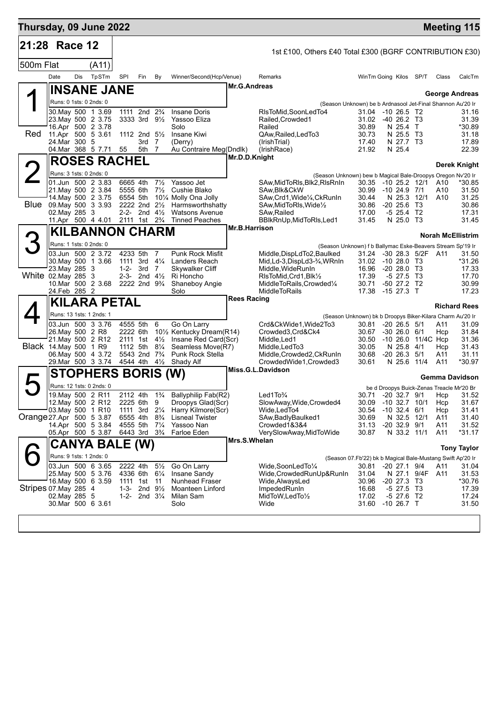| Thursday, 09 June 2022   |                                    |     |                                          |                                        |                                                       |                                  |                                                                             |                      |                                                                       |                                                            |                                       |                    |            | <b>Meeting 115</b>                        |
|--------------------------|------------------------------------|-----|------------------------------------------|----------------------------------------|-------------------------------------------------------|----------------------------------|-----------------------------------------------------------------------------|----------------------|-----------------------------------------------------------------------|------------------------------------------------------------|---------------------------------------|--------------------|------------|-------------------------------------------|
| 21:28 Race 12            |                                    |     |                                          |                                        |                                                       |                                  |                                                                             |                      | 1st £100, Others £40 Total £300 (BGRF CONTRIBUTION £30)               |                                                            |                                       |                    |            |                                           |
| 500m Flat                |                                    |     | (A11)                                    |                                        |                                                       |                                  |                                                                             |                      |                                                                       |                                                            |                                       |                    |            |                                           |
|                          | Date                               | Dis | TpSTm                                    | SPI                                    | Fin                                                   | By                               | Winner/Second(Hcp/Venue)                                                    |                      | Remarks                                                               | WinTm Going Kilos SP/T                                     |                                       |                    | Class      | CalcTm                                    |
|                          |                                    |     | <b>INSANE JANE</b>                       |                                        |                                                       |                                  |                                                                             | <b>Mr.G.Andreas</b>  |                                                                       |                                                            |                                       |                    |            |                                           |
|                          | Runs: 0 1sts: 0 2nds: 0            |     |                                          |                                        |                                                       |                                  |                                                                             |                      | (Season Unknown) be b Ardnasool Jet-Final Shannon Au'20 Ir            |                                                            |                                       |                    |            | <b>George Andreas</b>                     |
|                          |                                    |     | 30. May 500 1 3.69                       |                                        | 1111 2nd 2 <sup>3</sup> / <sub>4</sub>                |                                  | <b>Insane Doris</b>                                                         |                      | RIsToMid.SoonLedTo4                                                   | 31.04 -10 26.5 T2                                          |                                       |                    |            | 31.16                                     |
|                          |                                    |     | 23. May 500 2 3.75<br>16.Apr 500 2 3.78  |                                        | $3333$ 3rd $9\frac{1}{2}$                             |                                  | Yassoo Eliza<br>Solo                                                        |                      | Railed.Crowded1<br>Railed                                             | 31.02<br>30.89                                             | $-4026.2$ T3<br>N 25.4 T              |                    |            | 31.39<br>*30.89                           |
| Red                      |                                    |     | 11.Apr 500 5 3.61                        |                                        | 1112 2nd $5\frac{1}{2}$                               |                                  | Insane Kiwi                                                                 |                      | QAw, Railed, Led To 3                                                 | 30.73                                                      | N 25.5 T3                             |                    |            | 31.18                                     |
|                          | 24. Mar 300 5                      |     | 04 Mar 368 5 7.71                        | 55                                     | $3rd$ $7$<br>5th 7                                    |                                  | (Derry)<br>Au Contraire Meg(Dndlk)                                          |                      | (IrishTrial)<br>(IrishRace)                                           | 17.40<br>21.92                                             | N 27.7 T3<br>N 25.4                   |                    |            | 17.89<br>22.39                            |
|                          |                                    |     | <b>ROSES RACHEL</b>                      |                                        |                                                       |                                  |                                                                             | Mr.D.D.Knight        |                                                                       |                                                            |                                       |                    |            | Derek Knight                              |
|                          | Runs: 3 1sts: 0 2nds: 0            |     |                                          |                                        |                                                       |                                  |                                                                             |                      | (Season Unknown) bew b Magical Bale-Droopys Oregon Nv'20 Ir           |                                                            |                                       |                    |            |                                           |
|                          |                                    |     | 01.Jun 500 2 3.83                        | 6665 4th                               |                                                       | $7\frac{1}{2}$                   | Yassoo Jet                                                                  |                      | SAw, MidToRIs, Blk2, RIsRnIn                                          | 30.35 -10 25.2 12/1                                        |                                       |                    | A10        | *30.85                                    |
|                          |                                    |     | 21. May 500 2 3.84<br>14. May 500 2 3.75 | 5555 6th<br>6554 5th                   |                                                       |                                  | 7 <sup>1</sup> / <sub>2</sub> Cushie Blako<br>101/4 Molly Ona Jolly         |                      | SAw, Blk&CkW<br>SAw, Crd1, Wide <sup>1</sup> / <sub>4</sub> , CkRunIn | 30.99<br>30.44                                             | $-10$ 24.9 $7/1$<br>N 25.3 12/1       |                    | A10<br>A10 | 31.50<br>31.25                            |
|                          |                                    |     | Blue 09 May 500 3 3 93                   |                                        | 2-2- 2nd $4\frac{1}{2}$                               |                                  | 2222 2nd 21/2 Harmsworthshatty                                              |                      | SAw, MidToRIs, Wide <sup>1/2</sup>                                    | 30.86                                                      | $-20$ 25.6 T3<br>$-5$ 25.4 T2         |                    |            | 30.86                                     |
|                          | 02. May 285 3                      |     | 11.Apr 500 4 4.01                        | 2111 1st 2 <sup>3</sup> / <sub>4</sub> |                                                       |                                  | <b>Watsons Avenue</b><br><b>Tinned Peaches</b>                              |                      | SAw, Railed<br>BBlkRnUp, MidToRIs, Led1                               | 17.00<br>31.45                                             | N 25.0 T3                             |                    |            | 17.31<br>31.45                            |
|                          |                                    |     | <b>KILBANNON CHARM</b>                   |                                        |                                                       |                                  |                                                                             | <b>Mr.B.Harrison</b> |                                                                       |                                                            |                                       |                    |            | <b>Norah McEllistrim</b>                  |
|                          | Runs: 1 1sts: 0 2nds: 0            |     |                                          |                                        |                                                       |                                  |                                                                             |                      | (Season Unknown) f b Ballymac Eske-Beavers Stream Sp'19 Ir            |                                                            |                                       |                    |            |                                           |
|                          |                                    |     | 03.Jun 500 2 3.72                        | 4233 5th                               |                                                       | $\overline{7}$                   | Punk Rock Misfit                                                            |                      | Middle, DispLdTo2, Baulked                                            | 31.24                                                      |                                       | -30 28.3 5/2F A11  |            | 31.50                                     |
|                          | 23. May 285 3                      |     | 30 May 500 1 3.66                        | 1111 3rd 41/4<br>1-2- 3rd              |                                                       | $\overline{7}$                   | Landers Reach<br><b>Skywalker Cliff</b>                                     |                      | Mid, Ld-3, DispLd3-3/4, WRnIn<br>Middle, WideRunIn                    | 31.02 -10 28.0 T3<br>16.96                                 | $-2028.0$ T3                          |                    |            | *31.26<br>17.33                           |
| White 02. May 285 3      |                                    |     |                                          |                                        | 2-3- 2nd $4\frac{1}{2}$                               |                                  | Ri Honcho                                                                   |                      | RIsToMid, Crd1, Blk1/2                                                | 17.39                                                      | $-5$ 27.5 T3                          |                    |            | 17.70                                     |
|                          | 24.Feb 285 2                       |     | 10.Mar 500 2 3.68                        | 2222 2nd 9 <sup>3</sup> / <sub>4</sub> |                                                       |                                  | Shaneboy Angie<br>Solo                                                      |                      | MiddleToRails, Crowded1/4<br><b>MiddleToRails</b>                     | 30.71<br>17.38                                             | -50 27.2 T2<br>$-1527.3$ T            |                    |            | 30.99<br>17.23                            |
|                          |                                    |     | <b>KILARA PETAL</b>                      |                                        |                                                       |                                  |                                                                             | <b>Rees Racing</b>   |                                                                       |                                                            |                                       |                    |            | <b>Richard Rees</b>                       |
|                          |                                    |     | Runs: 13 1sts: 1 2nds: 1                 |                                        |                                                       |                                  |                                                                             |                      | (Season Unknown) bk b Droopys Biker-Kilara Charm Au'20 Ir             |                                                            |                                       |                    |            |                                           |
|                          |                                    |     | 03.Jun 500 3 3.76                        | 4555 5th                               |                                                       | 6                                | Go On Larry                                                                 |                      | Crd&CkWide1, Wide2To3                                                 | 30.81                                                      | $-20$ 26.5 $5/1$                      |                    | A11        | 31.09                                     |
|                          | 26. May 500 2 R8                   |     | 21. May 500 2 R12                        | 2222 6th                               |                                                       |                                  | 101/2 Kentucky Dream(R14)<br>2111 1st 41/ <sub>2</sub> Insane Red Card(Scr) |                      | Crowded3,Crd&Ck4<br>Middle, Led1                                      | 30.67<br>30.50                                             | $-30$ 26.0 6/1                        | -10 26.0 11/4C Hcp | Hcp        | 31.84<br>31.36                            |
|                          | Black 14. May 500 1 R9             |     |                                          |                                        | 1112 5th 81/4                                         |                                  | Seamless Move(R7)                                                           |                      | Middle, Led To 3                                                      | 30.05                                                      | N 25.8 4/1<br>$-20$ 26.3 $5/1$        |                    | Hcp        | 31.43                                     |
|                          |                                    |     | 06. May 500 4 3.72<br>29. Mar 500 3 3.74 |                                        | 5543 2nd 7 <sup>3</sup> / <sub>4</sub><br>4544 4th 4½ |                                  | Punk Rock Stella<br>Shady Alf                                               |                      | Middle, Crowded 2, CkRun In<br>CrowdedWide1, Crowded3                 | 30.68<br>30.61                                             | N 25.6                                | 11/4               | A11<br>A11 | 31.11<br>*30.97                           |
|                          |                                    |     | <b>STOPHERS BORIS (W)</b>                |                                        |                                                       |                                  |                                                                             |                      | Miss.G.L.Davidson                                                     |                                                            |                                       |                    |            | Gemma Davidson                            |
|                          |                                    |     | Runs: 12 1sts: 0 2nds: 0                 |                                        |                                                       |                                  |                                                                             |                      |                                                                       |                                                            |                                       |                    |            | be d Droopys Buick-Zenas Treacle Mr'20 Br |
|                          | 19. May 500 2 R11                  |     |                                          |                                        |                                                       |                                  | 2112 4th 1% Ballyphilip Fab(R2)                                             |                      | Led $1$ To $\frac{3}{4}$                                              |                                                            |                                       | 30.71 -20 32.7 9/1 |            | Hcp 31.52                                 |
|                          | 03.May 500 1 R10                   |     | 12. May 500 2 R12                        | 2225 6th 9                             | 1111 3rd 21/4                                         |                                  | Droopys Glad(Scr)<br>Harry Kilmore(Scr)                                     |                      | SlowAway, Wide, Crowded4<br>Wide, Led To4                             | 30.09<br>30.54                                             | $-10$ 32.7 $10/1$<br>$-10$ 32.4 $6/1$ |                    | Hcp<br>Hcp | 31.67<br>31.41                            |
| Orange 27.Apr 500 5 3.87 |                                    |     |                                          | 6555 4th                               |                                                       | $8\frac{3}{4}$                   | <b>Lisneal Twister</b>                                                      |                      | SAw, Badly Baulked 1                                                  | 30.69                                                      | N 32.5 12/1                           |                    | A11        | 31.40                                     |
|                          |                                    |     | 14.Apr 500 5 3.84<br>05.Apr 500 5 3.87   | 4555 5th<br>6443 3rd                   |                                                       | $7\frac{1}{4}$<br>$3\frac{3}{4}$ | Yassoo Nan<br>Farloe Eden                                                   |                      | Crowded1&3&4<br>VerySlowAway, MidToWide                               | 31.13<br>30.87                                             | $-20$ 32.9 $9/1$<br>N 33.2 11/1       |                    | A11<br>A11 | 31.52<br>*31.17                           |
|                          |                                    |     | CANYA BALE (W)                           |                                        |                                                       |                                  |                                                                             | Mrs.S.Whelan         |                                                                       |                                                            |                                       |                    |            |                                           |
|                          | Runs: 9 1sts: 1 2nds: 0            |     |                                          |                                        |                                                       |                                  |                                                                             |                      |                                                                       | (Season 07.Fb'22) bk b Magical Bale-Mustang Swift Ap'20 Ir |                                       |                    |            | <b>Tony Taylor</b>                        |
|                          |                                    |     | 03.Jun 500 6 3.65                        | 2222 4th                               |                                                       | $5\frac{1}{2}$                   | Go On Larry                                                                 |                      | Wide,SoonLedTo1/4                                                     | 30.81                                                      | $-20$ 27.1 $9/4$                      |                    | A11        | 31.04                                     |
|                          |                                    |     | 25. May 500 5 3.76<br>16 May 500 6 3.59  | 4336 6th<br>1111 1st                   |                                                       | $6\frac{1}{4}$<br>11             | Insane Sandy<br><b>Nunhead Fraser</b>                                       |                      | Wide, Crowded Run Up& Run In<br>Wide, Always Led                      | 31.04<br>30.96                                             | $-20$ 27.3 T3                         | N 27.1 9/4F        | A11        | 31.53<br>*30.76                           |
| Stripes 07 May 285 4     |                                    |     |                                          | $1 - 3 -$                              | 2nd $9\frac{1}{2}$                                    |                                  | Moanteen Linford                                                            |                      | ImpededRunIn                                                          | 16.68                                                      | $-5$ 27.5 T3                          |                    |            | 17.39                                     |
|                          | 02. May 285 5<br>30.Mar 500 6 3.61 |     |                                          | $1 - 2 -$                              | 2nd $3\frac{1}{4}$                                    |                                  | Milan Sam<br>Solo                                                           |                      | MidToW, LedTo1/2<br>Wide                                              | 17.02<br>31.60                                             | $-5$ 27.6 T2<br>$-10$ 26.7 T          |                    |            | 17.24<br>31.50                            |
|                          |                                    |     |                                          |                                        |                                                       |                                  |                                                                             |                      |                                                                       |                                                            |                                       |                    |            |                                           |
|                          |                                    |     |                                          |                                        |                                                       |                                  |                                                                             |                      |                                                                       |                                                            |                                       |                    |            |                                           |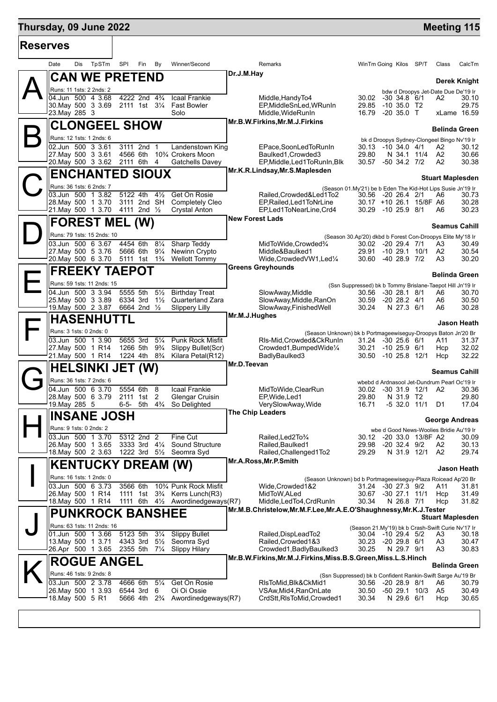## **Thursday, 09 June 2022 Meeting 115**

т

| ∣Reserves |                                                       |                                                                    |                                  |                                               |                                                                                        |                                                                                    |                |                                                                   |  |                      |                         |
|-----------|-------------------------------------------------------|--------------------------------------------------------------------|----------------------------------|-----------------------------------------------|----------------------------------------------------------------------------------------|------------------------------------------------------------------------------------|----------------|-------------------------------------------------------------------|--|----------------------|-------------------------|
|           | TpSTm<br>Date<br>Dis                                  | SPI<br>Fin                                                         | By                               | Winner/Second                                 |                                                                                        | Remarks                                                                            |                | WinTm Going Kilos SP/T                                            |  | Class                | CalcTm                  |
|           | <b>CAN WE PRETEND</b>                                 |                                                                    |                                  |                                               | Dr.J.M.Hay                                                                             |                                                                                    |                |                                                                   |  |                      | Derek Knight            |
|           | Runs: 11 1sts: 2 2nds: 2<br>04.Jun 500 4 3.68         | 4222 2nd 4 <sup>3</sup> / <sub>4</sub>                             |                                  | Icaal Frankie                                 |                                                                                        | Middle.HandyTo4                                                                    | 30.02          | bdw d Droopys Jet-Date Due De'19 Ir<br>$-30, 34.8, 6/1$           |  | A2                   | 30.10                   |
|           | 30. May 500 3 3.69                                    | 2111 1st 31/ <sub>4</sub>                                          |                                  | <b>Fast Bowler</b>                            |                                                                                        | EP, MiddleSnLed, WRunIn                                                            | 29.85          | $-10,35.0$ T <sub>2</sub>                                         |  |                      | 29.75                   |
|           | 23. May 285 3                                         |                                                                    | Solo                             |                                               |                                                                                        | Middle, WideRunIn<br>Mr.B.W.Firkins, Mr.M.J.Firkins                                | 16.79          | $-20$ 35.0 T                                                      |  |                      | xLame 16.59             |
|           | <b>CLONGEEL SHOW</b><br>Runs: 12 1sts: 1 2nds: 6      |                                                                    |                                  |                                               |                                                                                        |                                                                                    |                |                                                                   |  |                      | <b>Belinda Green</b>    |
|           | 02.Jun 500 3 3.61                                     | 3111 2nd 1                                                         |                                  | Landenstown King                              |                                                                                        | EPace,SoonLedToRunIn                                                               |                | bk d Droopys Sydney-Clongeel Bingo Nv'19 Ir<br>30.13 -10 34.0 4/1 |  | A2                   | 30.12                   |
|           | 27 May 500 3 3.61<br>20. May 500 3 3.62               | 4566 6th<br>2111 6th 4                                             | 10% Crokers Moon                 | <b>Gatchells Davey</b>                        |                                                                                        | Baulked1, Crowded3<br>EP, Middle, Led 1 To Run In, Blk                             | 29.80<br>30.57 | N 34.1 11/4<br>$-50$ 34.2 $7/2$                                   |  | A2<br>A2             | 30.66<br>30.38          |
|           | <b>ENCHANTED SIOUX</b>                                |                                                                    |                                  |                                               |                                                                                        | Mr.K.R.Lindsay, Mr.S.Maplesden                                                     |                |                                                                   |  |                      |                         |
|           | Runs: 36 1sts: 6 2nds: 7                              |                                                                    |                                  |                                               | <b>Stuart Maplesden</b><br>(Season 01.My'21) be b Eden The Kid-Hot Lips Susie Jn'19 Ir |                                                                                    |                |                                                                   |  |                      |                         |
|           | 03.Jun 500 1 3.82                                     | 5122 4th                                                           | $4\frac{1}{2}$                   | Get On Rosie                                  |                                                                                        | Railed, Crowded & Led 1 To 2                                                       |                | 30.56 -20 26.4 2/1                                                |  | A6                   | 30.73                   |
|           | 28. May 500 1 3.70<br>21. May 500 1 3.70 4111 2nd 1/2 | 3111 2nd SH                                                        |                                  | Completely Cleo<br><b>Crystal Anton</b>       |                                                                                        | EP, Railed, Led 1 To NrLine<br>EP,Led1ToNearLine,Crd4                              |                | 30.17 +10 26.1 15/8F A6<br>30.29 -10 25.9 8/1                     |  | A6                   | 30.28<br>30.23          |
|           | <b>FOREST MEL (W)</b>                                 |                                                                    |                                  |                                               | <b>New Forest Lads</b>                                                                 |                                                                                    |                |                                                                   |  |                      | <b>Seamus Cahill</b>    |
|           | Runs: 79 1sts: 15 2nds: 10                            |                                                                    |                                  |                                               |                                                                                        |                                                                                    |                | (Season 30.Ap'20) dkbd b Forest Con-Droopys Elite My'18 Ir        |  |                      |                         |
|           | 03.Jun 500 6 3.67<br>27. May 500 5 3.76               | 4454 6th<br>5666 6th                                               | $8\frac{1}{4}$<br>$9\frac{1}{4}$ | Sharp Teddy<br>Newinn Crypto                  |                                                                                        | MidToWide, Crowded%<br>Middle&Baulked1                                             | 29.91          | 30.02 -20 29.4 7/1<br>$-10$ 29.1 $10/1$                           |  | A3<br>A2             | 30.49<br>30.54          |
|           | 20. May 500 6 3.70                                    | 5111 1st 1 <sup>3</sup> / <sub>4</sub>                             |                                  | <b>Wellott Tommy</b>                          |                                                                                        | Wide, Crowded VW1, Led <sup>1/4</sup>                                              |                | 30.60 -40 28.9 7/2                                                |  | A3                   | 30.20                   |
|           | <b>FREEKY TAEPOT</b>                                  |                                                                    |                                  |                                               |                                                                                        | <b>Greens Greyhounds</b>                                                           |                |                                                                   |  |                      | <b>Belinda Green</b>    |
|           | Runs: 59 1sts: 11 2nds: 15                            |                                                                    |                                  |                                               |                                                                                        |                                                                                    |                | (Ssn Suppressed) bk b Tommy Brislane-Taepot Hill Jn'19 Ir         |  |                      |                         |
|           | 04.Jun 500 3 3.94<br>25. May 500 3 3.89               | 5555 5th<br>6334 3rd                                               | $5\frac{1}{2}$<br>$1\frac{1}{2}$ | <b>Birthday Treat</b><br>Quarterland Zara     |                                                                                        | SlowAway, Middle<br>SlowAway, Middle, RanOn                                        | 30.56<br>30.59 | $-30$ 28.1 8/1<br>$-20$ 28.2 $4/1$                                |  | A6<br>A6             | 30.70<br>30.50          |
|           | 19. May 500 2 3.87                                    | 6664 2nd 1/2                                                       |                                  | <b>Slippery Lilly</b>                         |                                                                                        | SlowAway, FinishedWell                                                             | 30.24          | N 27.3 6/1                                                        |  | A6                   | 30.28                   |
|           | <b>HASENHU</b>                                        |                                                                    |                                  | Mr.M.J.Hughes<br>Jason Heath                  |                                                                                        |                                                                                    |                |                                                                   |  |                      |                         |
|           | Runs: 3 1sts: 0 2nds: 0                               |                                                                    |                                  |                                               |                                                                                        | (Season Unknown) bk b Portmageewiseguy-Droopys Baton Jn'20 Br                      |                |                                                                   |  |                      |                         |
|           | 03.Jun 500 1 3.90<br>27. May 500 1 R14                | 5655 3rd<br>1266 5th                                               | $5\frac{1}{4}$<br>$9\frac{3}{4}$ | <b>Punk Rock Misfit</b><br>Slippy Bullet(Scr) |                                                                                        | RIs-Mid, Crowded&CkRunIn<br>Crowded1, BumpedWide1/4                                | 30.21          | 31.24 -30 25.6 6/1<br>-10 25.9 6/1                                |  | A11<br>Hcp           | 31.37<br>32.02          |
|           | 21. May 500 1 R14                                     | 1224 4th 8 <sup>3</sup> / <sub>4</sub>                             |                                  | Kilara Petal(R12)                             | Mr.D.Teevan                                                                            | BadlyBaulked3                                                                      |                | 30.50 -10 25.8 12/1                                               |  | Hcp                  | 32.22                   |
|           | <b>HELSINKI JET (W)</b>                               |                                                                    |                                  |                                               | <b>Seamus Cahill</b>                                                                   |                                                                                    |                |                                                                   |  |                      |                         |
|           | Runs: 36 1sts: 7 2nds: 6<br>04.Jun 500 6 3.70         | 5554 6th                                                           | 8                                | Icaal Frankie                                 |                                                                                        | MidToWide, ClearRun                                                                | 30.02          | wbebd d Ardnasool Jet-Dundrum Pearl Oc'19 Ir<br>-30 31.9 12/1 A2  |  |                      | 30.36                   |
|           | 28. May 500 6 3.79                                    | 2111 1st                                                           | 2                                | Glengar Cruisin                               |                                                                                        | EP, Wide, Led 1                                                                    | 29.80          | N 31.9 T2                                                         |  |                      | 29.80                   |
|           | 19.May 285 5                                          | 6-5- 5th                                                           | $4\frac{3}{4}$                   | So Delighted                                  |                                                                                        | VerySlowAway, Wide<br>The Chip Leaders                                             | 16.71          | $-5$ 32.0 11/1                                                    |  | D1                   | 17.04                   |
|           | <b>INSANE JOSH</b><br>Runs: 9 1sts: 0 2nds: 2         |                                                                    |                                  |                                               |                                                                                        | <b>George Andreas</b>                                                              |                |                                                                   |  |                      |                         |
|           | 03.Jun 500 1 3.70                                     | 5312 2nd 2                                                         | Fine Cut                         |                                               |                                                                                        | Railed.Led2To3/4                                                                   | 30.12          | wbe d Good News-Woolies Bridie Au'19 Ir<br>-20 33.0 13/8F A2      |  |                      | 30.09                   |
|           | 26. May 500 1 3.65<br>18.May 500 2 3.63               | 3333 3rd 41/4<br>1222 3rd 5 <sup>1</sup> / <sub>2</sub> Seomra Syd |                                  | <b>Sound Structure</b>                        |                                                                                        | Railed, Baulked1<br>Railed, Challenged 1To 2                                       | 29.98<br>29.29 | $-20$ 32.4 $9/2$<br>N 31.9 12/1                                   |  | A2<br>A2             | 30.13<br>29.74          |
|           | <b>KENTUCKY DREAM (W)</b>                             |                                                                    |                                  |                                               |                                                                                        | Mr.A.Ross, Mr.P.Smith                                                              |                |                                                                   |  |                      |                         |
|           | Runs: 16 1sts: 1 2nds: 0                              |                                                                    |                                  |                                               |                                                                                        |                                                                                    |                |                                                                   |  |                      | <b>Jason Heath</b>      |
|           | 03.Jun 500 6 3.73                                     | 3566 6th                                                           |                                  | 10% Punk Rock Misfit                          |                                                                                        | (Season Unknown) bd b Portmageewiseguy-Plaza Roicead Ap'20 Br<br>Wide, Crowded 1&2 | 31.24          | $-30$ 27.3 $9/2$                                                  |  | A11                  | 31.81                   |
|           | 26. May 500 1 R14<br>18. May 500 1 R14                | 1111 1st 3 <sup>3</sup> / <sub>4</sub> Kerrs Lunch(R3)             |                                  | 1111 6th 41/ <sub>2</sub> Awordinedgeways(R7) |                                                                                        | MidToW, ALed<br>Middle, LedTo4, CrdRunIn                                           | 30.67<br>30.34 | $-30$ 27.1 11/1<br>N 26.8 7/1                                     |  | Hcp<br>Hcp           | 31.49<br>31.82          |
|           |                                                       |                                                                    |                                  |                                               |                                                                                        | Mr.M.B.Christelow,Mr.M.F.Lee,Mr.A.E.O'Shaughnessy,Mr.K.J.Tester                    |                |                                                                   |  |                      |                         |
|           | <b>PUNKROCK BANSHEE</b><br>Runs: 63 1sts: 11 2nds: 16 |                                                                    |                                  |                                               |                                                                                        |                                                                                    |                | (Season 21.My'19) bk b Crash-Swift Curie Nv'17 Ir                 |  |                      | <b>Stuart Maplesden</b> |
|           | 01.Jun 500 1 3.66                                     | 5123 5th                                                           | $3\frac{1}{4}$                   | <b>Slippy Bullet</b>                          |                                                                                        | Railed,DispLeadTo2                                                                 |                | 30.04 -10 29.4 5/2                                                |  | A3                   | 30.18                   |
|           | 13. May 500 1 3.71<br>26.Apr 500 1 3.65               | 4343 3rd<br>2355 5th 71/4                                          | $5\frac{1}{2}$                   | Seomra Syd<br><b>Slippy Hilary</b>            |                                                                                        | Railed, Crowded 1&3<br>Crowded1, Badly Baulked3                                    | 30.23<br>30.25 | $-2029.86/1$<br>N 29.7 9/1                                        |  | A <sub>3</sub><br>A3 | 30.47<br>30.83          |
|           | <b>ROGUE ANGEL</b>                                    |                                                                    |                                  |                                               |                                                                                        | Mr.B.W.Firkins, Mr.M.J.Firkins, Miss.B.S.Green, Miss.L.S.Hinch                     |                |                                                                   |  |                      |                         |
|           | Runs: 46 1sts: 9 2nds: 8                              |                                                                    |                                  |                                               |                                                                                        |                                                                                    |                | (Ssn Suppressed) bk b Confident Rankin-Swift Sarge Au'19 Br       |  |                      | <b>Belinda Green</b>    |
|           | 03.Jun 500 2 3.78                                     | 4666 6th                                                           | $5\frac{1}{4}$                   | Get On Rosie                                  |                                                                                        | RIsToMid, Blk&CkMid1                                                               |                | 30.56 -20 28.9 8/1                                                |  | A6                   | 30.79                   |
|           | 26. May 500 1 3.93<br>18. May 500 5 R1                | 6544 3rd 6<br>5666 4th 2 <sup>3</sup> / <sub>4</sub>               |                                  | Oi Oi Ossie<br>Awordinedgeways(R7)            |                                                                                        | VSAw, Mid4, RanOnLate<br>CrdStt, RIsToMid, Crowded1                                | 30.50<br>30.34 | -50 29.1 10/3<br>N 29.6 6/1                                       |  | A5<br>Hcp            | 30.49<br>30.65          |
|           |                                                       |                                                                    |                                  |                                               |                                                                                        |                                                                                    |                |                                                                   |  |                      |                         |